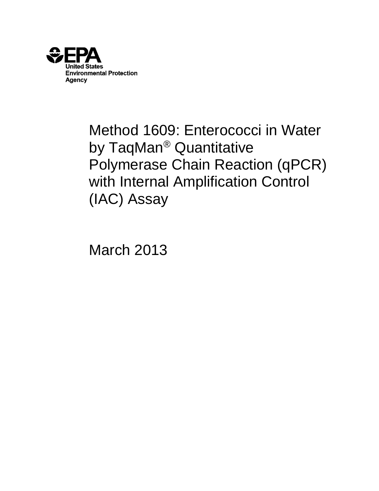

# Method 1609: Enterococci in Water by TaqMan® Quantitative Polymerase Chain Reaction (qPCR) with Internal Amplification Control (IAC) Assay

March 2013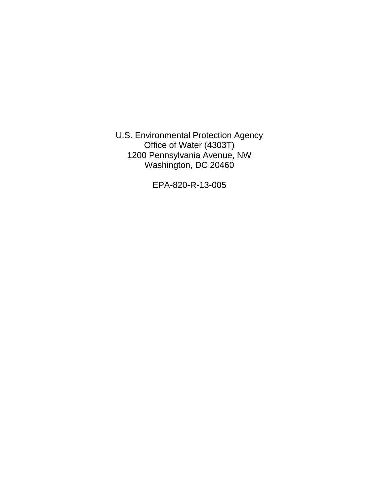U.S. Environmental Protection Agency Office of Water (4303T) 1200 Pennsylvania Avenue, NW Washington, DC 20460

EPA-820-R-13-005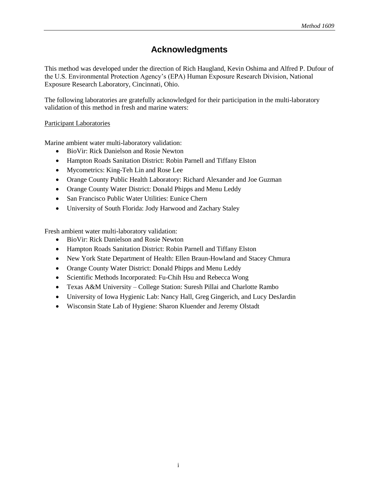# **Acknowledgments**

This method was developed under the direction of Rich Haugland, Kevin Oshima and Alfred P. Dufour of the U.S. Environmental Protection Agency's (EPA) Human Exposure Research Division, National Exposure Research Laboratory, Cincinnati, Ohio.

The following laboratories are gratefully acknowledged for their participation in the multi-laboratory validation of this method in fresh and marine waters:

#### Participant Laboratories

Marine ambient water multi-laboratory validation:

- BioVir: Rick Danielson and Rosie Newton
- Hampton Roads Sanitation District: Robin Parnell and Tiffany Elston
- Mycometrics: King-Teh Lin and Rose Lee
- Orange County Public Health Laboratory: Richard Alexander and Joe Guzman
- Orange County Water District: Donald Phipps and Menu Leddy
- San Francisco Public Water Utilities: Eunice Chern
- University of South Florida: Jody Harwood and Zachary Staley

Fresh ambient water multi-laboratory validation:

- BioVir: Rick Danielson and Rosie Newton
- Hampton Roads Sanitation District: Robin Parnell and Tiffany Elston
- New York State Department of Health: Ellen Braun-Howland and Stacey Chmura
- Orange County Water District: Donald Phipps and Menu Leddy
- Scientific Methods Incorporated: Fu-Chih Hsu and Rebecca Wong
- Texas A&M University College Station: Suresh Pillai and Charlotte Rambo
- University of Iowa Hygienic Lab: Nancy Hall, Greg Gingerich, and Lucy DesJardin
- Wisconsin State Lab of Hygiene: Sharon Kluender and Jeremy Olstadt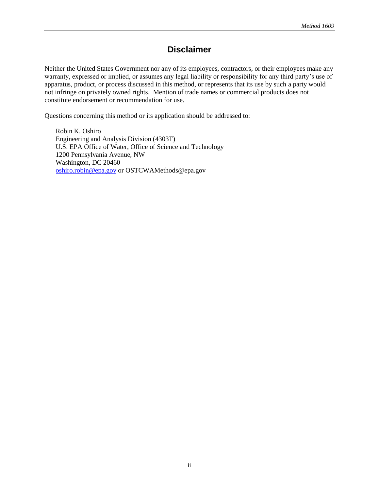# **Disclaimer**

Neither the United States Government nor any of its employees, contractors, or their employees make any warranty, expressed or implied, or assumes any legal liability or responsibility for any third party's use of apparatus, product, or process discussed in this method, or represents that its use by such a party would not infringe on privately owned rights. Mention of trade names or commercial products does not constitute endorsement or recommendation for use.

Questions concerning this method or its application should be addressed to:

 Robin K. Oshiro Engineering and Analysis Division (4303T) U.S. EPA Office of Water, Office of Science and Technology 1200 Pennsylvania Avenue, NW Washington, DC 20460 [oshiro.robin@epa.gov](mailto:oshiro.robin@epa.gov) or OSTCWAMethods@epa.gov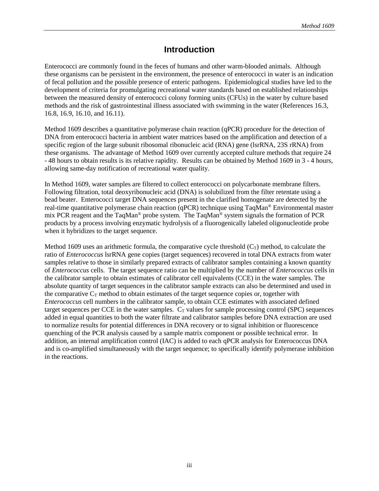#### **Introduction**

Enterococci are commonly found in the feces of humans and other warm-blooded animals. Although these organisms can be persistent in the environment, the presence of enterococci in water is an indication of fecal pollution and the possible presence of enteric pathogens. Epidemiological studies have led to the development of criteria for promulgating recreational water standards based on established relationships between the measured density of enterococci colony forming units (CFUs) in the water by culture based methods and the risk of gastrointestinal illness associated with swimming in the water (References 16.3, 16.8, 16.9, 16.10, and 16.11).

Method 1609 describes a quantitative polymerase chain reaction (qPCR) procedure for the detection of DNA from enterococci bacteria in ambient water matrices based on the amplification and detection of a specific region of the large subunit ribosomal ribonucleic acid (RNA) gene (lsrRNA, 23S rRNA) from these organisms. The advantage of Method 1609 over currently accepted culture methods that require 24 - 48 hours to obtain results is its relative rapidity. Results can be obtained by Method 1609 in 3 - 4 hours, allowing same-day notification of recreational water quality.

In Method 1609, water samples are filtered to collect enterococci on polycarbonate membrane filters. Following filtration, total deoxyribonucleic acid (DNA) is solubilized from the filter retentate using a bead beater. Enterococci target DNA sequences present in the clarified homogenate are detected by the real-time quantitative polymerase chain reaction (qPCR) technique using TaqMan® Environmental master mix PCR reagent and the TaqMan® probe system. The TaqMan® system signals the formation of PCR products by a process involving enzymatic hydrolysis of a fluorogenically labeled oligonucleotide probe when it hybridizes to the target sequence.

Method 1609 uses an arithmetic formula, the comparative cycle threshold  $(C_T)$  method, to calculate the ratio of *Enterococcus* lsrRNA gene copies (target sequences) recovered in total DNA extracts from water samples relative to those in similarly prepared extracts of calibrator samples containing a known quantity of *Enterococcus* cells. The target sequence ratio can be multiplied by the number of *Enterococcus* cells in the calibrator sample to obtain estimates of calibrator cell equivalents (CCE) in the water samples. The absolute quantity of target sequences in the calibrator sample extracts can also be determined and used in the comparative  $C_T$  method to obtain estimates of the target sequence copies or, together with *Enterococcus* cell numbers in the calibrator sample, to obtain CCE estimates with associated defined target sequences per CCE in the water samples.  $C_T$  values for sample processing control (SPC) sequences added in equal quantities to both the water filtrate and calibrator samples before DNA extraction are used to normalize results for potential differences in DNA recovery or to signal inhibition or fluorescence quenching of the PCR analysis caused by a sample matrix component or possible technical error. In addition, an internal amplification control (IAC) is added to each qPCR analysis for Enterococcus DNA and is co-amplified simultaneously with the target sequence; to specifically identify polymerase inhibition in the reactions.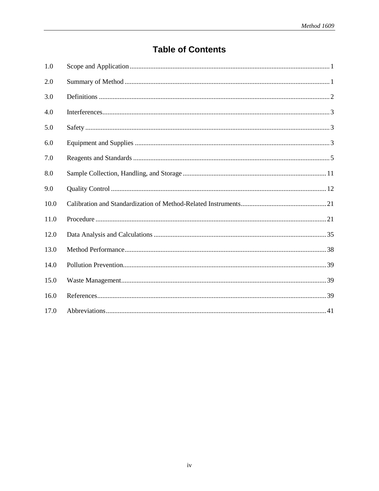# **Table of Contents**

| 1.0  |  |
|------|--|
| 2.0  |  |
| 3.0  |  |
| 4.0  |  |
| 5.0  |  |
| 6.0  |  |
| 7.0  |  |
| 8.0  |  |
| 9.0  |  |
| 10.0 |  |
| 11.0 |  |
| 12.0 |  |
| 13.0 |  |
| 14.0 |  |
| 15.0 |  |
| 16.0 |  |
| 17.0 |  |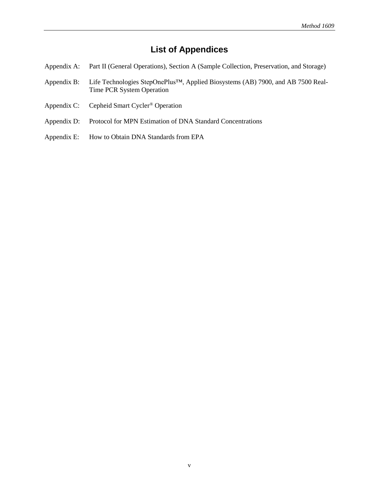# **List of Appendices**

- Appendix A: Part II (General Operations), Section A (Sample Collection, Preservation, and Storage)
- [Appendix B: Life Technologies StepOnePlus™, Applied Biosystems \(AB\) 7900, and AB](#page-54-0) 7500 Real-Time PCR System Operation
- [Appendix C: Cepheid Smart Cycler](#page-62-0)® Operation
- [Appendix D: Protocol for MPN Estimation of DNA Standard Concentrations](#page-66-0)
- Appendix E: How to Obtain DNA Standards from EPA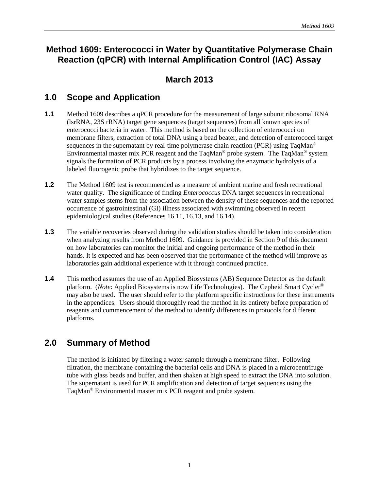# <span id="page-7-0"></span>**Method 1609: Enterococci in Water by Quantitative Polymerase Chain Reaction (qPCR) with Internal Amplification Control (IAC) Assay**

# **March 2013**

## **1.0 Scope and Application**

- **1.1** Method 1609 describes a qPCR procedure for the measurement of large subunit ribosomal RNA (lsrRNA, 23S rRNA) target gene sequences (target sequences) from all known species of enterococci bacteria in water. This method is based on the collection of enterococci on membrane filters, extraction of total DNA using a bead beater, and detection of enterococci target sequences in the supernatant by real-time polymerase chain reaction (PCR) using  $TaqMan^{\circledcirc}$ Environmental master mix PCR reagent and the TaqMan® probe system. The TaqMan® system signals the formation of PCR products by a process involving the enzymatic hydrolysis of a labeled fluorogenic probe that hybridizes to the target sequence.
- **1.2** The Method 1609 test is recommended as a measure of ambient marine and fresh recreational water quality. The significance of finding *Enterococcus* DNA target sequences in recreational water samples stems from the association between the density of these sequences and the reported occurrence of gastrointestinal (GI) illness associated with swimming observed in recent epidemiological studies (References 16.11, 16.13, and 16.14).
- **1.3** The variable recoveries observed during the validation studies should be taken into consideration when analyzing results from Method 1609. Guidance is provided in Section 9 of this document on how laboratories can monitor the initial and ongoing performance of the method in their hands. It is expected and has been observed that the performance of the method will improve as laboratories gain additional experience with it through continued practice.
- **1.4** This method assumes the use of an Applied Biosystems (AB) Sequence Detector as the default platform. (*Note*: Applied Biosystems is now Life Technologies). The Cepheid Smart Cycler® may also be used. The user should refer to the platform specific instructions for these instruments in the appendices. Users should thoroughly read the method in its entirety before preparation of reagents and commencement of the method to identify differences in protocols for different platforms.

# **2.0 Summary of Method**

 The method is initiated by filtering a water sample through a membrane filter. Following filtration, the membrane containing the bacterial cells and DNA is placed in a microcentrifuge tube with glass beads and buffer, and then shaken at high speed to extract the DNA into solution. The supernatant is used for PCR amplification and detection of target sequences using the TaqMan® Environmental master mix PCR reagent and probe system.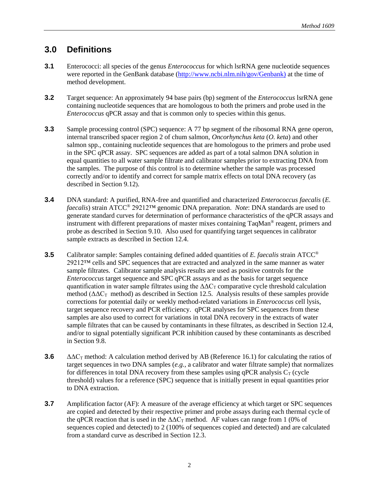# <span id="page-8-0"></span>**3.0 Definitions**

- **3.1** Enterococci: all species of the genus *Enterococcus* for which lsrRNA gene nucleotide sequences were reported in the GenBank database [\(http://www.ncbi.nlm.nih/gov/Genbank\)](http://www.ncbi.nlm.nih/gov/Genbank)) at the time of method development.
- **3.2** Target sequence: An approximately 94 base pairs (bp) segment of the *Enterococcus* lsrRNA gene containing nucleotide sequences that are homologous to both the primers and probe used in the *Enterococcus* qPCR assay and that is common only to species within this genus.
- **3.3** Sample processing control (SPC) sequence: A 77 bp segment of the ribosomal RNA gene operon, internal transcribed spacer region 2 of chum salmon, *Oncorhynchus keta* (*O. keta*) and other salmon spp.*,* containing nucleotide sequences that are homologous to the primers and probe used in the SPC qPCR assay. SPC sequences are added as part of a total salmon DNA solution in equal quantities to all water sample filtrate and calibrator samples prior to extracting DNA from the samples. The purpose of this control is to determine whether the sample was processed correctly and/or to identify and correct for sample matrix effects on total DNA recovery (as described in Section 9.12).
- **3.4** DNA standard: A purified, RNA-free and quantified and characterized *Enterococcus faecalis* (*E. faecalis*) strain ATCC® 29212™ genomic DNA preparation. *Note*: DNA standards are used to generate standard curves for determination of performance characteristics of the qPCR assays and instrument with different preparations of master mixes containing TaqMan® reagent, primers and probe as described in Section 9.10. Also used for quantifying target sequences in calibrator sample extracts as described in Section 12.4.
- **3.5** Calibrator sample: Samples containing defined added quantities of *E. faecalis* strain ATCC<sup>®</sup> 29212™ cells and SPC sequences that are extracted and analyzed in the same manner as water sample filtrates. Calibrator sample analysis results are used as positive controls for the *Enterococcus* target sequence and SPC qPCR assays and as the basis for target sequence quantification in water sample filtrates using the  $\Delta\Delta C_T$  comparative cycle threshold calculation method ( $\Delta\Delta C_{\text{T}}$  method) as described in Section 12.5. Analysis results of these samples provide corrections for potential daily or weekly method-related variations in *Enterococcus* cell lysis, target sequence recovery and PCR efficiency. qPCR analyses for SPC sequences from these samples are also used to correct for variations in total DNA recovery in the extracts of water sample filtrates that can be caused by contaminants in these filtrates, as described in Section 12.4, and/or to signal potentially significant PCR inhibition caused by these contaminants as described in Section 9.8.
- **3.6**  $\Delta\Delta C_{\text{T}}$  method: A calculation method derived by AB (Reference 16.1) for calculating the ratios of target sequences in two DNA samples (*e.g.,* a calibrator and water filtrate sample) that normalizes for differences in total DNA recovery from these samples using qPCR analysis  $C_T$  (cycle threshold) values for a reference (SPC) sequence that is initially present in equal quantities prior to DNA extraction.
- **3.7** Amplification factor (AF): A measure of the average efficiency at which target or SPC sequences are copied and detected by their respective primer and probe assays during each thermal cycle of the qPCR reaction that is used in the  $\Delta \Delta C_T$  method. AF values can range from 1 (0% of sequences copied and detected) to 2 (100% of sequences copied and detected) and are calculated from a standard curve as described in Section 12.3.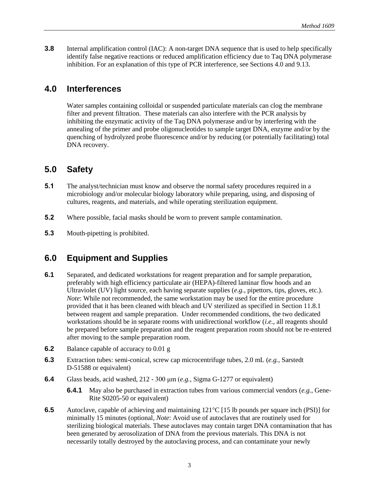<span id="page-9-0"></span>**3.8** Internal amplification control (IAC): A non-target DNA sequence that is used to help specifically identify false negative reactions or reduced amplification efficiency due to Taq DNA polymerase inhibition. For an explanation of this type of PCR interference, see Sections 4.0 and 9.13.

### **4.0 Interferences**

Water samples containing colloidal or suspended particulate materials can clog the membrane filter and prevent filtration. These materials can also interfere with the PCR analysis by inhibiting the enzymatic activity of the Taq DNA polymerase and/or by interfering with the annealing of the primer and probe oligonucleotides to sample target DNA, enzyme and/or by the quenching of hydrolyzed probe fluorescence and/or by reducing (or potentially facilitating) total DNA recovery.

# **5.0 Safety**

- **5.1** The analyst/technician must know and observe the normal safety procedures required in a microbiology and/or molecular biology laboratory while preparing, using, and disposing of cultures, reagents, and materials, and while operating sterilization equipment.
- **5.2** Where possible, facial masks should be worn to prevent sample contamination.
- **5.3** Mouth-pipetting is prohibited.

# **6.0 Equipment and Supplies**

- **6.1** Separated, and dedicated workstations for reagent preparation and for sample preparation, preferably with high efficiency particulate air (HEPA)-filtered laminar flow hoods and an Ultraviolet (UV) light source, each having separate supplies (*e.g.*, pipettors, tips, gloves, etc.). *Note*: While not recommended, the same workstation may be used for the entire procedure provided that it has been cleaned with bleach and UV sterilized as specified in Section 11.8.1 between reagent and sample preparation. Under recommended conditions, the two dedicated workstations should be in separate rooms with unidirectional workflow (*i.e.,* all reagents should be prepared before sample preparation and the reagent preparation room should not be re-entered after moving to the sample preparation room.
- **6.2** Balance capable of accuracy to 0.01 g
- **6.3** Extraction tubes: semi-conical, screw cap microcentrifuge tubes, 2.0 mL (*e.g.*, Sarstedt D-51588 or equivalent)
- **6.4** Glass beads, acid washed, 212 300 μm (*e.g.*, Sigma G-1277 or equivalent)
	- **6.4.1** May also be purchased in extraction tubes from various commercial vendors (*e.g.,* Gene-Rite S0205-50 or equivalent)
- **6.5** Autoclave, capable of achieving and maintaining 121<sup>o</sup>C [15 lb pounds per square inch (PSI)] for minimally 15 minutes (optional, *Note*: Avoid use of autoclaves that are routinely used for sterilizing biological materials. These autoclaves may contain target DNA contamination that has been generated by aerosolization of DNA from the previous materials. This DNA is not necessarily totally destroyed by the autoclaving process, and can contaminate your newly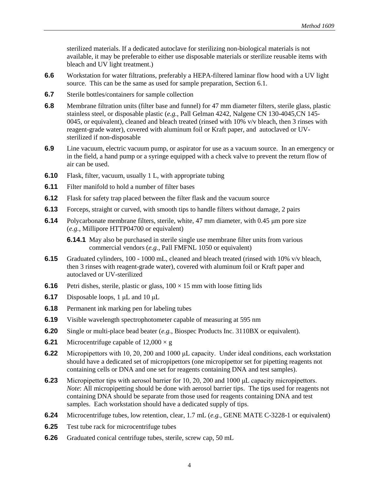sterilized materials. If a dedicated autoclave for sterilizing non-biological materials is not available, it may be preferable to either use disposable materials or sterilize reusable items with bleach and UV light treatment.)

- **6.6** Workstation for water filtrations, preferably a HEPA-filtered laminar flow hood with a UV light source. This can be the same as used for sample preparation, Section 6.1.
- **6.7** Sterile bottles/containers for sample collection
- **6.8** Membrane filtration units (filter base and funnel) for 47 mm diameter filters, sterile glass, plastic stainless steel, or disposable plastic (*e.g.*, Pall Gelman 4242, Nalgene CN 130-4045,CN 145- 0045, or equivalent), cleaned and bleach treated (rinsed with 10% v/v bleach, then 3 rinses with reagent-grade water), covered with aluminum foil or Kraft paper, and autoclaved or UVsterilized if non-disposable
- **6.9** Line vacuum, electric vacuum pump, or aspirator for use as a vacuum source. In an emergency or in the field, a hand pump or a syringe equipped with a check valve to prevent the return flow of air can be used.
- **6.10** Flask, filter, vacuum, usually 1 L, with appropriate tubing
- **6.11** Filter manifold to hold a number of filter bases
- **6.12** Flask for safety trap placed between the filter flask and the vacuum source
- **6.13** Forceps, straight or curved, with smooth tips to handle filters without damage, 2 pairs
- **6.14** Polycarbonate membrane filters, sterile, white, 47 mm diameter, with 0.45 μm pore size (*e.g.*, Millipore HTTP04700 or equivalent)

**6.14.1** May also be purchased in sterile single use membrane filter units from various commercial vendors (*e.g.,* Pall FMFNL 1050 or equivalent)

- **6.15** Graduated cylinders, 100 1000 mL, cleaned and bleach treated (rinsed with 10% v/v bleach, then 3 rinses with reagent-grade water), covered with aluminum foil or Kraft paper and autoclaved or UV-sterilized
- **6.16** Petri dishes, sterile, plastic or glass,  $100 \times 15$  mm with loose fitting lids
- **6.17** Disposable loops, 1 μL and 10 μL
- **6.18** Permanent ink marking pen for labeling tubes
- **6.19** Visible wavelength spectrophotometer capable of measuring at 595 nm
- **6.20** Single or multi-place bead beater (*e.g.*, Biospec Products Inc. 3110BX or equivalent).
- **6.21** Microcentrifuge capable of  $12,000 \times g$
- **6.22** Micropipettors with 10, 20, 200 and 1000 μL capacity. Under ideal conditions, each workstation should have a dedicated set of micropipettors (one micropipettor set for pipetting reagents not containing cells or DNA and one set for reagents containing DNA and test samples).
- **6.23** Micropipettor tips with aerosol barrier for 10, 20, 200 and 1000 μL capacity micropipettors. *Note*: All micropipetting should be done with aerosol barrier tips. The tips used for reagents not containing DNA should be separate from those used for reagents containing DNA and test samples. Each workstation should have a dedicated supply of tips.
- **6.24** Microcentrifuge tubes, low retention, clear, 1.7 mL (*e.g.*, GENE MATE C-3228-1 or equivalent)
- **6.25** Test tube rack for microcentrifuge tubes
- **6.26** Graduated conical centrifuge tubes, sterile, screw cap, 50 mL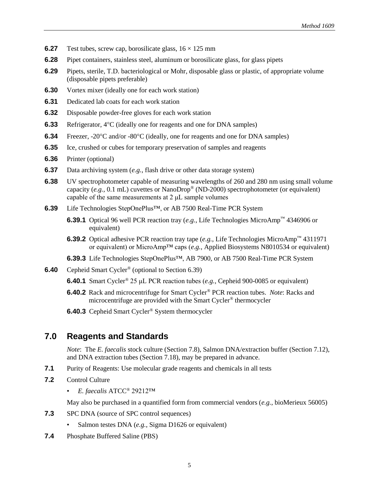- <span id="page-11-0"></span>**6.27** Test tubes, screw cap, borosilicate glass,  $16 \times 125$  mm
- **6.28** Pipet containers, stainless steel, aluminum or borosilicate glass, for glass pipets
- **6.29** Pipets, sterile, T.D. bacteriological or Mohr, disposable glass or plastic, of appropriate volume (disposable pipets preferable)
- **6.30** Vortex mixer (ideally one for each work station)
- **6.31** Dedicated lab coats for each work station
- **6.32** Disposable powder-free gloves for each work station
- **6.33** Refrigerator, 4°C (ideally one for reagents and one for DNA samples)
- **6.34** Freezer, -20°C and/or -80°C (ideally, one for reagents and one for DNA samples)
- **6.35** Ice, crushed or cubes for temporary preservation of samples and reagents
- **6.36** Printer (optional)
- **6.37** Data archiving system (*e.g.*, flash drive or other data storage system)
- **6.38** UV spectrophotometer capable of measuring wavelengths of 260 and 280 nm using small volume capacity (*e.g.,* 0.1 mL) cuvettes or NanoDrop® (ND-2000) spectrophotometer (or equivalent) capable of the same measurements at  $2 \mu L$  sample volumes
- **6.39** Life Technologies StepOnePlus™, or AB 7500 Real-Time PCR System
	- **6.39.1** Optical 96 well PCR reaction tray (*e.g.*, Life Technologies MicroAmp™ 4346906 or equivalent)
	- **6.39.2** Optical adhesive PCR reaction tray tape (*e.g.*, Life Technologies MicroAmp™ 4311971 or equivalent) or MicroAmp™ caps (*e.g.*, Applied Biosystems N8010534 or equivalent)
	- **6.39.3** Life Technologies StepOnePlus™, AB 7900, or AB 7500 Real-Time PCR System
- **6.40** Cepheid Smart Cycler® (optional to Section 6.39)
	- **6.40.1** Smart Cycler® 25 μL PCR reaction tubes (*e.g.*, Cepheid 900-0085 or equivalent)
	- **6.40.2** Rack and microcentrifuge for Smart Cycler® PCR reaction tubes. *Note*: Racks and microcentrifuge are provided with the Smart Cycler® thermocycler
	- **6.40.3** Cepheid Smart Cycler® System thermocycler

#### **7.0 Reagents and Standards**

*Note*: The *E. faecalis* stock culture (Section 7.8), Salmon DNA/extraction buffer (Section 7.12), and DNA extraction tubes (Section 7.18), may be prepared in advance.

- **7.1** Purity of Reagents: Use molecular grade reagents and chemicals in all tests
- **7.2** Control Culture
	- *E. faecalis* ATCC® 29212™

May also be purchased in a quantified form from commercial vendors (*e.g.*, bioMerieux 56005)

- **7.3** SPC DNA (source of SPC control sequences)
	- Salmon testes DNA (*e.g.*, Sigma D1626 or equivalent)
- **7.4** Phosphate Buffered Saline (PBS)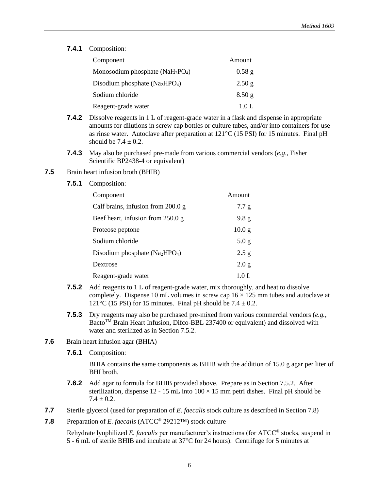**7.4.1** Composition:

| Component                          | Amount            |
|------------------------------------|-------------------|
| Monosodium phosphate $(NaH_2PO_4)$ | $0.58$ g          |
| Disodium phosphate $(Na_2HPO_4)$   | 2.50 g            |
| Sodium chloride                    | 8.50 <sub>g</sub> |
| Reagent-grade water                | 1.0 L             |

- **7.4.2** Dissolve reagents in 1 L of reagent-grade water in a flask and dispense in appropriate amounts for dilutions in screw cap bottles or culture tubes, and/or into containers for use as rinse water. Autoclave after preparation at  $121^{\circ}C$  (15 PSI) for 15 minutes. Final pH should be  $7.4 \pm 0.2$ .
- **7.4.3** May also be purchased pre-made from various commercial vendors (*e.g*., Fisher Scientific BP2438-4 or equivalent)
- **7.5** Brain heart infusion broth (BHIB)
	- **7.5.1** Composition:

| Component                            | Amount            |
|--------------------------------------|-------------------|
| Calf brains, infusion from $200.0 g$ | 7.7 g             |
| Beef heart, infusion from 250.0 g    | 9.8 <sub>g</sub>  |
| Proteose peptone                     | 10.0 <sub>g</sub> |
| Sodium chloride                      | 5.0 <sub>g</sub>  |
| Disodium phosphate $(Na_2HPO_4)$     | 2.5 g             |
| Dextrose                             | 2.0 g             |
| Reagent-grade water                  | 1.0 L             |

- **7.5.2** Add reagents to 1 L of reagent-grade water, mix thoroughly, and heat to dissolve completely. Dispense 10 mL volumes in screw cap  $16 \times 125$  mm tubes and autoclave at 121<sup>o</sup>C (15 PSI) for 15 minutes. Final pH should be  $7.4 \pm 0.2$ .
- **7.5.3** Dry reagents may also be purchased pre-mixed from various commercial vendors (*e.g.*, Bacto<sup>TM</sup> Brain Heart Infusion, Difco-BBL 237400 or equivalent) and dissolved with water and sterilized as in Section 7.5.2.
- **7.6** Brain heart infusion agar (BHIA)
	- **7.6.1** Composition:

BHIA contains the same components as BHIB with the addition of 15.0 g agar per liter of BHI broth.

- **7.6.2** Add agar to formula for BHIB provided above. Prepare as in Section 7.5.2. After sterilization, dispense 12 - 15 mL into  $100 \times 15$  mm petri dishes. Final pH should be  $7.4 \pm 0.2$ .
- **7.7** Sterile glycerol (used for preparation of *E. faecalis* stock culture as described in Section 7.8)
- **7.8** Preparation of *E. faecalis* (ATCC® 29212™) stock culture

Rehydrate lyophilized *E. faecalis* per manufacturer's instructions (for ATCC® stocks, suspend in 5 - 6 mL of sterile BHIB and incubate at 37°C for 24 hours). Centrifuge for 5 minutes at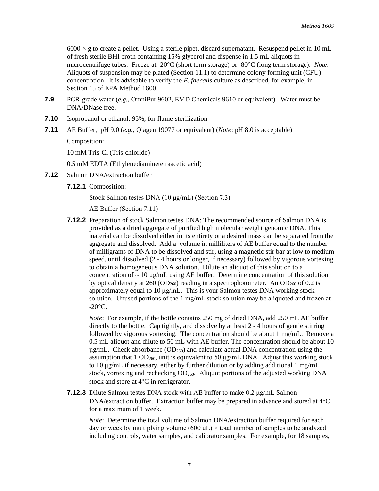$6000 \times g$  to create a pellet. Using a sterile pipet, discard supernatant. Resuspend pellet in 10 mL of fresh sterile BHI broth containing 15% glycerol and dispense in 1.5 mL aliquots in microcentrifuge tubes. Freeze at -20<sup>o</sup>C (short term storage) or -80<sup>o</sup>C (long term storage). *Note*: Aliquots of suspension may be plated (Section 11.1) to determine colony forming unit (CFU) concentration. It is advisable to verify the *E. faecalis* culture as described, for example, in Section 15 of EPA Method 1600.

- **7.9** PCR-grade water (*e.g.*, OmniPur 9602, EMD Chemicals 9610 or equivalent). Water must be DNA/DNase free.
- **7.10** Isopropanol or ethanol, 95%, for flame-sterilization
- **7.11** AE Buffer, pH 9.0 (*e.g.*, Qiagen 19077 or equivalent) (*Note*: pH 8.0 is acceptable)

Composition:

10 mM Tris-Cl (Tris-chloride)

0.5 mM EDTA (Ethylenediaminetetraacetic acid)

- **7.12** Salmon DNA/extraction buffer
	- **7.12.1** Composition:

Stock Salmon testes DNA (10 μg/mL) (Section 7.3)

AE Buffer (Section 7.11)

**7.12.2** Preparation of stock Salmon testes DNA: The recommended source of Salmon DNA is provided as a dried aggregate of purified high molecular weight genomic DNA. This material can be dissolved either in its entirety or a desired mass can be separated from the aggregate and dissolved. Add a volume in milliliters of AE buffer equal to the number of milligrams of DNA to be dissolved and stir, using a magnetic stir bar at low to medium speed, until dissolved (2 - 4 hours or longer, if necessary) followed by vigorous vortexing to obtain a homogeneous DNA solution. Dilute an aliquot of this solution to a concentration of  $\sim 10 \text{ µg/mL}$  using AE buffer. Determine concentration of this solution by optical density at 260 (OD<sub>260</sub>) reading in a spectrophotometer. An OD<sub>260</sub> of 0.2 is approximately equal to 10 μg/mL. This is your Salmon testes DNA working stock solution. Unused portions of the 1 mg/mL stock solution may be aliquoted and frozen at  $-20^{\circ}$ C.

 *Note*: For example, if the bottle contains 250 mg of dried DNA, add 250 mL AE buffer directly to the bottle. Cap tightly, and dissolve by at least 2 - 4 hours of gentle stirring followed by vigorous vortexing. The concentration should be about 1 mg/mL. Remove a 0.5 mL aliquot and dilute to 50 mL with AE buffer. The concentration should be about 10  $\mu$ g/mL. Check absorbance (OD<sub>260</sub>) and calculate actual DNA concentration using the assumption that 1 OD<sub>260</sub>, unit is equivalent to 50  $\mu$ g/mL DNA. Adjust this working stock to 10 μg/mL if necessary, either by further dilution or by adding additional 1 mg/mL stock, vortexing and rechecking  $OD_{260}$ . Aliquot portions of the adjusted working DNA stock and store at  $4^{\circ}$ C in refrigerator.

**7.12.3** Dilute Salmon testes DNA stock with AE buffer to make 0.2 μg/mL Salmon DNA/extraction buffer. Extraction buffer may be prepared in advance and stored at  $4^{\circ}C$ for a maximum of 1 week.

*Note*: Determine the total volume of Salmon DNA/extraction buffer required for each day or week by multiplying volume (600  $\mu$ L)  $\times$  total number of samples to be analyzed including controls, water samples, and calibrator samples. For example, for 18 samples,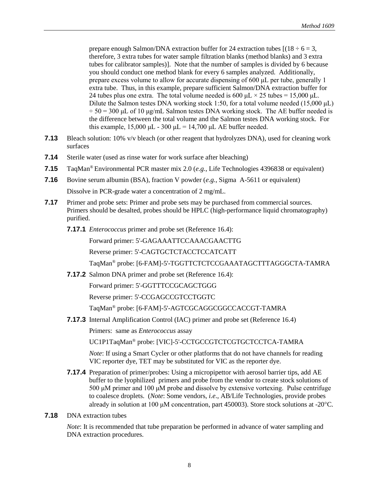prepare enough Salmon/DNA extraction buffer for 24 extraction tubes  $[(18 \div 6 = 3,$ therefore, 3 extra tubes for water sample filtration blanks (method blanks) and 3 extra tubes for calibrator samples)]. Note that the number of samples is divided by 6 because you should conduct one method blank for every 6 samples analyzed. Additionally, prepare excess volume to allow for accurate dispensing of 600 μL per tube, generally 1 extra tube. Thus, in this example, prepare sufficient Salmon/DNA extraction buffer for 24 tubes plus one extra. The total volume needed is 600  $\mu$ L × 25 tubes = 15,000  $\mu$ L. Dilute the Salmon testes DNA working stock 1:50, for a total volume needed (15,000 μL)  $\div$  50 = 300 μL of 10 μg/mL Salmon testes DNA working stock. The AE buffer needed is the difference between the total volume and the Salmon testes DNA working stock. For this example,  $15,000 \mu L - 300 \mu L = 14,700 \mu L$  AE buffer needed.

- **7.13** Bleach solution: 10% v/v bleach (or other reagent that hydrolyzes DNA), used for cleaning work surfaces
- **7.14** Sterile water (used as rinse water for work surface after bleaching)
- **7.15** TaqMan® Environmental PCR master mix 2.0 (*e.g.*, Life Technologies 4396838 or equivalent)
- **7.16** Bovine serum albumin (BSA), fraction V powder (*e.g.*, Sigma A-5611 or equivalent) Dissolve in PCR-grade water a concentration of 2 mg/mL.
- **7.17** Primer and probe sets: Primer and probe sets may be purchased from commercial sources. Primers should be desalted, probes should be HPLC (high-performance liquid chromatography) purified.
	- **7.17.1** *Enterococcus* primer and probe set (Reference 16.4):

Forward primer: 5'-GAGAAATTCCAAACGAACTTG

Reverse primer: 5'-CAGTGCTCTACCTCCATCATT

TaqMan® probe: [6-FAM]-5'-TGGTTCTCTCCGAAATAGCTTTAGGGCTA-TAMRA

**7.17.2** Salmon DNA primer and probe set (Reference 16.4):

Forward primer: 5'-GGTTTCCGCAGCTGGG

Reverse primer: 5'-CCGAGCCGTCCTGGTC

TaqMan® probe: [6-FAM]-5'-AGTCGCAGGCGGCCACCGT-TAMRA

**7.17.3** Internal Amplification Control (IAC) primer and probe set (Reference 16.4)

Primers: same as *Enterococcus* assay

UC1P1TaqMan® probe: [VIC]-5'-CCTGCCGTCTCGTGCTCCTCA-TAMRA

*Note*: If using a Smart Cycler or other platforms that do not have channels for reading VIC reporter dye, TET may be substituted for VIC as the reporter dye.

- **7.17.4** Preparation of primer/probes: Using a micropipettor with aerosol barrier tips, add AE buffer to the lyophilized primers and probe from the vendor to create stock solutions of 500 μM primer and 100 μM probe and dissolve by extensive vortexing. Pulse centrifuge to coalesce droplets. (*Note*: Some vendors, *i.e*., AB/Life Technologies, provide probes already in solution at 100  $\mu$ M concentration, part 450003). Store stock solutions at -20 $^{\circ}$ C.
- **7.18** DNA extraction tubes

*Note*: It is recommended that tube preparation be performed in advance of water sampling and DNA extraction procedures.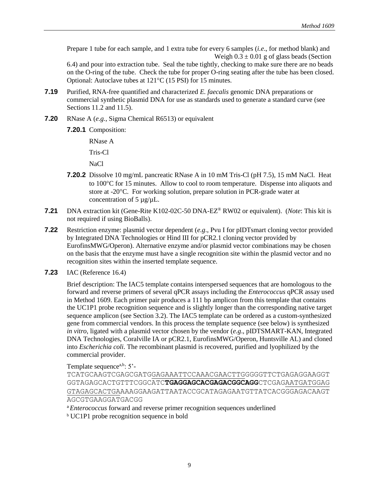Prepare 1 tube for each sample, and 1 extra tube for every 6 samples (*i.e*., for method blank) and Weigh  $0.3 \pm 0.01$  g of glass beads (Section

6.4) and pour into extraction tube. Seal the tube tightly, checking to make sure there are no beads on the O-ring of the tube. Check the tube for proper O-ring seating after the tube has been closed. Optional: Autoclave tubes at  $121^{\circ}C$  (15 PSI) for 15 minutes.

- **7.19** Purified, RNA-free quantified and characterized *E. faecalis* genomic DNA preparations or commercial synthetic plasmid DNA for use as standards used to generate a standard curve (see Sections 11.2 and 11.5).
- **7.20** RNase A (*e.g.*, Sigma Chemical R6513) or equivalent
	- **7.20.1** Composition:

RNase A Tris-Cl

NaCl

- **7.20.2** Dissolve 10 mg/mL pancreatic RNase A in 10 mM Tris-Cl (pH 7.5), 15 mM NaCl. Heat to 100°C for 15 minutes. Allow to cool to room temperature. Dispense into aliquots and store at -20<sup>o</sup>C. For working solution, prepare solution in PCR-grade water at concentration of  $5 \mu g/\mu L$ .
- **7.21** DNA extraction kit (Gene-Rite K102-02C-50 DNA-EZ® RW02 or equivalent). (*Note*: This kit is not required if using BioBalls).
- **7.22** Restriction enzyme: plasmid vector dependent (*e.g*., Pvu I for pIDTsmart cloning vector provided by Integrated DNA Technologies or Hind III for pCR2.1 cloning vector provided by EurofinsMWG/Operon). Alternative enzyme and/or plasmid vector combinations may be chosen on the basis that the enzyme must have a single recognition site within the plasmid vector and no recognition sites within the inserted template sequence.
- **7.23** IAC (Reference 16.4)

Brief description: The IAC5 template contains interspersed sequences that are homologous to the forward and reverse primers of several qPCR assays including the *Enterococcus* qPCR assay used in Method 1609. Each primer pair produces a 111 bp amplicon from this template that contains the UC1P1 probe recognition sequence and is slightly longer than the corresponding native target sequence amplicon (see Section 3.2). The IAC5 template can be ordered as a custom-synthesized gene from commercial vendors. In this process the template sequence (see below) is synthesized *in vitro*, ligated with a plasmid vector chosen by the vendor (*e.g*., pIDTSMART-KAN, Integrated DNA Technologies, Coralville IA or pCR2.1, EurofinsMWG/Operon, Huntsville AL) and cloned into *Escherichia coli.* The recombinant plasmid is recovered, purified and lyophilized by the commercial provider.

Template sequence $a,b$ : 5'-

TCATGCAAGTCGAGCGATGGAGAAATTCCAAACGAACTTGGGGGTTCTGAGAGGAAGGT GGTAGAGCACTGTTTCGGCATC**TGAGGAGCACGAGACGGCAGG**CTCGAGAATGATGGAG GTAGAGCACTGAAAAGGAAGATTAATACCGCATAGAGAATGTTATCACGGGAGACAAGT AGCGTGAAGGATGACGG

- <sup>a</sup> Enterococcus forward and reverse primer recognition sequences underlined
- <sup>b</sup> UC1P1 probe recognition sequence in bold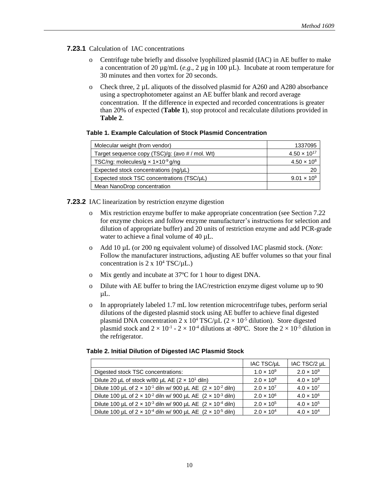#### **7.23.1** Calculation of IAC concentrations

- Centrifuge tube briefly and dissolve lyophilized plasmid (IAC) in AE buffer to make a concentration of 20  $\mu$ g/mL (*e.g.*, 2  $\mu$ g in 100  $\mu$ L). Incubate at room temperature for 30 minutes and then vortex for 20 seconds.
- o Check three, 2 µL aliquots of the dissolved plasmid for A260 and A280 absorbance using a spectrophotometer against an AE buffer blank and record average concentration. If the difference in expected and recorded concentrations is greater than 20% of expected (**Table 1**), stop protocol and recalculate dilutions provided in **Table 2**.

#### **Table 1. Example Calculation of Stock Plasmid Concentration**

| Molecular weight (from vendor)                                | 1337095               |
|---------------------------------------------------------------|-----------------------|
| Target sequence copy (TSC)/g: (avo # / mol. Wt)               | $4.50 \times 10^{17}$ |
| TSC/ng: molecules/g $\times$ 1 $\times$ 10 <sup>-9</sup> g/ng | $4.50 \times 10^{8}$  |
| Expected stock concentrations $(nq/\mu L)$                    | 20                    |
| Expected stock TSC concentrations (TSC/µL)                    | $9.01 \times 10^{9}$  |
| Mean NanoDrop concentration                                   |                       |

#### **7.23.2** IAC linearization by restriction enzyme digestion

- o Mix restriction enzyme buffer to make appropriate concentration (see Section 7.22 for enzyme choices and follow enzyme manufacturer's instructions for selection and dilution of appropriate buffer) and 20 units of restriction enzyme and add PCR-grade water to achieve a final volume of 40  $\mu$ L.
- o Add 10 µL (or 200 ng equivalent volume) of dissolved IAC plasmid stock. (*Note*: Follow the manufacturer instructions, adjusting AE buffer volumes so that your final concentration is  $2 \times 10^4$  TSC/ $\mu$ L.)
- o Mix gently and incubate at 37ºC for 1 hour to digest DNA.
- o Dilute with AE buffer to bring the IAC/restriction enzyme digest volume up to 90 µL.
- o In appropriately labeled 1.7 mL low retention microcentrifuge tubes, perform serial dilutions of the digested plasmid stock using AE buffer to achieve final digested plasmid DNA concentration 2 x  $10^4$  TSC/ $\mu$ L ( $2 \times 10^{-5}$  dilution). Store digested plasmid stock and  $2 \times 10^{-1}$  -  $2 \times 10^{-4}$  dilutions at -80°C. Store the  $2 \times 10^{-5}$  dilution in the refrigerator.

#### **Table 2. Initial Dilution of Digested IAC Plasmid Stock**

|                                                                                 | IAC TSC/µL          | IAC TSC/2 µL        |
|---------------------------------------------------------------------------------|---------------------|---------------------|
| Digested stock TSC concentrations:                                              | $1.0 \times 10^{9}$ | $2.0 \times 10^{9}$ |
| Dilute 20 µL of stock w/80 µL AE $(2 \times 10^1 \text{ dim})$                  | $2.0 \times 10^{8}$ | $4.0 \times 10^{8}$ |
| Dilute 100 µL of $2 \times 10^{-1}$ diln w/ 900 µL AE $(2 \times 10^{-2}$ diln) | $2.0 \times 10^{7}$ | $4.0 \times 10^{7}$ |
| Dilute 100 µL of $2 \times 10^{-2}$ diln w/ 900 µL AE $(2 \times 10^{-3}$ diln) | $2.0 \times 10^{6}$ | $4.0 \times 10^{6}$ |
| Dilute 100 µL of $2 \times 10^{-3}$ diln w/ 900 µL AE $(2 \times 10^{-4}$ diln) | $2.0 \times 10^{5}$ | $4.0 \times 10^{5}$ |
| Dilute 100 µL of $2 \times 10^{-4}$ diln w/ 900 µL AE $(2 \times 10^{-5}$ diln) | $2.0 \times 10^{4}$ | $4.0 \times 10^{4}$ |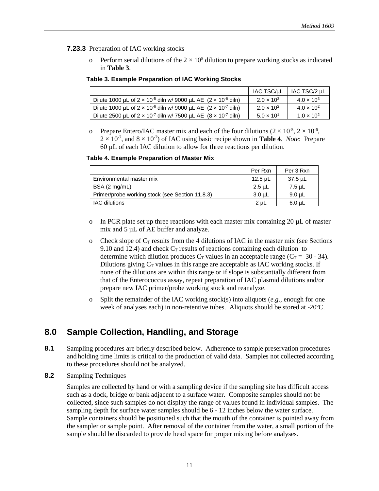#### <span id="page-17-0"></span>**7.23.3** Preparation of IAC working stocks

Perform serial dilutions of the  $2 \times 10^5$  dilution to prepare working stocks as indicated in **Table 3**.

#### **Table 3. Example Preparation of IAC Working Stocks**

|                                                                                   | IAC TSC/µL          | IAC TSC/2 µL        |
|-----------------------------------------------------------------------------------|---------------------|---------------------|
| Dilute 1000 µL of $2 \times 10^{-5}$ diln w/ 9000 µL AE $(2 \times 10^{-6}$ diln) | $2.0 \times 10^{3}$ | $4.0 \times 10^{3}$ |
| Dilute 1000 µL of $2 \times 10^{-6}$ diln w/ 9000 µL AE $(2 \times 10^{-7}$ diln) | $2.0 \times 10^{2}$ | $4.0 \times 10^{2}$ |
| Dilute 2500 uL of $2 \times 10^{-7}$ diln w/ 7500 uL AE $(8 \times 10^{-7}$ diln) | $5.0 \times 10^{1}$ | $1.0 \times 10^{2}$ |

o Prepare Entero/IAC master mix and each of the four dilutions  $(2 \times 10^{-5}, 2 \times 10^{-6},$  $2 \times 10^{-7}$ , and  $8 \times 10^{-7}$ ) of IAC using basic recipe shown in **Table 4**. *Note*: Prepare 60 µL of each IAC dilution to allow for three reactions per dilution.

#### **Table 4. Example Preparation of Master Mix**

|                                                 | Per Rxn     | Per 3 Rxn   |
|-------------------------------------------------|-------------|-------------|
| Environmental master mix                        | 12.5 µL     | $37.5$ µL   |
| BSA (2 mg/mL)                                   | $2.5$ µL    | 7.5 uL      |
| Primer/probe working stock (see Section 11.8.3) | $3.0 \mu L$ | $9.0$ uL    |
| <b>IAC</b> dilutions                            | $2u$ L      | $6.0 \mu L$ |

- o In PCR plate set up three reactions with each master mix containing 20 µL of master mix and 5  $\mu$ L of AE buffer and analyze.
- o Check slope of  $C_T$  results from the 4 dilutions of IAC in the master mix (see Sections 9.10 and 12.4) and check  $C_T$  results of reactions containing each dilution to determine which dilution produces  $C_T$  values in an acceptable range ( $C_T = 30 - 34$ ). Dilutions giving  $C_T$  values in this range are acceptable as IAC working stocks. If none of the dilutions are within this range or if slope is substantially different from that of the Enterococcus assay, repeat preparation of IAC plasmid dilutions and/or prepare new IAC primer/probe working stock and reanalyze.
- o Split the remainder of the IAC working stock(s) into aliquots (*e.g*., enough for one week of analyses each) in non-retentive tubes. Aliquots should be stored at -20ºC.

#### **8.0 Sample Collection, Handling, and Storage**

- 8.1 Sampling procedures are briefly described below. Adherence to sample preservation procedures and holding time limits is critical to the production of valid data. Samples not collected according to these procedures should not be analyzed.
- **8.2** Sampling Techniques

Samples are collected by hand or with a sampling device if the sampling site has difficult access such as a dock, bridge or bank adjacent to a surface water. Composite samples should not be collected, since such samples do not display the range of values found in individual samples. The sampling depth for surface water samples should be 6 - 12 inches below the water surface. Sample containers should be positioned such that the mouth of the container is pointed away from the sampler or sample point. After removal of the container from the water, a small portion of the sample should be discarded to provide head space for proper mixing before analyses.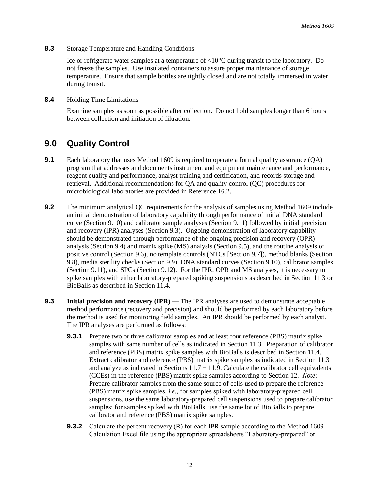<span id="page-18-0"></span>**8.3** Storage Temperature and Handling Conditions

Ice or refrigerate water samples at a temperature of  $\langle 10^{\circ}$ C during transit to the laboratory. Do not freeze the samples. Use insulated containers to assure proper maintenance of storage temperature. Ensure that sample bottles are tightly closed and are not totally immersed in water during transit.

**8.4** Holding Time Limitations

Examine samples as soon as possible after collection. Do not hold samples longer than 6 hours between collection and initiation of filtration.

#### **9.0 Quality Control**

- **9.1** Each laboratory that uses Method 1609 is required to operate a formal quality assurance (QA) program that addresses and documents instrument and equipment maintenance and performance, reagent quality and performance, analyst training and certification, and records storage and retrieval. Additional recommendations for QA and quality control (QC) procedures for microbiological laboratories are provided in Reference 16.2.
- **9.2** The minimum analytical OC requirements for the analysis of samples using Method 1609 include an initial demonstration of laboratory capability through performance of initial DNA standard curve (Section 9.10) and calibrator sample analyses (Section 9.11) followed by initial precision and recovery (IPR) analyses (Section 9.3). Ongoing demonstration of laboratory capability should be demonstrated through performance of the ongoing precision and recovery (OPR) analysis (Section 9.4) and matrix spike (MS) analysis (Section 9.5), and the routine analysis of positive control (Section 9.6), no template controls (NTCs [Section 9.7]), method blanks (Section 9.8), media sterility checks (Section 9.9), DNA standard curves (Section 9.10), calibrator samples (Section 9.11), and SPCs (Section 9.12). For the IPR, OPR and MS analyses, it is necessary to spike samples with either laboratory-prepared spiking suspensions as described in Section 11.3 or BioBalls as described in Section 11.4.
- **9.3** Initial precision and recovery (IPR) The IPR analyses are used to demonstrate acceptable method performance (recovery and precision) and should be performed by each laboratory before the method is used for monitoring field samples. An IPR should be performed by each analyst. The IPR analyses are performed as follows:
	- **9.3.1** Prepare two or three calibrator samples and at least four reference (PBS) matrix spike samples with same number of cells as indicated in Section 11.3. Preparation of calibrator and reference (PBS) matrix spike samples with BioBalls is described in Section 11.4. Extract calibrator and reference (PBS) matrix spike samples as indicated in Section 11.3 and analyze as indicated in Sections  $11.7 - 11.9$ . Calculate the calibrator cell equivalents (CCEs) in the reference (PBS) matrix spike samples according to Section 12. *Note*: Prepare calibrator samples from the same source of cells used to prepare the reference (PBS) matrix spike samples, *i.e.,* for samples spiked with laboratory-prepared cell suspensions, use the same laboratory-prepared cell suspensions used to prepare calibrator samples; for samples spiked with BioBalls, use the same lot of BioBalls to prepare calibrator and reference (PBS) matrix spike samples.
	- **9.3.2** Calculate the percent recovery (R) for each IPR sample according to the Method 1609 Calculation Excel file using the appropriate spreadsheets "Laboratory-prepared" or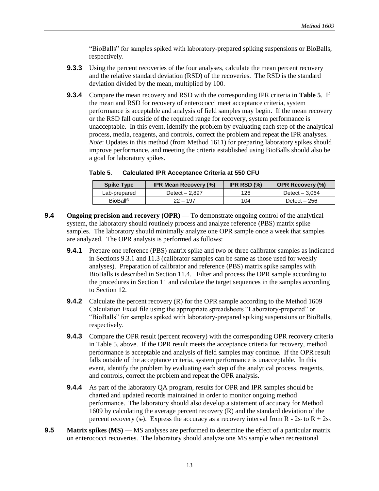"BioBalls" for samples spiked with laboratory-prepared spiking suspensions or BioBalls, respectively.

- **9.3.3** Using the percent recoveries of the four analyses, calculate the mean percent recovery and the relative standard deviation (RSD) of the recoveries. The RSD is the standard deviation divided by the mean, multiplied by 100.
- **9.3.4** Compare the mean recovery and RSD with the corresponding IPR criteria in **Table 5**. If the mean and RSD for recovery of enterococci meet acceptance criteria, system performance is acceptable and analysis of field samples may begin. If the mean recovery or the RSD fall outside of the required range for recovery, system performance is unacceptable. In this event, identify the problem by evaluating each step of the analytical process, media, reagents, and controls, correct the problem and repeat the IPR analyses. *Note*: Updates in this method (from Method 1611) for preparing laboratory spikes should improve performance, and meeting the criteria established using BioBalls should also be a goal for laboratory spikes.

| <b>Spike Type</b>    | <b>IPR Mean Recovery (%)</b> | IPR RSD $(\%)$ | <b>OPR Recovery (%)</b> |
|----------------------|------------------------------|----------------|-------------------------|
| Lab-prepared         | Detect - 2.897               | 126            | Detect $-3.064$         |
| BioBall <sup>®</sup> | $22 - 197$                   | 104            | Detect $-256$           |

**Table 5. Calculated IPR Acceptance Criteria at 550 CFU** 

- **9.4 Ongoing precision and recovery (OPR)** To demonstrate ongoing control of the analytical system, the laboratory should routinely process and analyze reference (PBS) matrix spike samples. The laboratory should minimally analyze one OPR sample once a week that samples are analyzed. The OPR analysis is performed as follows:
	- **9.4.1** Prepare one reference (PBS) matrix spike and two or three calibrator samples as indicated in Sections 9.3.1 and 11.3 (calibrator samples can be same as those used for weekly analyses). Preparation of calibrator and reference (PBS) matrix spike samples with BioBalls is described in Section 11.4. Filter and process the OPR sample according to the procedures in Section 11 and calculate the target sequences in the samples according to Section 12.
	- **9.4.2** Calculate the percent recovery (R) for the OPR sample according to the Method 1609 Calculation Excel file using the appropriate spreadsheets "Laboratory-prepared" or "BioBalls" for samples spiked with laboratory-prepared spiking suspensions or BioBalls, respectively.
	- **9.4.3** Compare the OPR result (percent recovery) with the corresponding OPR recovery criteria in Table 5, above. If the OPR result meets the acceptance criteria for recovery, method performance is acceptable and analysis of field samples may continue. If the OPR result falls outside of the acceptance criteria, system performance is unacceptable. In this event, identify the problem by evaluating each step of the analytical process, reagents, and controls, correct the problem and repeat the OPR analysis.
	- **9.4.4** As part of the laboratory QA program, results for OPR and IPR samples should be charted and updated records maintained in order to monitor ongoing method performance. The laboratory should also develop a statement of accuracy for Method 1609 by calculating the average percent recovery (R) and the standard deviation of the percent recovery ( $s_r$ ). Express the accuracy as a recovery interval from R -  $2s_r$  to R +  $2s_r$ .
- **9.5 Matrix spikes (MS)** MS analyses are performed to determine the effect of a particular matrix on enterococci recoveries. The laboratory should analyze one MS sample when recreational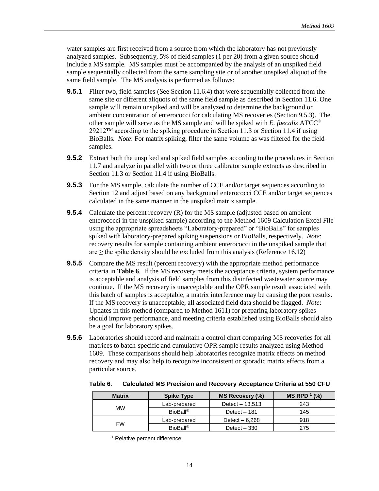water samples are first received from a source from which the laboratory has not previously analyzed samples. Subsequently, 5% of field samples (1 per 20) from a given source should include a MS sample. MS samples must be accompanied by the analysis of an unspiked field sample sequentially collected from the same sampling site or of another unspiked aliquot of the same field sample. The MS analysis is performed as follows:

- **9.5.1** Filter two, field samples (See Section 11.6.4) that were sequentially collected from the same site or different aliquots of the same field sample as described in Section 11.6. One sample will remain unspiked and will be analyzed to determine the background or ambient concentration of enterococci for calculating MS recoveries (Section 9.5.3). The other sample will serve as the MS sample and will be spiked with *E. faecalis* ATCC® 29212™ according to the spiking procedure in Section 11.3 or Section 11.4 if using BioBalls. *Note*: For matrix spiking, filter the same volume as was filtered for the field samples.
- **9.5.2** Extract both the unspiked and spiked field samples according to the procedures in Section 11.7 and analyze in parallel with two or three calibrator sample extracts as described in Section 11.3 or Section 11.4 if using BioBalls.
- **9.5.3** For the MS sample, calculate the number of CCE and/or target sequences according to Section 12 and adjust based on any background enterococci CCE and/or target sequences calculated in the same manner in the unspiked matrix sample.
- **9.5.4** Calculate the percent recovery (R) for the MS sample (adjusted based on ambient enterococci in the unspiked sample) according to the Method 1609 Calculation Excel File using the appropriate spreadsheets "Laboratory-prepared" or "BioBalls" for samples spiked with laboratory-prepared spiking suspensions or BioBalls, respectively. *Note*: recovery results for sample containing ambient enterococci in the unspiked sample that are  $\geq$  the spike density should be excluded from this analysis (Reference 16.12)
- **9.5.5** Compare the MS result (percent recovery) with the appropriate method performance criteria in **Table 6**. If the MS recovery meets the acceptance criteria, system performance is acceptable and analysis of field samples from this disinfected wastewater source may continue. If the MS recovery is unacceptable and the OPR sample result associated with this batch of samples is acceptable, a matrix interference may be causing the poor results. If the MS recovery is unacceptable, all associated field data should be flagged. *Note*: Updates in this method (compared to Method 1611) for preparing laboratory spikes should improve performance, and meeting criteria established using BioBalls should also be a goal for laboratory spikes.
- **9.5.6** Laboratories should record and maintain a control chart comparing MS recoveries for all matrices to batch-specific and cumulative OPR sample results analyzed using Method 1609. These comparisons should help laboratories recognize matrix effects on method recovery and may also help to recognize inconsistent or sporadic matrix effects from a particular source.

| <b>Matrix</b> | <b>Spike Type</b>    | MS Recovery (%)  | $MS$ RPD $^{1}$ (%) |
|---------------|----------------------|------------------|---------------------|
|               | Lab-prepared         | Detect $-13,513$ | 243                 |
| <b>MW</b>     | BioBall <sup>®</sup> | Detect - 181     | 145                 |
|               | Lab-prepared         | Detect $-6,268$  | 918                 |
| <b>FW</b>     | <b>BioBall®</b>      | Detect $-330$    | 275                 |

**Table 6. Calculated MS Precision and Recovery Acceptance Criteria at 550 CFU** 

<sup>1</sup> Relative percent difference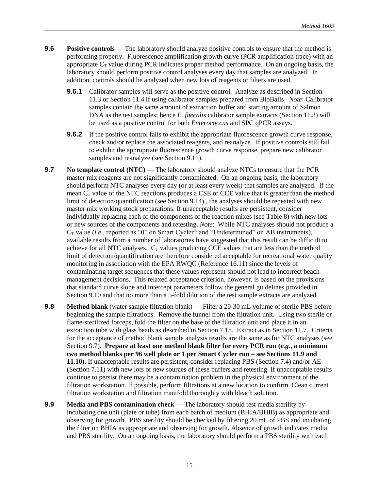- **9.6 Positive controls** The laboratory should analyze positive controls to ensure that the method is performing properly. Fluorescence amplification growth curve (PCR amplification trace) with an appropriate  $C_T$  value during PCR indicates proper method performance. On an ongoing basis, the laboratory should perform positive control analyses every day that samples are analyzed. In addition, controls should be analyzed when new lots of reagents or filters are used.
	- **9.6.1** Calibrator samples will serve as the positive control. Analyze as described in Section 11.3 or Section 11.4 if using calibrator samples prepared from BioBalls. *Note*: Calibrator samples contain the same amount of extraction buffer and starting amount of Salmon DNA as the test samples; hence *E. faecalis* calibrator sample extracts (Section 11.3) will be used as a positive control for both *Enterococcus* and SPC qPCR assays.
	- **9.6.2** If the positive control fails to exhibit the appropriate fluorescence growth curve response, check and/or replace the associated reagents, and reanalyze. If positive controls still fail to exhibit the appropriate fluorescence growth curve response, prepare new calibrator samples and reanalyze (see Section 9.11).
- **9.7 No template control (NTC)** The laboratory should analyze NTCs to ensure that the PCR master mix reagents are not significantly contaminated. On an ongoing basis, the laboratory should perform NTC analyses every day (or at least every week) that samples are analyzed. If the mean  $C_T$  value of the NTC reactions produces a CSE or CCE value that is greater than the method limit of detection/quantification (see Section 9.14) , the analyses should be repeated with new master mix working stock preparations. If unacceptable results are persistent, consider individually replacing each of the components of the reaction mixes (see Table 8) with new lots or new sources of the components and retesting. *Note*: While NTC analyses should not produce a  $C_T$  value (*i.e.*, reported as  $\sim 0$ " on Smart Cycler<sup>®</sup> and "Undetermined" on AB instruments), available results from a number of laboratories have suggested that this result can be difficult to achieve for all NTC analyses.  $C_T$  values producing CCE values that are less than the method limit of detection/quantification are therefore considered acceptable for recreational water quality monitoring in association with the EPA RWQC (Reference 16.11) since the levels of contaminating target sequences that these values represent should not lead to incorrect beach management decisions. This relaxed acceptance criterion, however, is based on the provisions that standard curve slope and intercept parameters follow the general guidelines provided in Section 9.10 and that no more than a 5-fold dilution of the test sample extracts are analyzed.
- **9.8 Method blank** (water sample filtration blank) Filter a 20-30 mL volume of sterile PBS before beginning the sample filtrations. Remove the funnel from the filtration unit. Using two sterile or flame-sterilized forceps, fold the filter on the base of the filtration unit and place it in an extraction tube with glass beads as described in Section 7.18. Extract as in Section 11.7. Criteria for the acceptance of method blank sample analysis results are the same as for NTC analyses (see Section 9.7). **Prepare at least one method blank filter for every PCR run (***e.g.***, a minimum two method blanks per 96 well plate or 1 per Smart Cycler run – see Sections 11.9 and 11.10).** If unacceptable results are persistent, consider replacing PBS (Section 7.4) and/or AE (Section 7.11) with new lots or new sources of these buffers and retesting. If unacceptable results continue to persist there may be a contamination problem in the physical environment of the filtration workstation. If possible, perform filtrations at a new location to confirm. Clean current filtration workstation and filtration manifold thoroughly with bleach solution.
- **9.9 Media and PBS contamination check** The laboratory should test media sterility by incubating one unit (plate or tube) from each batch of medium (BHIA/BHIB) as appropriate and observing for growth. PBS sterility should be checked by filtering 20 mL of PBS and incubating the filter on BHIA as appropriate and observing for growth. Absence of growth indicates media and PBS sterility. On an ongoing basis, the laboratory should perform a PBS sterility with each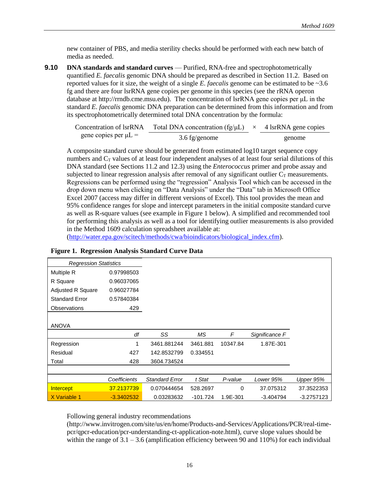new container of PBS, and media sterility checks should be performed with each new batch of media as needed.

**9.10 DNA standards and standard curves** — Purified, RNA-free and spectrophotometrically quantified *E. faecalis* genomic DNA should be prepared as described in Section 11.2. Based on reported values for it size, the weight of a single *E. faecalis* genome can be estimated to be ~3.6 fg and there are four lsrRNA gene copies per genome in this species (see the rRNA operon database at http://rrndb.cme.msu.edu). The concentration of lsrRNA gene copies per μL in the standard *E. faecalis* genomic DNA preparation can be determined from this information and from its spectrophotometrically determined total DNA concentration by the formula:

| Concentration of lsrRNA   | Total DNA concentration (fg/ $\mu$ L) $\times$ 4 lsrRNA gene copies |        |
|---------------------------|---------------------------------------------------------------------|--------|
| gene copies per $\mu L =$ | $3.6 \text{ fg/genome}$                                             | genome |

A composite standard curve should be generated from estimated log10 target sequence copy numbers and  $C_T$  values of at least four independent analyses of at least four serial dilutions of this DNA standard (see Sections 11.2 and 12.3) using the *Enterococcus* primer and probe assay and subjected to linear regression analysis after removal of any significant outlier  $C_T$  measurements. Regressions can be performed using the "regression" Analysis Tool which can be accessed in the drop down menu when clicking on "Data Analysis" under the "Data" tab in Microsoft Office Excel 2007 (access may differ in different versions of Excel). This tool provides the mean and 95% confidence ranges for slope and intercept parameters in the initial composite standard curve as well as R-square values (see example in Figure 1 below). A simplified and recommended tool for performing this analysis as well as a tool for identifying outlier measurements is also provided in the Method 1609 calculation spreadsheet available at:

[\(http://water.epa.gov/scitech/methods/cwa/bioindicators/biological\\_index.cfm\)](http://water.epa.gov/scitech/methods/cwa/bioindicators/biological_index.cfm).

| <b>Regression Statistics</b> |              |                       |          |          |                |            |
|------------------------------|--------------|-----------------------|----------|----------|----------------|------------|
| Multiple R                   | 0.97998503   |                       |          |          |                |            |
| R Square                     | 0.96037065   |                       |          |          |                |            |
| <b>Adjusted R Square</b>     | 0.96027784   |                       |          |          |                |            |
| <b>Standard Error</b>        | 0.57840384   |                       |          |          |                |            |
| <b>Observations</b>          | 429          |                       |          |          |                |            |
|                              |              |                       |          |          |                |            |
| <b>ANOVA</b>                 |              |                       |          |          |                |            |
|                              |              |                       |          |          |                |            |
|                              | df           | SS                    | ΜS       | F        | Significance F |            |
| Regression                   | 1            | 3461.881244           | 3461.881 | 10347.84 | 1.87E-301      |            |
| Residual                     | 427          | 142.8532799           | 0.334551 |          |                |            |
| Total                        | 428          | 3604.734524           |          |          |                |            |
|                              |              |                       |          |          |                |            |
|                              | Coefficients | <b>Standard Error</b> | t Stat   | P-value  | Lower 95%      | Upper 95%  |
| Intercept                    | 37.2137739   | 0.070444654           | 528.2697 | 0        | 37.075312      | 37.3522353 |

#### **Figure 1. Regression Analysis Standard Curve Data**

Following general industry recommendations

(http://www.invitrogen.com/site/us/en/home/Products-and-Services/Applications/PCR/real-timepcr/qpcr-education/pcr-understanding-ct-application-note.html), curve slope values should be within the range of  $3.1 - 3.6$  (amplification efficiency between 90 and 110%) for each individual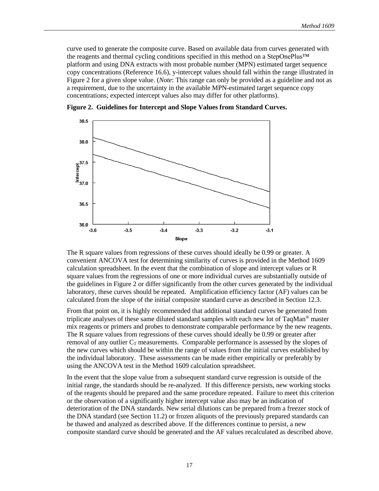curve used to generate the composite curve. Based on available data from curves generated with the reagents and thermal cycling conditions specified in this method on a StepOnePlus™ platform and using DNA extracts with most probable number (MPN) estimated target sequence copy concentrations (Reference 16.6), y-intercept values should fall within the range illustrated in Figure 2 for a given slope value. (*Note*: This range can only be provided as a guideline and not as a requirement, due to the uncertainty in the available MPN-estimated target sequence copy concentrations; expected intercept values also may differ for other platforms).



**Figure 2. Guidelines for Intercept and Slope Values from Standard Curves.** 

The R square values from regressions of these curves should ideally be 0.99 or greater. A convenient ANCOVA test for determining similarity of curves is provided in the Method 1609 calculation spreadsheet. In the event that the combination of slope and intercept values or R square values from the regressions of one or more individual curves are substantially outside of the guidelines in Figure 2 or differ significantly from the other curves generated by the individual laboratory, these curves should be repeated. Amplification efficiency factor (AF) values can be calculated from the slope of the initial composite standard curve as described in Section 12.3.

From that point on, it is highly recommended that additional standard curves be generated from triplicate analyses of these same diluted standard samples with each new lot of  $TaqMan^{\circledcirc}$  master mix reagents or primers and probes to demonstrate comparable performance by the new reagents. The R square values from regressions of these curves should ideally be 0.99 or greater after removal of any outlier  $C_T$  measurements. Comparable performance is assessed by the slopes of the new curves which should be within the range of values from the initial curves established by the individual laboratory. These assessments can be made either empirically or preferably by using the ANCOVA test in the Method 1609 calculation spreadsheet.

In the event that the slope value from a subsequent standard curve regression is outside of the initial range, the standards should be re-analyzed. If this difference persists, new working stocks of the reagents should be prepared and the same procedure repeated. Failure to meet this criterion or the observation of a significantly higher intercept value also may be an indication of deterioration of the DNA standards. New serial dilutions can be prepared from a freezer stock of the DNA standard (see Section 11.2) or frozen aliquots of the previously prepared standards can be thawed and analyzed as described above. If the differences continue to persist, a new composite standard curve should be generated and the AF values recalculated as described above.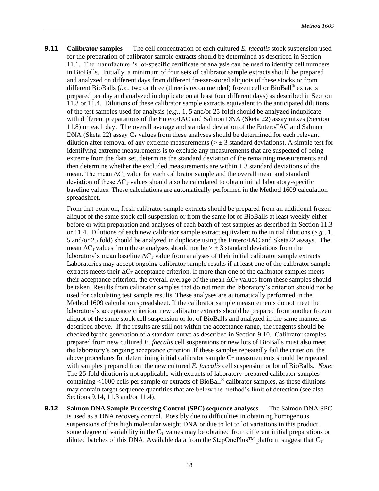**9.11 Calibrator samples** — The cell concentration of each cultured *E. faecalis* stock suspension used for the preparation of calibrator sample extracts should be determined as described in Section 11.1. The manufacturer's lot-specific certificate of analysis can be used to identify cell numbers in BioBalls. Initially, a minimum of four sets of calibrator sample extracts should be prepared and analyzed on different days from different freezer-stored aliquots of these stocks or from different BioBalls (*i.e.,* two or three (three is recommended) frozen cell or BioBall® extracts prepared per day and analyzed in duplicate on at least four different days) as described in Section 11.3 or 11.4. Dilutions of these calibrator sample extracts equivalent to the anticipated dilutions of the test samples used for analysis (*e.g.,* 1, 5 and/or 25-fold) should be analyzed induplicate with different preparations of the Entero/IAC and Salmon DNA (Sketa 22) assay mixes (Section 11.8) on each day. The overall average and standard deviation of the Entero/IAC and Salmon DNA (Sketa 22) assay  $C_T$  values from these analyses should be determined for each relevant dilution after removal of any extreme measurements ( $> \pm 3$  standard deviations). A simple test for identifying extreme measurements is to exclude any measurements that are suspected of being extreme from the data set, determine the standard deviation of the remaining measurements and then determine whether the excluded measurements are within  $\pm$  3 standard deviations of the mean. The mean  $\Delta C_T$  value for each calibrator sample and the overall mean and standard deviation of these  $\Delta C_T$  values should also be calculated to obtain initial laboratory-specific baseline values. These calculations are automatically performed in the Method 1609 calculation spreadsheet.

From that point on, fresh calibrator sample extracts should be prepared from an additional frozen aliquot of the same stock cell suspension or from the same lot of BioBalls at least weekly either before or with preparation and analyses of each batch of test samples as described in Section 11.3 or 11.4. Dilutions of each new calibrator sample extract equivalent to the initial dilutions (*e.g.*, 1, 5 and/or 25 fold) should be analyzed in duplicate using the Entero/IAC and Sketa22 assays. The mean  $\Delta C_T$  values from these analyses should not be  $> \pm 3$  standard deviations from the laboratory's mean baseline  $\Delta C_T$  value from analyses of their initial calibrator sample extracts. Laboratories may accept ongoing calibrator sample results if at least one of the calibrator sample extracts meets their  $\Delta C_T$  acceptance criterion. If more than one of the calibrator samples meets their acceptance criterion, the overall average of the mean  $\Delta C_T$  values from these samples should be taken. Results from calibrator samples that do not meet the laboratory's criterion should not be used for calculating test sample results. These analyses are automatically performed in the Method 1609 calculation spreadsheet. If the calibrator sample measurements do not meet the laboratory's acceptance criterion, new calibrator extracts should be prepared from another frozen aliquot of the same stock cell suspension or lot of BioBalls and analyzed in the same manner as described above. If the results are still not within the acceptance range, the reagents should be checked by the generation of a standard curve as described in Section 9.10. Calibrator samples prepared from new cultured *E. faecalis* cell suspensions or new lots of BioBalls must also meet the laboratory's ongoing acceptance criterion. If these samples repeatedly fail the criterion, the above procedures for determining initial calibrator sample  $C_T$  measurements should be repeated with samples prepared from the new cultured *E. faecalis* cell suspension or lot of BioBalls. *Note*: The 25-fold dilution is not applicable with extracts of laboratory-prepared calibrator samples containing <1000 cells per sample or extracts of BioBall® calibrator samples, as these dilutions may contain target sequence quantities that are below the method's limit of detection (see also Sections 9.14, 11.3 and/or 11.4).

**9.12 Salmon DNA Sample Processing Control (SPC) sequence analyses** — The Salmon DNA SPC is used as a DNA recovery control. Possibly due to difficulties in obtaining homogenous suspensions of this high molecular weight DNA or due to lot to lot variations in this product, some degree of variability in the  $C_T$  values may be obtained from different initial preparations or diluted batches of this DNA. Available data from the StepOnePlus<sup>™</sup> platform suggest that  $C_T$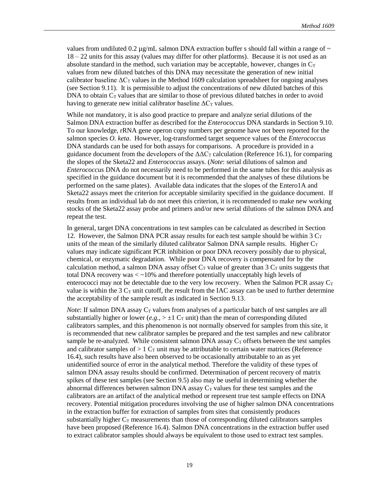values from undiluted 0.2  $\mu$ g/mL salmon DNA extraction buffer s should fall within a range of  $\sim$ 18 – 22 units for this assay (values may differ for other platforms). Because it is not used as an absolute standard in the method, such variation may be acceptable, however, changes in  $C_T$ values from new diluted batches of this DNA may necessitate the generation of new initial calibrator baseline  $\Delta C_{\text{T}}$  values in the Method 1609 calculation spreadsheet for ongoing analyses (see Section 9.11). It is permissible to adjust the concentrations of new diluted batches of this DNA to obtain  $C_T$  values that are similar to those of previous diluted batches in order to avoid having to generate new initial calibrator baseline  $\Delta C_T$  values.

While not mandatory, it is also good practice to prepare and analyze serial dilutions of the Salmon DNA extraction buffer as described for the *Enterococcus* DNA standards in Section 9.10. To our knowledge, rRNA gene operon copy numbers per genome have not been reported for the salmon species *O. keta*. However, log-transformed target sequence values of the *Enterococcus* DNA standards can be used for both assays for comparisons. A procedure is provided in a guidance document from the developers of the  $\Delta\Delta C_T$  calculation (Reference 16.1), for comparing the slopes of the Sketa22 and *Enterococcus* assays. (*Note*: serial dilutions of salmon and *Enterococcus* DNA do not necessarily need to be performed in the same tubes for this analysis as specified in the guidance document but it is recommended that the analyses of these dilutions be performed on the same plates). Available data indicates that the slopes of the Entero1A and Sketa22 assays meet the criterion for acceptable similarity specified in the guidance document. If results from an individual lab do not meet this criterion, it is recommended to make new working stocks of the Sketa22 assay probe and primers and/or new serial dilutions of the salmon DNA and repeat the test.

In general, target DNA concentrations in test samples can be calculated as described in Section 12. However, the Salmon DNA PCR assay results for each test sample should be within 3  $C_T$ units of the mean of the similarly diluted calibrator Salmon DNA sample results. Higher  $C_T$ values may indicate significant PCR inhibition or poor DNA recovery possibly due to physical, chemical, or enzymatic degradation. While poor DNA recovery is compensated for by the calculation method, a salmon DNA assay offset  $C_T$  value of greater than 3  $C_T$  units suggests that total DNA recovery was  $\langle \sim 10\%$  and therefore potentially unacceptably high levels of enterococci may not be detectable due to the very low recovery. When the Salmon PCR assay  $C_T$ value is within the 3  $C_T$  unit cutoff, the result from the IAC assay can be used to further determine the acceptability of the sample result as indicated in Section 9.13.

*Note*: If salmon DNA assay  $C_T$  values from analyses of a particular batch of test samples are all substantially higher or lower  $(e.g., \geq \pm 1 \, C_T \, \text{unit})$  than the mean of corresponding diluted calibrators samples, and this phenomenon is not normally observed for samples from this site, it is recommended that new calibrator samples be prepared and the test samples and new calibrator sample be re-analyzed. While consistent salmon DNA assay  $C_T$  offsets between the test samples and calibrator samples of  $> 1$  C<sub>T</sub> unit may be attributable to certain water matrices (Reference 16.4), such results have also been observed to be occasionally attributable to an as yet unidentified source of error in the analytical method. Therefore the validity of these types of salmon DNA assay results should be confirmed. Determination of percent recovery of matrix spikes of these test samples (see Section 9.5) also may be useful in determining whether the abnormal differences between salmon DNA assay  $C_T$  values for these test samples and the calibrators are an artifact of the analytical method or represent true test sample effects on DNA recovery. Potential mitigation procedures involving the use of higher salmon DNA concentrations in the extraction buffer for extraction of samples from sites that consistently produces substantially higher  $C_T$  measurements than those of corresponding diluted calibrators samples have been proposed (Reference 16.4). Salmon DNA concentrations in the extraction buffer used to extract calibrator samples should always be equivalent to those used to extract test samples.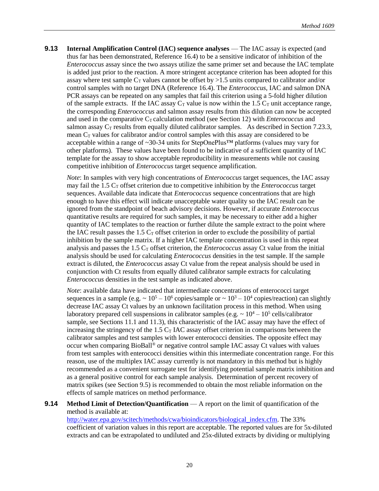**9.13 Internal Amplification Control (IAC) sequence analyses** — The IAC assay is expected (and thus far has been demonstrated, Reference 16.4) to be a sensitive indicator of inhibition of the *Enterococcus* assay since the two assays utilize the same primer set and because the IAC template is added just prior to the reaction. A more stringent acceptance criterion has been adopted for this assay where test sample  $C_T$  values cannot be offset by  $>1.5$  units compared to calibrator and/or control samples with no target DNA (Reference 16.4). The *Enterococcus*, IAC and salmon DNA PCR assays can be repeated on any samples that fail this criterion using a 5-fold higher dilution of the sample extracts. If the IAC assay  $C_T$  value is now within the 1.5  $C_T$  unit acceptance range, the corresponding *Enterococcus* and salmon assay results from this dilution can now be accepted and used in the comparative  $C<sub>T</sub>$  calculation method (see Section 12) with *Enterococcus* and salmon assay  $C_T$  results from equally diluted calibrator samples. As described in Section 7.23.3, mean  $C_T$  values for calibrator and/or control samples with this assay are considered to be acceptable within a range of ~30-34 units for StepOnePlus™ platforms (values may vary for other platforms). These values have been found to be indicative of a sufficient quantity of IAC template for the assay to show acceptable reproducibility in measurements while not causing competitive inhibition of *Enterococcus* target sequence amplification.

*Note*: In samples with very high concentrations of *Enterococcus* target sequences, the IAC assay may fail the 1.5 C<sub>T</sub> offset criterion due to competitive inhibition by the *Enterococcus* target sequences. Available data indicate that *Enterococcus* sequence concentrations that are high enough to have this effect will indicate unacceptable water quality so the IAC result can be ignored from the standpoint of beach advisory decisions. However, if accurate *Enterococcus* quantitative results are required for such samples, it may be necessary to either add a higher quantity of IAC templates to the reaction or further dilute the sample extract to the point where the IAC result passes the 1.5  $C<sub>T</sub>$  offset criterion in order to exclude the possibility of partial inhibition by the sample matrix. If a higher IAC template concentration is used in this repeat analysis and passes the  $1.5 \, \text{C}_\text{T}$  offset criterion, the *Enterococcus* assay Ct value from the initial analysis should be used for calculating *Enterococcus* densities in the test sample. If the sample extract is diluted, the *Enterococcus* assay Ct value from the repeat analysis should be used in conjunction with Ct results from equally diluted calibrator sample extracts for calculating *Enterococcus* densities in the test sample as indicated above.

*Note*: available data have indicated that intermediate concentrations of enterococci target sequences in a sample (e.g.  $\sim 10^5 - 10^6$  copies/sample or  $\sim 10^3 - 10^4$  copies/reaction) can slightly decrease IAC assay Ct values by an unknown facilitation process in this method. When using laboratory prepared cell suspensions in calibrator samples (e.g.  $\sim 10^4 - 10^5$  cells/calibrator sample, see Sections 11.1 and 11.3), this characteristic of the IAC assay may have the effect of increasing the stringency of the  $1.5$  C<sub>T</sub> IAC assay offset criterion in comparisons between the calibrator samples and test samples with lower enterococci densities. The opposite effect may occur when comparing BioBall® or negative control sample IAC assay Ct values with values from test samples with enterococci densities within this intermediate concentration range. For this reason, use of the multiplex IAC assay currently is not mandatory in this method but is highly recommended as a convenient surrogate test for identifying potential sample matrix inhibition and as a general positive control for each sample analysis. Determination of percent recovery of matrix spikes (see Section 9.5) is recommended to obtain the most reliable information on the effects of sample matrices on method performance.

**9.14 Method Limit of Detection/Quantification** — A report on the limit of quantification of the method is available at:

[http://water.epa.gov/scitech/methods/cwa/bioindicators/biological\\_index.cfm.](http://water.epa.gov/scitech/methods/cwa/bioindicators/biological_index.cfm) The 33% coefficient of variation values in this report are acceptable. The reported values are for 5x-diluted extracts and can be extrapolated to undiluted and 25x-diluted extracts by dividing or multiplying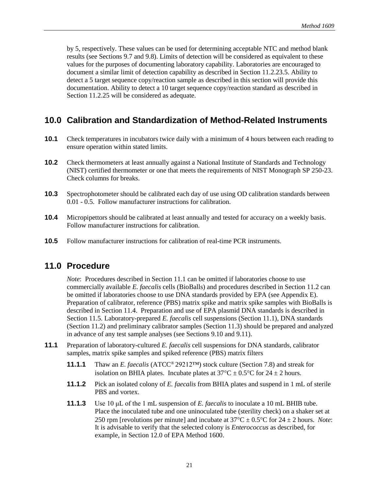<span id="page-27-0"></span>by 5, respectively. These values can be used for determining acceptable NTC and method blank results (see Sections 9.7 and 9.8). Limits of detection will be considered as equivalent to these values for the purposes of documenting laboratory capability. Laboratories are encouraged to document a similar limit of detection capability as described in Section 11.2.23.5. Ability to detect a 5 target sequence copy/reaction sample as described in this section will provide this documentation. Ability to detect a 10 target sequence copy/reaction standard as described in Section 11.2.25 will be considered as adequate.

# **10.0 Calibration and Standardization of Method-Related Instruments**

- **10.1** Check temperatures in incubators twice daily with a minimum of 4 hours between each reading to ensure operation within stated limits.
- **10.2** Check thermometers at least annually against a National Institute of Standards and Technology (NIST) certified thermometer or one that meets the requirements of NIST Monograph SP 250-23. Check columns for breaks.
- **10.3** Spectrophotometer should be calibrated each day of use using OD calibration standards between 0.01 - 0.5. Follow manufacturer instructions for calibration.
- **10.4** Micropipettors should be calibrated at least annually and tested for accuracy on a weekly basis. Follow manufacturer instructions for calibration.
- **10.5** Follow manufacturer instructions for calibration of real-time PCR instruments.

#### **11.0 Procedure**

*Note*: Procedures described in Section 11.1 can be omitted if laboratories choose to use commercially available *E. faecalis* cells (BioBalls) and procedures described in Section 11.2 can be omitted if laboratories choose to use DNA standards provided by EPA (see Appendix E). Preparation of calibrator, reference (PBS) matrix spike and matrix spike samples with BioBalls is described in Section 11.4. Preparation and use of EPA plasmid DNA standards is described in Section 11.5. Laboratory-prepared *E. faecalis* cell suspensions (Section 11.1), DNA standards (Section 11.2) and preliminary calibrator samples (Section 11.3) should be prepared and analyzed in advance of any test sample analyses (see Sections 9.10 and 9.11).

- **11.1** Preparation of laboratory-cultured *E. faecalis* cell suspensions for DNA standards, calibrator samples, matrix spike samples and spiked reference (PBS) matrix filters
	- **11.1.1** Thaw an *E. faecalis* (ATCC® 29212™) stock culture (Section 7.8) and streak for isolation on BHIA plates. Incubate plates at  $37^{\circ}$ C  $\pm$  0.5°C for 24  $\pm$  2 hours.
	- **11.1.2** Pick an isolated colony of *E. faecalis* from BHIA plates and suspend in 1 mL of sterile PBS and vortex.
	- **11.1.3** Use 10 μL of the 1 mL suspension of *E. faecalis* to inoculate a 10 mL BHIB tube. Place the inoculated tube and one uninoculated tube (sterility check) on a shaker set at 250 rpm [revolutions per minute] and incubate at  $37^{\circ}$ C  $\pm$  0.5°C for 24  $\pm$  2 hours. *Note*: It is advisable to verify that the selected colony is *Enterococcus* as described, for example, in Section 12.0 of EPA Method 1600.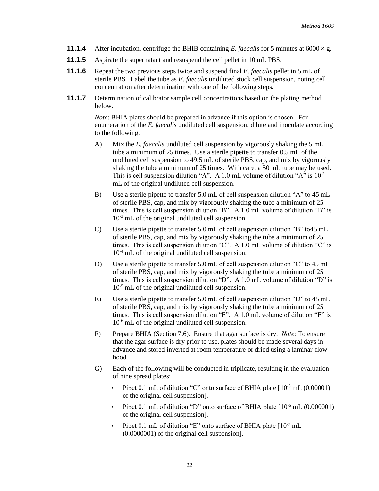- **11.1.4** After incubation, centrifuge the BHIB containing *E. faecalis* for 5 minutes at  $6000 \times g$ .
- **11.1.5** Aspirate the supernatant and resuspend the cell pellet in 10 mL PBS.
- **11.1.6** Repeat the two previous steps twice and suspend final *E. faecalis* pellet in 5 mL of sterile PBS. Label the tube as *E. faecalis* undiluted stock cell suspension, noting cell concentration after determination with one of the following steps.
- **11.1.7** Determination of calibrator sample cell concentrations based on the plating method below.

*Note*: BHIA plates should be prepared in advance if this option is chosen. For enumeration of the *E. faecalis* undiluted cell suspension, dilute and inoculate according to the following.

- A) Mix the *E. faecalis* undiluted cell suspension by vigorously shaking the 5 mL tube a minimum of 25 times. Use a sterile pipette to transfer 0.5 mL of the undiluted cell suspension to 49.5 mL of sterile PBS, cap, and mix by vigorously shaking the tube a minimum of 25 times. With care, a 50 mL tube may be used. This is cell suspension dilution "A". A 1.0 mL volume of dilution "A" is  $10^{-2}$ mL of the original undiluted cell suspension.
- B) Use a sterile pipette to transfer 5.0 mL of cell suspension dilution "A" to 45 mL of sterile PBS, cap, and mix by vigorously shaking the tube a minimum of 25 times. This is cell suspension dilution "B". A 1.0 mL volume of dilution "B" is  $10^{-3}$  mL of the original undiluted cell suspension.
- C) Use a sterile pipette to transfer 5.0 mL of cell suspension dilution "B" to45 mL of sterile PBS, cap, and mix by vigorously shaking the tube a minimum of 25 times. This is cell suspension dilution "C". A 1.0 mL volume of dilution "C" is 10-4 mL of the original undiluted cell suspension.
- D) Use a sterile pipette to transfer 5.0 mL of cell suspension dilution "C" to 45 mL of sterile PBS, cap, and mix by vigorously shaking the tube a minimum of 25 times. This is cell suspension dilution "D". A 1.0 mL volume of dilution "D" is 10-5 mL of the original undiluted cell suspension.
- E) Use a sterile pipette to transfer 5.0 mL of cell suspension dilution "D" to 45 mL of sterile PBS, cap, and mix by vigorously shaking the tube a minimum of 25 times. This is cell suspension dilution "E". A 1.0 mL volume of dilution "E" is 10-6 mL of the original undiluted cell suspension.
- F) Prepare BHIA (Section 7.6). Ensure that agar surface is dry. *Note*: To ensure that the agar surface is dry prior to use, plates should be made several days in advance and stored inverted at room temperature or dried using a laminar-flow hood.
- G) Each of the following will be conducted in triplicate, resulting in the evaluation of nine spread plates:
	- Pipet 0.1 mL of dilution "C" onto surface of BHIA plate  $[10^{-5}$  mL (0.00001) of the original cell suspension].
	- Pipet 0.1 mL of dilution "D" onto surface of BHIA plate  $[10^{-6}$  mL (0.000001) of the original cell suspension].
	- Pipet 0.1 mL of dilution "E" onto surface of BHIA plate  $[10^{-7}$  mL (0.0000001) of the original cell suspension].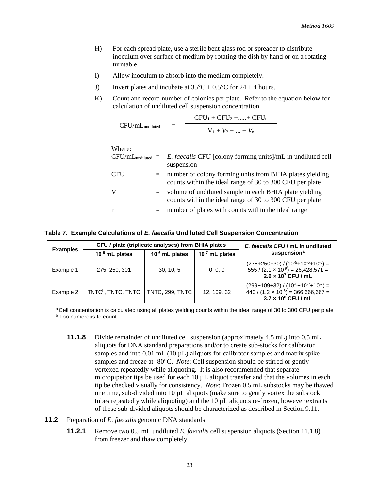- H) For each spread plate, use a sterile bent glass rod or spreader to distribute inoculum over surface of medium by rotating the dish by hand or on a rotating turntable.
- I) Allow inoculum to absorb into the medium completely.
- J) Invert plates and incubate at  $35^{\circ}C \pm 0.5^{\circ}C$  for  $24 \pm 4$  hours.
- K) Count and record number of colonies per plate. Refer to the equation below for calculation of undiluted cell suspension concentration.

$$
CFU/mLundiluted = \frac{CFU1 + CFU2 + .... + CFUn}{V1 + V2 + .... + Vn}
$$

|            |     | $CFU/mL$ <sub>undiluted</sub> = E. <i>faecalis</i> CFU [colony forming units]/mL in undiluted cell<br>suspension         |
|------------|-----|--------------------------------------------------------------------------------------------------------------------------|
| <b>CFU</b> |     | $=$ number of colony forming units from BHIA plates yielding<br>counts within the ideal range of 30 to 300 CFU per plate |
| V          | $=$ | volume of undiluted sample in each BHIA plate yielding<br>counts within the ideal range of 30 to 300 CFU per plate       |
| n          |     | $=$ number of plates with counts within the ideal range                                                                  |

**Table 7. Example Calculations of** *E. faecalis* **Undiluted Cell Suspension Concentration**

| <b>Examples</b> |                                                  | CFU / plate (triplicate analyses) from BHIA plates | E. faecalis CFU / mL in undiluted |                                                                                                                            |
|-----------------|--------------------------------------------------|----------------------------------------------------|-----------------------------------|----------------------------------------------------------------------------------------------------------------------------|
|                 | $10^{-5}$ mL plates                              | $10^{-6}$ mL plates                                | $10^{-7}$ mL plates               | suspension <sup>a</sup>                                                                                                    |
| Example 1       | 275, 250, 301                                    | 30, 10, 5                                          | 0, 0, 0                           | $(275+250+30)/(10^{-5}+10^{-5}+10^{-6})$ =<br>$555 / (2.1 \times 10^{-5}) = 26,428,571 =$<br>$2.6 \times 10^7$ CFU / mL    |
| Example 2       | TNTC <sup>b</sup> , TNTC, TNTC   TNTC, 299, TNTC |                                                    | 12, 109, 32                       | $(299+109+32) / (10^{-6}+10^{-7}+10^{-7}) =$<br>$440 / (1.2 \times 10^{-6}) = 366,666,667 =$<br>$3.7 \times 10^8$ CFU / mL |

a Cell concentration is calculated using all plates yielding counts within the ideal range of 30 to 300 CFU per plate **b** Too numerous to count

- **11.1.8** Divide remainder of undiluted cell suspension (approximately 4.5 mL) into 0.5 mL aliquots for DNA standard preparations and/or to create sub-stocks for calibrator samples and into  $0.01$  mL  $(10 \mu L)$  aliquots for calibrator samples and matrix spike samples and freeze at -80°C. *Note*: Cell suspension should be stirred or gently vortexed repeatedly while aliquoting. It is also recommended that separate micropipettor tips be used for each 10  $\mu$ L aliquot transfer and that the volumes in each tip be checked visually for consistency. *Note*: Frozen 0.5 mL substocks may be thawed one time, sub-divided into 10 µL aliquots (make sure to gently vortex the substock tubes repeatedly while aliquoting) and the 10 µL aliquots re-frozen, however extracts of these sub-divided aliquots should be characterized as described in Section 9.11.
- **11.2** Preparation of *E. faecalis* genomic DNA standards
	- **11.2.1** Remove two 0.5 mL undiluted *E. faecalis* cell suspension aliquots (Section 11.1.8) from freezer and thaw completely.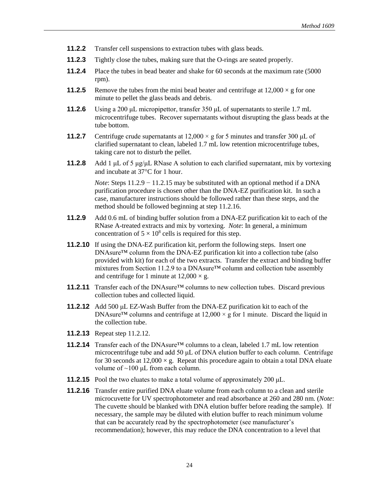- **11.2.2** Transfer cell suspensions to extraction tubes with glass beads.
- **11.2.3** Tightly close the tubes, making sure that the O-rings are seated properly.
- **11.2.4** Place the tubes in bead beater and shake for 60 seconds at the maximum rate (5000) rpm).
- **11.2.5** Remove the tubes from the mini bead beater and centrifuge at  $12,000 \times g$  for one minute to pellet the glass beads and debris.
- **11.2.6** Using a 200 μL micropipettor, transfer 350 μL of supernatants to sterile 1.7 mL microcentrifuge tubes. Recover supernatants without disrupting the glass beads at the tube bottom.
- **11.2.7** Centrifuge crude supernatants at  $12,000 \times g$  for 5 minutes and transfer 300 μL of clarified supernatant to clean, labeled 1.7 mL low retention microcentrifuge tubes, taking care not to disturb the pellet.
- **11.2.8** Add 1 μL of 5 μg/μL RNase A solution to each clarified supernatant, mix by vortexing and incubate at  $37^{\circ}$ C for 1 hour.

*Note*: Steps 11.2.9 − 11.2.15 may be substituted with an optional method if a DNA purification procedure is chosen other than the DNA-EZ purification kit. In such a case, manufacturer instructions should be followed rather than these steps, and the method should be followed beginning at step 11.2.16.

- **11.2.9** Add 0.6 mL of binding buffer solution from a DNA-EZ purification kit to each of the RNase A-treated extracts and mix by vortexing. *Note*: In general, a minimum concentration of  $5 \times 10^8$  cells is required for this step.
- **11.2.10** If using the DNA-EZ purification kit, perform the following steps. Insert one DNAsure™ column from the DNA-EZ purification kit into a collection tube (also provided with kit) for each of the two extracts. Transfer the extract and binding buffer mixtures from Section 11.2.9 to a DNAsure™ column and collection tube assembly and centrifuge for 1 minute at  $12,000 \times g$ .
- **11.2.11** Transfer each of the DNAsure<sup>™</sup> columns to new collection tubes. Discard previous collection tubes and collected liquid.
- **11.2.12** Add 500 μL EZ-Wash Buffer from the DNA-EZ purification kit to each of the DNAsure<sup>TM</sup> columns and centrifuge at  $12,000 \times g$  for 1 minute. Discard the liquid in the collection tube.
- **11.2.13** Repeat step 11.2.12.
- **11.2.14** Transfer each of the DNAsure™ columns to a clean, labeled 1.7 mL low retention microcentrifuge tube and add 50 μL of DNA elution buffer to each column. Centrifuge for 30 seconds at  $12,000 \times g$ . Repeat this procedure again to obtain a total DNA eluate volume of  $~100 \mu$ L from each column.
- **11.2.15** Pool the two eluates to make a total volume of approximately 200  $\mu$ L.
- **11.2.16** Transfer entire purified DNA eluate volume from each column to a clean and sterile microcuvette for UV spectrophotometer and read absorbance at 260 and 280 nm. (*Note*: The cuvette should be blanked with DNA elution buffer before reading the sample). If necessary, the sample may be diluted with elution buffer to reach minimum volume that can be accurately read by the spectrophotometer (see manufacturer's recommendation); however, this may reduce the DNA concentration to a level that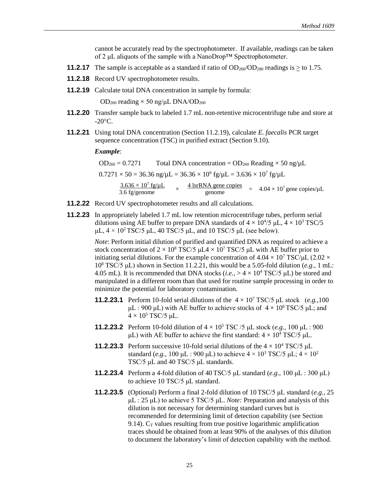cannot be accurately read by the spectrophotometer. If available, readings can be taken of 2 μL aliquots of the sample with a NanoDrop™ Spectrophotometer.

- **11.2.17** The sample is acceptable as a standard if ratio of  $OD_{260}/OD_{280}$  readings is  $>$  to 1.75.
- **11.2.18** Record UV spectrophotometer results.
- **11.2.19** Calculate total DNA concentration in sample by formula:

 $OD_{260}$  reading  $\times$  50 ng/μL DNA/OD<sub>260</sub>

- **11.2.20** Transfer sample back to labeled 1.7 mL non-retentive microcentrifuge tube and store at  $-20^{\circ}$ C.
- **11.2.21** Using total DNA concentration (Section 11.2.19), calculate *E. faecalis* PCR target sequence concentration (TSC) in purified extract (Section 9.10).

*Example*:

 $OD_{260} = 0.7271$  Total DNA concentration =  $OD_{260}$  Reading  $\times 50$  ng/ $\mu$ L  $0.7271 \times 50 = 36.36$  ng/ $\mu$ L =  $36.36 \times 10^6$  fg/ $\mu$ L =  $3.636 \times 10^7$  fg/ $\mu$ L  $3.636 \times 10^7$  fg/µL ×  $\frac{3.636 \times 10^7 \text{ fg/µL}}{3.6 \text{ fg/genome}}$   $\times$   $\frac{4 \text{ IsrRNA gene copies}}{\text{genome}}$   $=$   $4.04 \times 10^7 \text{ gene copies/µL}$ 

- **11.2.22** Record UV spectrophotometer results and all calculations.
- **11.2.23** In appropriately labeled 1.7 mL low retention microcentrifuge tubes, perform serial dilutions using AE buffer to prepare DNA standards of  $4 \times 10^{4}/5$   $\mu$ L,  $4 \times 10^{3}$  TSC/5 μL,  $4 \times 10^2$  TSC/5 μL, 40 TSC/5 μL, and 10 TSC/5 μL (see below).

*Note*: Perform initial dilution of purified and quantified DNA as required to achieve a stock concentration of  $2 \times 10^8$  TSC/5  $\mu$ L $4 \times 10^7$  TSC/5  $\mu$ L with AE buffer prior to initiating serial dilutions. For the example concentration of  $4.04 \times 10^7$  TSC/ $\mu$ L (2.02  $\times$ 10<sup>8</sup> TSC/5 μL) shown in Section 11.2.21, this would be a 5.05-fold dilution (*e.g.,* 1 mL: 4.05 mL). It is recommended that DNA stocks (*i.e.*,  $> 4 \times 10^4$  TSC/5 µL) be stored and manipulated in a different room than that used for routine sample processing in order to minimize the potential for laboratory contamination.

- **11.2.23.1** Perform 10-fold serial dilutions of the  $4 \times 10^7$  TSC/5 μL stock (*e.g.*, 100) μL : 900 μL) with AE buffer to achieve stocks of  $4 \times 10^6$  TSC/5 μL; and  $4 \times 10^5$  TSC/5 μL.
- **11.2.23.2** Perform 10-fold dilution of  $4 \times 10^5$  TSC /5 μL stock (*e.g.*, 100 μL : 900 μL) with AE buffer to achieve the first standard:  $4 \times 10^4$  TSC/5 μL.
- **11.2.23.3** Perform successive 10-fold serial dilutions of the  $4 \times 10^4$  TSC/5  $\mu$ L standard (*e.g.*, 100 μL : 900 μL) to achieve  $4 \times 10^3$  TSC/5 μL;  $4 \times 10^2$ TSC/5 μL and 40 TSC/5 μL standards.
- **11.2.23.4** Perform a 4-fold dilution of 40TSC/5 μL standard (*e.g.,* 100 μL : 300 μL) to achieve 10 TSC/5 μL standard.
- **11.2.23.5** (Optional) Perform a final 2-fold dilution of 10 TSC/5 μL standard (*e.g.,* 25 μL : 25 μL) to achieve 5 TSC/5 μL. *Note:* Preparation and analysis of this dilution is not necessary for determining standard curves but is recommended for determining limit of detection capability (see Section 9.14).  $C_T$  values resulting from true positive logarithmic amplification traces should be obtained from at least 90% of the analyses of this dilution to document the laboratory's limit of detection capability with the method.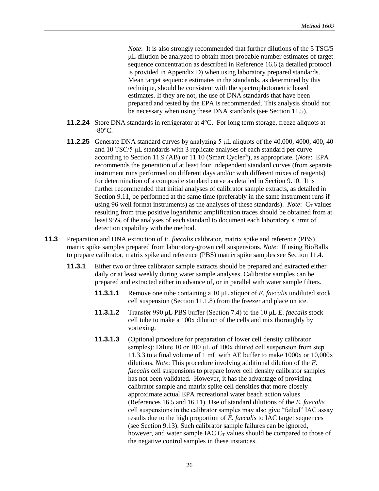*Note*: It is also strongly recommended that further dilutions of the 5 TSC/5 μL dilution be analyzed to obtain most probable number estimates of target sequence concentration as described in Reference 16.6 (a detailed protocol is provided in Appendix D) when using laboratory prepared standards. Mean target sequence estimates in the standards, as determined by this technique, should be consistent with the spectrophotometric based estimates. If they are not, the use of DNA standards that have been prepared and tested by the EPA is recommended. This analysis should not be necessary when using these DNA standards (see Section 11.5).

- **11.2.24** Store DNA standards in refrigerator at 4<sup>o</sup>C. For long term storage, freeze aliquots at  $-80^{\circ}$ C.
- **11.2.25** Generate DNA standard curves by analyzing 5 μL aliquots of the 40,000, 4000, 400, 40 and 10 TSC/5 μL standards with 3 replicate analyses of each standard per curve according to Section 11.9 (AB) or 11.10 (Smart Cycler®), as appropriate. (*Note*: EPA recommends the generation of at least four independent standard curves (from separate instrument runs performed on different days and/or with different mixes of reagents) for determination of a composite standard curve as detailed in Section 9.10. It is further recommended that initial analyses of calibrator sample extracts, as detailed in Section 9.11, be performed at the same time (preferably in the same instrument runs if using 96 well format instruments) as the analyses of these standards). *Note*:  $C_T$  values resulting from true positive logarithmic amplification traces should be obtained from at least 95% of the analyses of each standard to document each laboratory's limit of detection capability with the method.
- **11.3** Preparation and DNA extraction of *E. faecalis* calibrator, matrix spike and reference (PBS) matrix spike samples prepared from laboratory-grown cell suspensions. *Note*: If using BioBalls to prepare calibrator, matrix spike and reference (PBS) matrix spike samples see Section 11.4.
	- **11.3.1** Either two or three calibrator sample extracts should be prepared and extracted either daily or at least weekly during water sample analyses. Calibrator samples can be prepared and extracted either in advance of, or in parallel with water sample filters.
		- **11.3.1.1** Remove one tube containing a 10 μL aliquot of *E. faecalis* undiluted stock cell suspension (Section 11.1.8) from the freezer and place on ice.
		- **11.3.1.2** Transfer 990 μL PBS buffer (Section 7.4) to the 10 μL *E. faecalis* stock cell tube to make a 100x dilution of the cells and mix thoroughly by vortexing.
		- **11.3.1.3** (Optional procedure for preparation of lower cell density calibrator samples): Dilute 10 or 100 μL of 100x diluted cell suspension from step 11.3.3 to a final volume of 1 mL with AE buffer to make 1000x or 10,000x dilutions. *Note*: This procedure involving additional dilution of the *E. faecalis* cell suspensions to prepare lower cell density calibrator samples has not been validated. However, it has the advantage of providing calibrator sample and matrix spike cell densities that more closely approximate actual EPA recreational water beach action values (References 16.5 and 16.11). Use of standard dilutions of the *E. faecalis*  cell suspensions in the calibrator samples may also give "failed" IAC assay results due to the high proportion of *E. faecalis* to IAC target sequences (see Section 9.13). Such calibrator sample failures can be ignored, however, and water sample IAC  $C_T$  values should be compared to those of the negative control samples in these instances.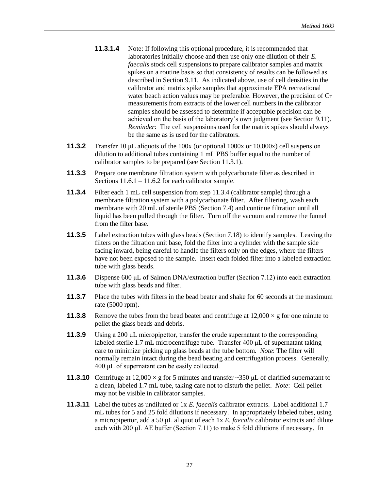- **11.3.1.4** Note: If following this optional procedure, it is recommended that laboratories initially choose and then use only one dilution of their *E. faecalis* stock cell suspensions to prepare calibrator samples and matrix spikes on a routine basis so that consistency of results can be followed as described in Section 9.11. As indicated above, use of cell densities in the calibrator and matrix spike samples that approximate EPA recreational water beach action values may be preferable. However, the precision of  $C_T$ measurements from extracts of the lower cell numbers in the calibrator samples should be assessed to determine if acceptable precision can be achieved on the basis of the laboratory's own judgment (see Section 9.11). *Reminder*: The cell suspensions used for the matrix spikes should always be the same as is used for the calibrators.
- **11.3.2** Transfer 10 μL aliquots of the 100x (or optional 1000x or 10,000x) cell suspension dilution to additional tubes containing 1 mL PBS buffer equal to the number of calibrator samples to be prepared (see Section 11.3.1).
- **11.3.3** Prepare one membrane filtration system with polycarbonate filter as described in Sections 11.6.1 – 11.6.2 for each calibrator sample.
- **11.3.4** Filter each 1 mL cell suspension from step 11.3.4 (calibrator sample) through a membrane filtration system with a polycarbonate filter. After filtering, wash each membrane with 20 mL of sterile PBS (Section 7.4) and continue filtration until all liquid has been pulled through the filter. Turn off the vacuum and remove the funnel from the filter base.
- **11.3.5** Label extraction tubes with glass beads (Section 7.18) to identify samples. Leaving the filters on the filtration unit base, fold the filter into a cylinder with the sample side facing inward, being careful to handle the filters only on the edges, where the filters have not been exposed to the sample. Insert each folded filter into a labeled extraction tube with glass beads.
- **11.3.6** Dispense 600 μL of Salmon DNA/extraction buffer (Section 7.12) into each extraction tube with glass beads and filter.
- **11.3.7** Place the tubes with filters in the bead beater and shake for 60 seconds at the maximum rate (5000 rpm).
- **11.3.8** Remove the tubes from the bead beater and centrifuge at  $12,000 \times g$  for one minute to pellet the glass beads and debris.
- **11.3.9** Using a 200 μL micropipettor, transfer the crude supernatant to the corresponding labeled sterile 1.7 mL microcentrifuge tube. Transfer 400 μL of supernatant taking care to minimize picking up glass beads at the tube bottom. *Note*: The filter will normally remain intact during the bead beating and centrifugation process. Generally, 400 μL of supernatant can be easily collected.
- **11.3.10** Centrifuge at  $12,000 \times g$  for 5 minutes and transfer  $\sim$ 350 µL of clarified supernatant to a clean, labeled 1.7 mL tube, taking care not to disturb the pellet. *Note*: Cell pellet may not be visible in calibrator samples.
- **11.3.11** Label the tubes as undiluted or 1x *E. faecalis* calibrator extracts. Label additional 1.7 mL tubes for 5 and 25 fold dilutions if necessary. In appropriately labeled tubes, using a micropipettor, add a 50 μL aliquot of each 1x *E. faecalis* calibrator extracts and dilute each with 200 μL AE buffer (Section 7.11) to make 5 fold dilutions if necessary. In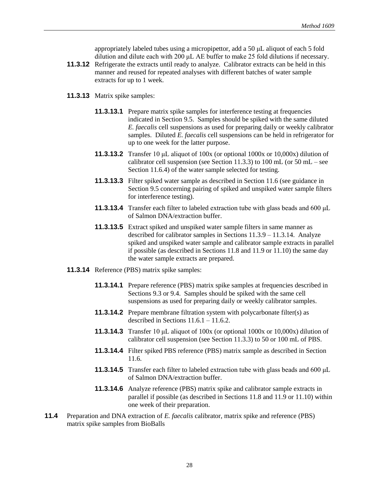appropriately labeled tubes using a micropipettor, add a 50 μL aliquot of each 5 fold dilution and dilute each with 200 μL AE buffer to make 25 fold dilutions if necessary.

- **11.3.12** Refrigerate the extracts until ready to analyze. Calibrator extracts can be held in this manner and reused for repeated analyses with different batches of water sample extracts for up to 1 week.
- **11.3.13** Matrix spike samples:
	- **11.3.13.1** Prepare matrix spike samples for interference testing at frequencies indicated in Section 9.5. Samples should be spiked with the same diluted *E. faecalis* cell suspensions as used for preparing daily or weekly calibrator samples. Diluted *E. faecalis* cell suspensions can be held in refrigerator for up to one week for the latter purpose.
	- **11.3.13.2** Transfer 10 μL aliquot of 100x (or optional 1000x or 10,000x) dilution of calibrator cell suspension (see Section 11.3.3) to 100 mL (or 50 mL – see Section 11.6.4) of the water sample selected for testing.
	- **11.3.13.3** Filter spiked water sample as described in Section 11.6 (see guidance in Section 9.5 concerning pairing of spiked and unspiked water sample filters for interference testing).
	- **11.3.13.4** Transfer each filter to labeled extraction tube with glass beads and 600 μL of Salmon DNA/extraction buffer.
	- **11.3.13.5** Extract spiked and unspiked water sample filters in same manner as described for calibrator samples in Sections 11.3.9 – 11.3.14. Analyze spiked and unspiked water sample and calibrator sample extracts in parallel if possible (as described in Sections 11.8 and 11.9 or 11.10) the same day the water sample extracts are prepared.
- **11.3.14** Reference (PBS) matrix spike samples:
	- **11.3.14.1** Prepare reference (PBS) matrix spike samples at frequencies described in Sections 9.3 or 9.4. Samples should be spiked with the same cell suspensions as used for preparing daily or weekly calibrator samples.
	- **11.3.14.2** Prepare membrane filtration system with polycarbonate filter(s) as described in Sections  $11.6.1 - 11.6.2$ .
	- **11.3.14.3** Transfer 10 μL aliquot of 100x (or optional 1000x or 10,000x) dilution of calibrator cell suspension (see Section 11.3.3) to 50 or 100 mL of PBS.
	- **11.3.14.4** Filter spiked PBS reference (PBS) matrix sample as described in Section 11.6.
	- **11.3.14.5** Transfer each filter to labeled extraction tube with glass beads and 600 μL of Salmon DNA/extraction buffer.
	- **11.3.14.6** Analyze reference (PBS) matrix spike and calibrator sample extracts in parallel if possible (as described in Sections 11.8 and 11.9 or 11.10) within one week of their preparation.
- **11.4** Preparation and DNA extraction of *E. faecalis* calibrator, matrix spike and reference (PBS) matrix spike samples from BioBalls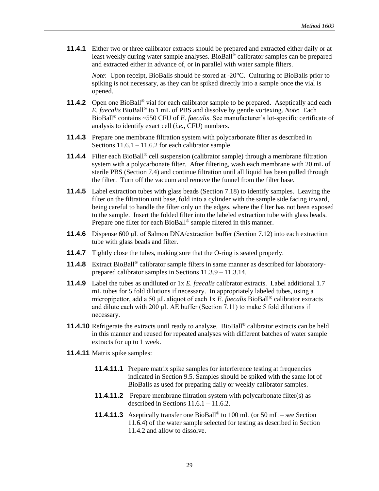**11.4.1** Either two or three calibrator extracts should be prepared and extracted either daily or at least weekly during water sample analyses. BioBall® calibrator samples can be prepared and extracted either in advance of, or in parallel with water sample filters.

*Note*: Upon receipt, BioBalls should be stored at -20°C. Culturing of BioBalls prior to spiking is not necessary, as they can be spiked directly into a sample once the vial is opened.

- **11.4.2** Open one BioBall<sup>®</sup> vial for each calibrator sample to be prepared. Aseptically add each *E. faecalis* BioBall® to 1 mL of PBS and dissolve by gentle vortexing. *Note*: Each BioBall® contains ~550 CFU of *E. faecalis*. See manufacturer's lot-specific certificate of analysis to identify exact cell (*i.e.*, CFU) numbers.
- **11.4.3** Prepare one membrane filtration system with polycarbonate filter as described in Sections  $11.6.1 - 11.6.2$  for each calibrator sample.
- **11.4.4** Filter each BioBall<sup>®</sup> cell suspension (calibrator sample) through a membrane filtration system with a polycarbonate filter. After filtering, wash each membrane with 20 mL of sterile PBS (Section 7.4) and continue filtration until all liquid has been pulled through the filter. Turn off the vacuum and remove the funnel from the filter base.
- **11.4.5** Label extraction tubes with glass beads (Section 7.18) to identify samples. Leaving the filter on the filtration unit base, fold into a cylinder with the sample side facing inward, being careful to handle the filter only on the edges, where the filter has not been exposed to the sample. Insert the folded filter into the labeled extraction tube with glass beads. Prepare one filter for each BioBall® sample filtered in this manner.
- **11.4.6** Dispense 600 μL of Salmon DNA/extraction buffer (Section 7.12) into each extraction tube with glass beads and filter.
- **11.4.7** Tightly close the tubes, making sure that the O-ring is seated properly.
- **11.4.8** Extract BioBall® calibrator sample filters in same manner as described for laboratoryprepared calibrator samples in Sections 11.3.9 – 11.3.14.
- **11.4.9** Label the tubes as undiluted or 1x *E. faecalis* calibrator extracts. Label additional 1.7 mL tubes for 5 fold dilutions if necessary. In appropriately labeled tubes, using a micropipettor, add a 50 μL aliquot of each 1x *E. faecalis* BioBall® calibrator extracts and dilute each with 200 μL AE buffer (Section 7.11) to make 5 fold dilutions if necessary.
- **11.4.10** Refrigerate the extracts until ready to analyze. BioBall<sup>®</sup> calibrator extracts can be held in this manner and reused for repeated analyses with different batches of water sample extracts for up to 1 week.
- **11.4.11** Matrix spike samples:
	- **11.4.11.1** Prepare matrix spike samples for interference testing at frequencies indicated in Section 9.5. Samples should be spiked with the same lot of BioBalls as used for preparing daily or weekly calibrator samples.
	- **11.4.11.2** Prepare membrane filtration system with polycarbonate filter(s) as described in Sections  $11.6.1 - 11.6.2$ .
	- **11.4.11.3** Aseptically transfer one BioBall® to 100 mL (or 50 mL see Section 11.6.4) of the water sample selected for testing as described in Section 11.4.2 and allow to dissolve.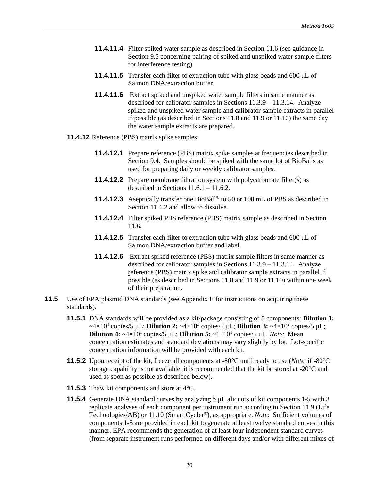- **11.4.11.4** Filter spiked water sample as described in Section 11.6 (see guidance in Section 9.5 concerning pairing of spiked and unspiked water sample filters for interference testing)
- **11.4.11.5** Transfer each filter to extraction tube with glass beads and 600 μL of Salmon DNA/extraction buffer.
- **11.4.11.6** Extract spiked and unspiked water sample filters in same manner as described for calibrator samples in Sections 11.3.9 – 11.3.14. Analyze spiked and unspiked water sample and calibrator sample extracts in parallel if possible (as described in Sections 11.8 and 11.9 or 11.10) the same day the water sample extracts are prepared.
- **11.4.12** Reference (PBS) matrix spike samples:
	- **11.4.12.1** Prepare reference (PBS) matrix spike samples at frequencies described in Section 9.4. Samples should be spiked with the same lot of BioBalls as used for preparing daily or weekly calibrator samples.
	- **11.4.12.2** Prepare membrane filtration system with polycarbonate filter(s) as described in Sections  $11.6.1 - 11.6.2$ .
	- **11.4.12.3** Aseptically transfer one BioBall® to 50 or 100 mL of PBS as described in Section 11.4.2 and allow to dissolve.
	- **11.4.12.4** Filter spiked PBS reference (PBS) matrix sample as described in Section 11.6.
	- **11.4.12.5** Transfer each filter to extraction tube with glass beads and 600 μL of Salmon DNA/extraction buffer and label.
	- **11.4.12.6** Extract spiked reference (PBS) matrix sample filters in same manner as described for calibrator samples in Sections 11.3.9 – 11.3.14. Analyze reference (PBS) matrix spike and calibrator sample extracts in parallel if possible (as described in Sections 11.8 and 11.9 or 11.10) within one week of their preparation.
- **11.5** Use of EPA plasmid DNA standards (see Appendix E for instructions on acquiring these standards).
	- **11.5.1** DNA standards will be provided as a kit/package consisting of 5 components: **Dilution 1:**  $\sim$ 4×10<sup>4</sup> copies/5 μL; **Dilution 2:**  $\sim$ 4×10<sup>3</sup> copies/5 μL; **Dilution 3:**  $\sim$ 4×10<sup>2</sup> copies/5 μL; **Dilution 4:**  $\sim 4 \times 10^1$  copies/5  $\mu$ L; **Dilution 5:**  $\sim 1 \times 10^1$  copies/5  $\mu$ L. *Note*: Mean concentration estimates and standard deviations may vary slightly by lot. Lot-specific concentration information will be provided with each kit.
	- **11.5.2** Upon receipt of the kit, freeze all components at -80°C until ready to use (*Note*: if -80°C storage capability is not available, it is recommended that the kit be stored at  $-20^{\circ}$ C and used as soon as possible as described below).
	- **11.5.3** Thaw kit components and store at 4°C.
	- **11.5.4** Generate DNA standard curves by analyzing 5 μL aliquots of kit components 1-5 with 3 replicate analyses of each component per instrument run according to Section 11.9 (Life Technologies/AB) or 11.10 (Smart Cycler®), as appropriate. *Note*: Sufficient volumes of components 1-5 are provided in each kit to generate at least twelve standard curves in this manner. EPA recommends the generation of at least four independent standard curves (from separate instrument runs performed on different days and/or with different mixes of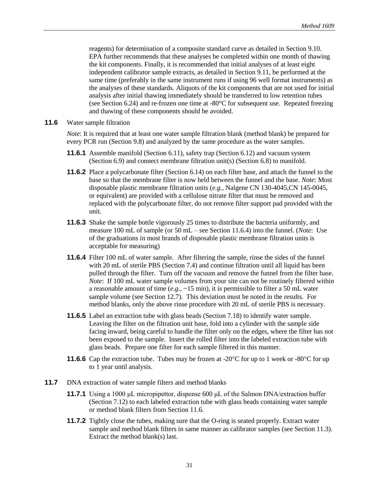reagents) for determination of a composite standard curve as detailed in Section 9.10. EPA further recommends that these analyses be completed within one month of thawing the kit components. Finally, it is recommended that initial analyses of at least eight independent calibrator sample extracts, as detailed in Section 9.11, be performed at the same time (preferably in the same instrument runs if using 96 well format instruments) as the analyses of these standards. Aliquots of the kit components that are not used for initial analysis after initial thawing immediately should be transferred to low retention tubes (see Section 6.24) and re-frozen one time at -80°C for subsequent use. Repeated freezing and thawing of these components should be avoided.

**11.6** Water sample filtration

*Note*: It is required that at least one water sample filtration blank (method blank) be prepared for every PCR run (Section 9.8) and analyzed by the same procedure as the water samples.

- **11.6.1** Assemble manifold (Section 6.11), safety trap (Section 6.12) and vacuum system (Section 6.9) and connect membrane filtration unit(s) (Section 6.8) to manifold.
- **11.6.2** Place a polycarbonate filter (Section 6.14) on each filter base, and attach the funnel to the base so that the membrane filter is now held between the funnel and the base. *Note*: Most disposable plastic membrane filtration units (*e.g.,* Nalgene CN 130-4045,CN 145-0045, or equivalent) are provided with a cellulose nitrate filter that must be removed and replaced with the polycarbonate filter, do not remove filter support pad provided with the unit.
- **11.6.3** Shake the sample bottle vigorously 25 times to distribute the bacteria uniformly, and measure 100 mL of sample (or 50 mL – see Section 11.6.4) into the funnel. (*Note*: Use of the graduations in most brands of disposable plastic membrane filtration units is acceptable for measuring)
- **11.6.4** Filter 100 mL of water sample. After filtering the sample, rinse the sides of the funnel with 20 mL of sterile PBS (Section 7.4) and continue filtration until all liquid has been pulled through the filter. Turn off the vacuum and remove the funnel from the filter base. *Note*: If 100 mL water sample volumes from your site can not be routinely filtered within a reasonable amount of time (*e.g.,* ~15 min), it is permissible to filter a 50 mL water sample volume (see Section 12.7). This deviation must be noted in the results. For method blanks, only the above rinse procedure with 20 mL of sterile PBS is necessary.
- **11.6.5** Label an extraction tube with glass beads (Section 7.18) to identify water sample. Leaving the filter on the filtration unit base, fold into a cylinder with the sample side facing inward, being careful to handle the filter only on the edges, where the filter has not been exposed to the sample. Insert the rolled filter into the labeled extraction tube with glass beads. Prepare one filter for each sample filtered in this manner.
- **11.6.6** Cap the extraction tube. Tubes may be frozen at -20 $\degree$ C for up to 1 week or -80 $\degree$ C for up to 1 year until analysis.
- **11.7** DNA extraction of water sample filters and method blanks
	- **11.7.1** Using a 1000 μL micropipettor, dispense 600 μL of the Salmon DNA/extraction buffer (Section 7.12) to each labeled extraction tube with glass beads containing water sample or method blank filters from Section 11.6.
	- **11.7.2** Tightly close the tubes, making sure that the O-ring is seated properly. Extract water sample and method blank filters in same manner as calibrator samples (see Section 11.3). Extract the method blank(s) last.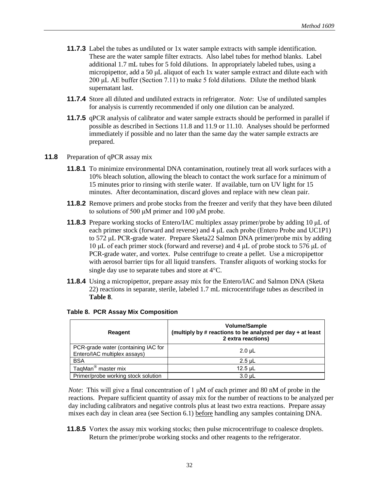- **11.7.3** Label the tubes as undiluted or 1x water sample extracts with sample identification. These are the water sample filter extracts. Also label tubes for method blanks. Label additional 1.7 mL tubes for 5 fold dilutions. In appropriately labeled tubes, using a micropipettor, add a 50 μL aliquot of each 1x water sample extract and dilute each with 200 μL AE buffer (Section 7.11) to make 5 fold dilutions. Dilute the method blank supernatant last.
- **11.7.4** Store all diluted and undiluted extracts in refrigerator. *Note*: Use of undiluted samples for analysis is currently recommended if only one dilution can be analyzed.
- **11.7.5** qPCR analysis of calibrator and water sample extracts should be performed in parallel if possible as described in Sections 11.8 and 11.9 or 11.10. Analyses should be performed immediately if possible and no later than the same day the water sample extracts are prepared.
- **11.8** Preparation of qPCR assay mix
	- **11.8.1** To minimize environmental DNA contamination, routinely treat all work surfaces with a 10% bleach solution, allowing the bleach to contact the work surface for a minimum of 15 minutes prior to rinsing with sterile water. If available, turn on UV light for 15 minutes. After decontamination, discard gloves and replace with new clean pair.
	- **11.8.2** Remove primers and probe stocks from the freezer and verify that they have been diluted to solutions of 500 μM primer and 100 μM probe.
	- **11.8.3** Prepare working stocks of Entero/IAC multiplex assay primer/probe by adding 10 μL of each primer stock (forward and reverse) and 4 μL each probe (Entero Probe and UC1P1) to 572 μL PCR-grade water. Prepare Sketa22 Salmon DNA primer/probe mix by adding 10 μL of each primer stock (forward and reverse) and 4 μL of probe stock to 576 μL of PCR-grade water, and vortex. Pulse centrifuge to create a pellet. Use a micropipettor with aerosol barrier tips for all liquid transfers. Transfer aliquots of working stocks for single day use to separate tubes and store at  $4^{\circ}C$ .
	- **11.8.4** Using a micropipettor, prepare assay mix for the Entero/IAC and Salmon DNA (Sketa 22) reactions in separate, sterile, labeled 1.7 mL microcentrifuge tubes as described in **Table 8**.

| Reagent                                                             | <b>Volume/Sample</b><br>(multiply by # reactions to be analyzed per day + at least<br>2 extra reactions) |  |  |
|---------------------------------------------------------------------|----------------------------------------------------------------------------------------------------------|--|--|
| PCR-grade water (containing IAC for<br>Entero/IAC multiplex assays) | $2.0 \mu L$                                                                                              |  |  |
| <b>BSA</b>                                                          | $2.5$ µL                                                                                                 |  |  |
| TaqMan <sup>®</sup> master mix                                      | $12.5$ µL                                                                                                |  |  |
| Primer/probe working stock solution                                 | $3.0 \mu L$                                                                                              |  |  |

#### **Table 8. PCR Assay Mix Composition**

*Note*:This will give a final concentration of 1 μM of each primer and 80 nM of probe in the reactions. Prepare sufficient quantity of assay mix for the number of reactions to be analyzed per day including calibrators and negative controls plus at least two extra reactions. Prepare assay mixes each day in clean area (see Section 6.1) before handling any samples containing DNA.

**11.8.5** Vortex the assay mix working stocks; then pulse microcentrifuge to coalesce droplets. Return the primer/probe working stocks and other reagents to the refrigerator.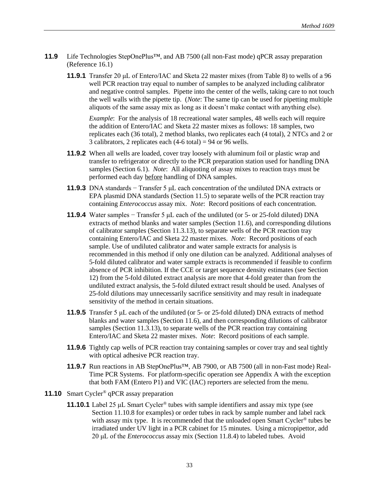- **11.9** Life Technologies StepOnePlus™, and AB 7500 (all non-Fast mode) qPCR assay preparation (Reference 16.1)
	- **11.9.1** Transfer 20 μL of Entero/IAC and Sketa 22 master mixes (from Table 8) to wells of a 96 well PCR reaction tray equal to number of samples to be analyzed including calibrator and negative control samples. Pipette into the center of the wells, taking care to not touch the well walls with the pipette tip. (*Note*: The same tip can be used for pipetting multiple aliquots of the same assay mix as long as it doesn't make contact with anything else).

*Example*: For the analysis of 18 recreational water samples, 48 wells each will require the addition of Entero/IAC and Sketa 22 master mixes as follows: 18 samples, two replicates each (36 total), 2 method blanks, two replicates each (4 total), 2 NTCs and 2 or 3 calibrators, 2 replicates each  $(4-6 \text{ total}) = 94$  or 96 wells.

- **11.9.2** When all wells are loaded, cover tray loosely with aluminum foil or plastic wrap and transfer to refrigerator or directly to the PCR preparation station used for handling DNA samples (Section 6.1). *Note*: All aliquoting of assay mixes to reaction trays must be performed each day before handling of DNA samples.
- **11.9.3** DNA standards − Transfer 5 μL each concentration of the undiluted DNA extracts or EPA plasmid DNA standards (Section 11.5) to separate wells of the PCR reaction tray containing *Enterococcus* assay mix. *Note*: Record positions of each concentration.
- **11.9.4** Water samples − Transfer 5 μL each of the undiluted (or 5- or 25-fold diluted) DNA extracts of method blanks and water samples (Section 11.6), and corresponding dilutions of calibrator samples (Section 11.3.13), to separate wells of the PCR reaction tray containing Entero/IAC and Sketa 22 master mixes. *Note*: Record positions of each sample. Use of undiluted calibrator and water sample extracts for analysis is recommended in this method if only one dilution can be analyzed. Additional analyses of 5-fold diluted calibrator and water sample extracts is recommended if feasible to confirm absence of PCR inhibition. If the CCE or target sequence density estimates (see Section 12) from the 5-fold diluted extract analysis are more that 4-fold greater than from the undiluted extract analysis, the 5-fold diluted extract result should be used. Analyses of 25-fold dilutions may unnecessarily sacrifice sensitivity and may result in inadequate sensitivity of the method in certain situations.
- **11.9.5** Transfer 5 μL each of the undiluted (or 5- or 25-fold diluted) DNA extracts of method blanks and water samples (Section 11.6), and then corresponding dilutions of calibrator samples (Section 11.3.13), to separate wells of the PCR reaction tray containing Entero/IAC and Sketa 22 master mixes. *Note*: Record positions of each sample.
- **11.9.6** Tightly cap wells of PCR reaction tray containing samples or cover tray and seal tightly with optical adhesive PCR reaction tray.
- **11.9.7** Run reactions in AB StepOnePlus™, AB 7900, or AB 7500 (all in non-Fast mode) Real-Time PCR Systems. For platform-specific operation see Appendix A with the exception that both FAM (Entero P1) and VIC (IAC) reporters are selected from the menu.
- **11.10** Smart Cycler® qPCR assay preparation
	- **11.10.1** Label 25 μL Smart Cycler® tubes with sample identifiers and assay mix type (see Section 11.10.8 for examples) or order tubes in rack by sample number and label rack with assay mix type. It is recommended that the unloaded open Smart Cycler<sup>®</sup> tubes be irradiated under UV light in a PCR cabinet for 15 minutes. Using a micropipettor, add 20 μL of the *Enterococcus* assay mix (Section 11.8.4) to labeled tubes. Avoid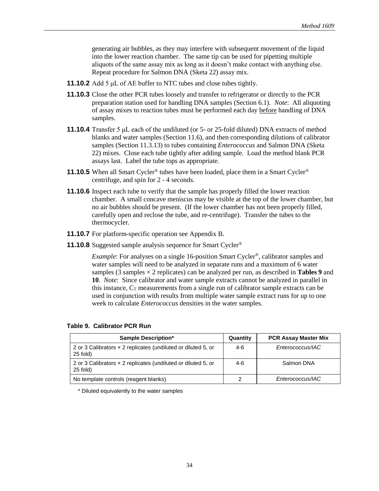generating air bubbles, as they may interfere with subsequent movement of the liquid into the lower reaction chamber. The same tip can be used for pipetting multiple aliquots of the same assay mix as long as it doesn't make contact with anything else. Repeat procedure for Salmon DNA (Sketa 22) assay mix.

- **11.10.2** Add 5 μL of AE buffer to NTC tubes and close tubes tightly.
- **11.10.3** Close the other PCR tubes loosely and transfer to refrigerator or directly to the PCR preparation station used for handling DNA samples (Section 6.1). *Note*: All aliquoting of assay mixes to reaction tubes must be performed each day before handling of DNA samples.
- **11.10.4** Transfer 5 μL each of the undiluted (or 5- or 25-fold diluted) DNA extracts of method blanks and water samples (Section 11.6), and then corresponding dilutions of calibrator samples (Section 11.3.13) to tubes containing *Enterococcus* and Salmon DNA (Sketa 22) mixes. Close each tube tightly after adding sample. Load the method blank PCR assays last. Label the tube tops as appropriate.
- **11.10.5** When all Smart Cycler<sup>®</sup> tubes have been loaded, place them in a Smart Cycler<sup>®</sup> centrifuge, and spin for 2 - 4 seconds.
- **11.10.6** Inspect each tube to verify that the sample has properly filled the lower reaction chamber. A small concave meniscus may be visible at the top of the lower chamber, but no air bubbles should be present. (If the lower chamber has not been properly filled, carefully open and reclose the tube, and re-centrifuge). Transfer the tubes to the thermocycler.
- **11.10.7** For platform-specific operation see Appendix B.
- **11.10.8** Suggested sample analysis sequence for Smart Cycler®

*Example*: For analyses on a single 16-position Smart Cycler<sup>®</sup>, calibrator samples and water samples will need to be analyzed in separate runs and a maximum of 6 water samples  $(3 \text{ samples} \times 2 \text{ replicates})$  can be analyzed per run, as described in **Tables 9** and **10**. *Note*: Since calibrator and water sample extracts cannot be analyzed in parallel in this instance,  $C_T$  measurements from a single run of calibrator sample extracts can be used in conjunction with results from multiple water sample extract runs for up to one week to calculate *Enterococcus* densities in the water samples.

| <b>Sample Description*</b>                                                         | Quantity | <b>PCR Assay Master Mix</b> |
|------------------------------------------------------------------------------------|----------|-----------------------------|
| 2 or 3 Calibrators x 2 replicates (undiluted or diluted 5, or<br>$25$ fold)        | 4-6      | Enterococcus/IAC            |
| 2 or 3 Calibrators $\times$ 2 replicates (undiluted or diluted 5, or<br>$25$ fold) | $4-6$    | Salmon DNA                  |
| No template controls (reagent blanks)                                              |          | Enterococcus/IAC            |

**Table 9. Calibrator PCR Run**

\* Diluted equivalently to the water samples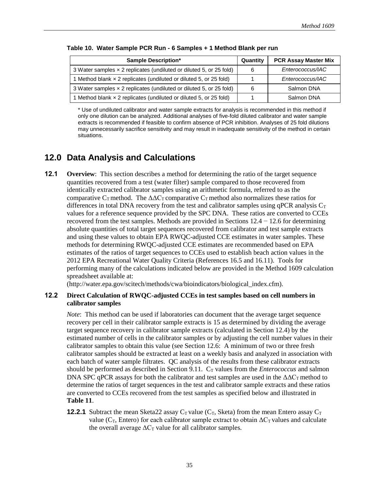| <b>Sample Description*</b>                                          | Quantity | <b>PCR Assay Master Mix</b> |
|---------------------------------------------------------------------|----------|-----------------------------|
| 3 Water samples x 2 replicates (undiluted or diluted 5, or 25 fold) | 6        | Enterococcus/IAC            |
| 1 Method blank x 2 replicates (undiluted or diluted 5, or 25 fold)  |          | Enterococcus/IAC            |
| 3 Water samples x 2 replicates (undiluted or diluted 5, or 25 fold) | 6        | Salmon DNA                  |
| 1 Method blank x 2 replicates (undiluted or diluted 5, or 25 fold)  |          | Salmon DNA                  |

#### **Table 10. Water Sample PCR Run - 6 Samples + 1 Method Blank per run**

\* Use of undiluted calibrator and water sample extracts for analysis is recommended in this method if only one dilution can be analyzed. Additional analyses of five-fold diluted calibrator and water sample extracts is recommended if feasible to confirm absence of PCR inhibition. Analyses of 25 fold dilutions may unnecessarily sacrifice sensitivity and may result in inadequate sensitivity of the method in certain situations.

### **12.0 Data Analysis and Calculations**

**12.1 Overview**: This section describes a method for determining the ratio of the target sequence quantities recovered from a test (water filter) sample compared to those recovered from identically extracted calibrator samples using an arithmetic formula, referred to as the comparative C<sub>T</sub> method. The  $\Delta\Delta C_T$  comparative C<sub>T</sub> method also normalizes these ratios for differences in total DNA recovery from the test and calibrator samples using qPCR analysis  $C_T$ values for a reference sequence provided by the SPC DNA. These ratios are converted to CCEs recovered from the test samples. Methods are provided in Sections  $12.4 - 12.6$  for determining absolute quantities of total target sequences recovered from calibrator and test sample extracts and using these values to obtain EPA RWQC-adjusted CCE estimates in water samples. These methods for determining RWQC-adjusted CCE estimates are recommended based on EPA estimates of the ratios of target sequences to CCEs used to establish beach action values in the 2012 EPA Recreational Water Quality Criteria (References 16.5 and 16.11). Tools for performing many of the calculations indicated below are provided in the Method 1609 calculation spreadsheet available at:

(http://water.epa.gov/scitech/methods/cwa/bioindicators/biological\_index.cfm).

#### **12.2 Direct Calculation of RWQC-adjusted CCEs in test samples based on cell numbers in calibrator samples**

*Note*: This method can be used if laboratories can document that the average target sequence recovery per cell in their calibrator sample extracts is 15 as determined by dividing the average target sequence recovery in calibrator sample extracts (calculated in Section 12.4) by the estimated number of cells in the calibrator samples or by adjusting the cell number values in their calibrator samples to obtain this value (see Section 12.6: A minimum of two or three fresh calibrator samples should be extracted at least on a weekly basis and analyzed in association with each batch of water sample filtrates. QC analysis of the results from these calibrator extracts should be performed as described in Section 9.11.  $C_T$  values from the *Enterococcus* and salmon DNA SPC qPCR assays for both the calibrator and test samples are used in the  $\Delta\Delta C_T$  method to determine the ratios of target sequences in the test and calibrator sample extracts and these ratios are converted to CCEs recovered from the test samples as specified below and illustrated in **Table 11**.

**12.2.1** Subtract the mean Sketa22 assay  $C_T$  value ( $C_T$ , Sketa) from the mean Entero assay  $C_T$ value ( $C_T$ , Entero) for each calibrator sample extract to obtain  $\Delta C_T$  values and calculate the overall average  $\Delta C_T$  value for all calibrator samples.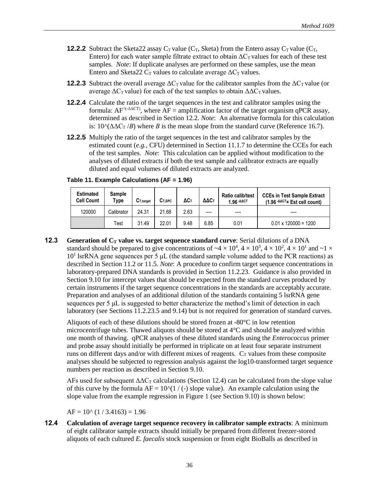- **12.2.2** Subtract the Sketa22 assay  $C_T$  value ( $C_T$ , Sketa) from the Entero assay  $C_T$  value ( $C_T$ , Entero) for each water sample filtrate extract to obtain  $\Delta C_T$  values for each of these test samples. *Note*: If duplicate analyses are performed on these samples, use the mean Entero and Sketa22  $C_T$  values to calculate average  $\Delta C_T$  values.
- **12.2.3** Subtract the overall average  $\Delta C_T$  value for the calibrator samples from the  $\Delta C_T$  value (or average  $\Delta C_T$  value) for each of the test samples to obtain  $\Delta \Delta C_T$  values.
- **12.2.4** Calculate the ratio of the target sequences in the test and calibrator samples using the formula:  $AF^{\wedge (-\Delta \Delta CT)}$ , where  $AF =$  amplification factor of the target organism qPCR assay, determined as described in Section 12.2. *Note*: An alternative formula for this calculation is:  $10^{\circ}(\Delta\Delta C_T / B)$  where *B* is the mean slope from the standard curve (Reference 16.7).
- **12.2.5** Multiply the ratio of the target sequences in the test and calibrator samples by the estimated count (*e.g.*, CFU) determined in Section 11.1.7 to determine the CCEs for each of the test samples. *Note*: This calculation can be applied without modification to the analyses of diluted extracts if both the test sample and calibrator extracts are equally diluted and equal volumes of diluted extracts are analyzed.

| <b>Estimated</b><br><b>Cell Count</b> | <b>Sample</b><br>Type | $C_{T.tarcat}$ | $C_{T,SPC}$ | ΔCт  | ΔΔCτ  | <b>Ratio calib/test</b><br>1.96-AACT | <b>CCEs in Test Sample Extract</b><br>$(1.96 - AACTx)$ Est cell count) |
|---------------------------------------|-----------------------|----------------|-------------|------|-------|--------------------------------------|------------------------------------------------------------------------|
| 120000                                | Calibrator            | 24.31          | 21.68       | 2.63 | ----- | $---$                                | ----                                                                   |
|                                       | Test                  | 31.49          | 22.01       | 9.48 | 6.85  | 0.01                                 | $0.01 \times 120000 = 1200$                                            |

**Table 11. Example Calculations (AF = 1.96)** 

**12.3 Generation of C<sup>T</sup> value vs. target sequence standard curve**: Serial dilutions of a DNA standard should be prepared to give concentrations of  $\sim 4 \times 10^4$ ,  $4 \times 10^3$ ,  $4 \times 10^2$ ,  $4 \times 10^1$  and  $\sim 1 \times$ 10<sup>1</sup> lsrRNA gene sequences per 5 μL (the standard sample volume added to the PCR reactions) as described in Section 11.2 or 11.5. *Note*: A procedure to confirm target sequence concentrations in laboratory-prepared DNA standards is provided in Section 11.2.23. Guidance is also provided in Section 9.10 for intercept values that should be expected from the standard curves produced by certain instruments if the target sequence concentrations in the standards are acceptably accurate. Preparation and analyses of an additional dilution of the standards containing 5 lsrRNA gene sequences per 5 μL is suggested to better characterize the method's limit of detection in each laboratory (see Sections 11.2.23.5 and 9.14) but is not required for generation of standard curves.

 Aliquots of each of these dilutions should be stored frozen at -80°C in low retention microcentrifuge tubes. Thawed aliquots should be stored at  $4^{\circ}$ C and should be analyzed within one month of thawing. qPCR analyses of these diluted standards using the *Enterococcus* primer and probe assay should initially be performed in triplicate on at least four separate instrument runs on different days and/or with different mixes of reagents.  $C_T$  values from these composite analyses should be subjected to regression analysis against the log10-transformed target sequence numbers per reaction as described in Section 9.10.

AFs used for subsequent  $\Delta\Delta C_T$  calculations (Section 12.4) can be calculated from the slope value of this curve by the formula  $AF = 10^{\circ}(1 / (-)$  slope value). An example calculation using the slope value from the example regression in Figure 1 (see Section 9.10) is shown below:

 $AF = 10^{\circ}$  (1 / 3.4163) = 1.96

**12.4 Calculation of average target sequence recovery in calibrator sample extracts**: A minimum of eight calibrator sample extracts should initially be prepared from different freezer-stored aliquots of each cultured *E. faecalis* stock suspension or from eight BioBalls as described in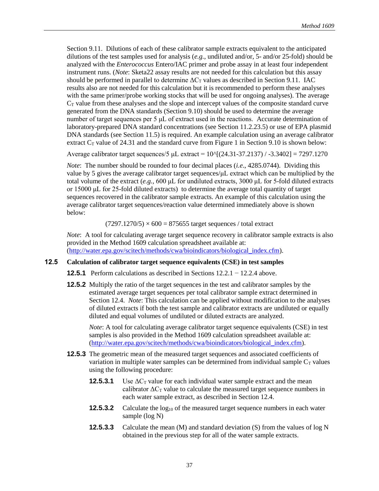Section 9.11. Dilutions of each of these calibrator sample extracts equivalent to the anticipated dilutions of the test samples used for analysis (*e.g.,* undiluted and/or, 5- and/or 25-fold) should be analyzed with the *Enterococcus* Entero/IAC primer and probe assay in at least four independent instrument runs. (*Note*: Sketa22 assay results are not needed for this calculation but this assay should be performed in parallel to determine  $\Delta C_T$  values as described in Section 9.11. IAC results also are not needed for this calculation but it is recommended to perform these analyses with the same primer/probe working stocks that will be used for ongoing analyses). The average  $C_T$  value from these analyses and the slope and intercept values of the composite standard curve generated from the DNA standards (Section 9.10) should be used to determine the average number of target sequences per 5 μL of extract used in the reactions. Accurate determination of laboratory-prepared DNA standard concentrations (see Section 11.2.23.5) or use of EPA plasmid DNA standards (see Section 11.5) is required. An example calculation using an average calibrator extract  $C_T$  value of 24.31 and the standard curve from Figure 1 in Section 9.10 is shown below:

Average calibrator target sequences/5  $\mu$ L extract = 10 $\frac{N(24.31-37.2137)}{23.3402}$  = 7297.1270

 *Note*: The number should be rounded to four decimal places (*i.e*., 4285.0744). Dividing this value by 5 gives the average calibrator target sequences/μL extract which can be multiplied by the total volume of the extract (*e.g.,* 600 μL for undiluted extracts, 3000 μL for 5-fold diluted extracts or 15000 μL for 25-fold diluted extracts) to determine the average total quantity of target sequences recovered in the calibrator sample extracts. An example of this calculation using the average calibrator target sequences/reaction value determined immediately above is shown below:

#### $(7297.1270/5) \times 600 = 875655$  target sequences / total extract

*Note*: A tool for calculating average target sequence recovery in calibrator sample extracts is also provided in the Method 1609 calculation spreadsheet available at: [\(http://water.epa.gov/scitech/methods/cwa/bioindicators/biological\\_index.cfm\)](http://water.epa.gov/scitech/methods/cwa/bioindicators/biological_index.cfm).

#### **12.5 Calculation of calibrator target sequence equivalents (CSE) in test samples**

- **12.5.1** Perform calculations as described in Sections 12.2.1 − 12.2.4 above.
- **12.5.2** Multiply the ratio of the target sequences in the test and calibrator samples by the estimated average target sequences per total calibrator sample extract determined in Section 12.4. *Note*: This calculation can be applied without modification to the analyses of diluted extracts if both the test sample and calibrator extracts are undiluted or equally diluted and equal volumes of undiluted or diluted extracts are analyzed.

*Note*: A tool for calculating average calibrator target sequence equivalents (CSE) in test samples is also provided in the Method 1609 calculation spreadsheet available at: [\(http://water.epa.gov/scitech/methods/cwa/bioindicators/biological\\_index.cfm\)](http://water.epa.gov/scitech/methods/cwa/bioindicators/biological_index.cfm).

- **12.5.3** The geometric mean of the measured target sequences and associated coefficients of variation in multiple water samples can be determined from individual sample  $C_T$  values using the following procedure:
	- **12.5.3.1** Use  $\Delta C_T$  value for each individual water sample extract and the mean calibrator  $\Delta C_T$  value to calculate the measured target sequence numbers in each water sample extract, as described in Section 12.4.
	- **12.5.3.2** Calculate the log<sub>10</sub> of the measured target sequence numbers in each water sample (log N)
	- **12.5.3.3** Calculate the mean (M) and standard deviation (S) from the values of log N obtained in the previous step for all of the water sample extracts.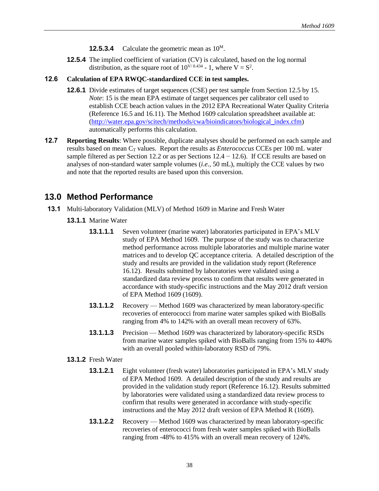- **12.5.3.4** Calculate the geometric mean as  $10^{\text{M}}$ .
- **12.5.4** The implied coefficient of variation (CV) is calculated, based on the log normal distribution, as the square root of  $10^{V/0.434}$  - 1, where  $V = S^2$ .

### **12.6 Calculation of EPA RWQC-standardized CCE in test samples.**

- **12.6.1** Divide estimates of target sequences (CSE) per test sample from Section 12.5 by 15. *Note*: 15 is the mean EPA estimate of target sequences per calibrator cell used to establish CCE beach action values in the 2012 EPA Recreational Water Quality Criteria (Reference 16.5 and 16.11). The Method 1609 calculation spreadsheet available at: [\(http://water.epa.gov/scitech/methods/cwa/bioindicators/biological\\_index.cfm\)](http://water.epa.gov/scitech/methods/cwa/bioindicators/biological_index.cfm) automatically performs this calculation.
- **12.7 Reporting Results**: Where possible, duplicate analyses should be performed on each sample and results based on mean  $C_T$  values. Report the results as *Enterococcus* CCEs per 100 mL water sample filtered as per Section 12.2 or as per Sections  $12.4 - 12.6$ ). If CCE results are based on analyses of non-standard water sample volumes (*i.e.,* 50 mL), multiply the CCE values by two and note that the reported results are based upon this conversion.

### **13.0 Method Performance**

- **13.1** Multi-laboratory Validation (MLV) of Method 1609 in Marine and Fresh Water
	- **13.1.1** Marine Water
		- **13.1.1.1** Seven volunteer (marine water) laboratories participated in EPA's MLV study of EPA Method 1609. The purpose of the study was to characterize method performance across multiple laboratories and multiple marine water matrices and to develop QC acceptance criteria. A detailed description of the study and results are provided in the validation study report (Reference 16.12). Results submitted by laboratories were validated using a standardized data review process to confirm that results were generated in accordance with study-specific instructions and the May 2012 draft version of EPA Method 1609 (1609).
		- **13.1.1.2** Recovery Method 1609 was characterized by mean laboratory-specific recoveries of enterococci from marine water samples spiked with BioBalls ranging from 4% to 142% with an overall mean recovery of 63%.
		- **13.1.1.3** Precision Method 1609 was characterized by laboratory-specific RSDs from marine water samples spiked with BioBalls ranging from 15% to 440% with an overall pooled within-laboratory RSD of 79%.
	- **13.1.2** Fresh Water
		- **13.1.2.1** Eight volunteer (fresh water) laboratories participated in EPA's MLV study of EPA Method 1609. A detailed description of the study and results are provided in the validation study report (Reference 16.12). Results submitted by laboratories were validated using a standardized data review process to confirm that results were generated in accordance with study-specific instructions and the May 2012 draft version of EPA Method R (1609).
		- **13.1.2.2** Recovery Method 1609 was characterized by mean laboratory-specific recoveries of enterococci from fresh water samples spiked with BioBalls ranging from -48% to 415% with an overall mean recovery of 124%.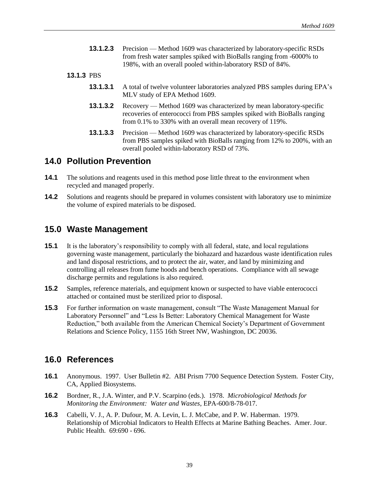**13.1.2.3** Precision — Method 1609 was characterized by laboratory-specific RSDs from fresh water samples spiked with BioBalls ranging from -6000% to 198%, with an overall pooled within-laboratory RSD of 84%.

### **13.1.3** PBS

- **13.1.3.1** A total of twelve volunteer laboratories analyzed PBS samples during EPA's MLV study of EPA Method 1609.
- **13.1.3.2** Recovery Method 1609 was characterized by mean laboratory-specific recoveries of enterococci from PBS samples spiked with BioBalls ranging from 0.1% to 330% with an overall mean recovery of 119%.
- **13.1.3.3** Precision Method 1609 was characterized by laboratory-specific RSDs from PBS samples spiked with BioBalls ranging from 12% to 200%, with an overall pooled within-laboratory RSD of 73%.

### **14.0 Pollution Prevention**

- **14.1** The solutions and reagents used in this method pose little threat to the environment when recycled and managed properly.
- **14.2** Solutions and reagents should be prepared in volumes consistent with laboratory use to minimize the volume of expired materials to be disposed.

### **15.0 Waste Management**

- **15.1** It is the laboratory's responsibility to comply with all federal, state, and local regulations governing waste management, particularly the biohazard and hazardous waste identification rules and land disposal restrictions, and to protect the air, water, and land by minimizing and controlling all releases from fume hoods and bench operations. Compliance with all sewage discharge permits and regulations is also required.
- **15.2** Samples, reference materials, and equipment known or suspected to have viable enterococci attached or contained must be sterilized prior to disposal.
- **15.3** For further information on waste management, consult "The Waste Management Manual for Laboratory Personnel" and "Less Is Better: Laboratory Chemical Management for Waste Reduction," both available from the American Chemical Society's Department of Government Relations and Science Policy, 1155 16th Street NW, Washington, DC 20036.

### **16.0 References**

- **16.1** Anonymous. 1997. User Bulletin #2. ABI Prism 7700 Sequence Detection System. Foster City, CA, Applied Biosystems.
- **16.2** Bordner, R., J.A. Winter, and P.V. Scarpino (eds.). 1978. *Microbiological Methods for Monitoring the Environment: Water and Wastes*, EPA-600/8-78-017.
- **16.3** Cabelli, V. J., A. P. Dufour, M. A. Levin, L. J. McCabe, and P. W. Haberman. 1979. Relationship of Microbial Indicators to Health Effects at Marine Bathing Beaches. Amer. Jour. Public Health. 69:690 - 696.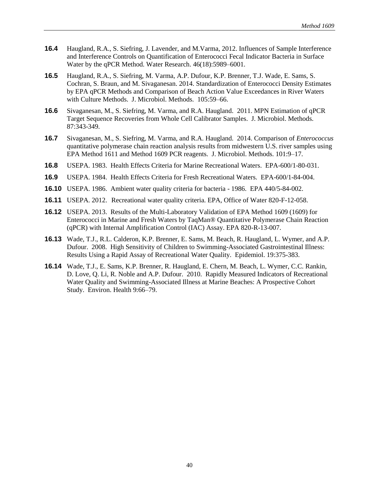- **16.4** Haugland, R.A., S. Siefring, J. Lavender, and M.Varma, 2012. Influences of Sample Interference and Interference Controls on Quantification of Enterococci Fecal Indicator Bacteria in Surface Water by the qPCR Method. Water Research. 46(18):5989–6001.
- **16.5** Haugland, R.A., S. Siefring, M. Varma, A.P. Dufour, K.P. Brenner, T.J. Wade, E. Sams, S. Cochran, S. Braun, and M. Sivaganesan. 2014. Standardization of Enterococci Density Estimates by EPA qPCR Methods and Comparison of Beach Action Value Exceedances in River Waters with Culture Methods. J. Microbiol. Methods. 105:59–66.
- **16.6** Sivaganesan, M., S. Siefring, M. Varma, and R.A. Haugland. 2011. MPN Estimation of qPCR Target Sequence Recoveries from Whole Cell Calibrator Samples. J. Microbiol. Methods. 87:343-349.
- **16.7** Sivaganesan, M., S. Siefring, M. Varma, and R.A. Haugland. 2014. Comparison of *Enterococcus* quantitative polymerase chain reaction analysis results from midwestern U.S. river samples using EPA Method 1611 and Method 1609 PCR reagents. J. Microbiol. Methods. 101:9–17.
- **16.8** USEPA. 1983. Health Effects Criteria for Marine Recreational Waters. EPA-600/1-80-031.
- **16.9** USEPA. 1984. Health Effects Criteria for Fresh Recreational Waters. EPA-600/1-84-004.
- **16.10** USEPA. 1986. Ambient water quality criteria for bacteria 1986. EPA 440/5-84-002.
- **16.11** USEPA. 2012. Recreational water quality criteria. EPA, Office of Water 820-F-12-058.
- **16.12** USEPA. 2013. Results of the Multi-Laboratory Validation of EPA Method 1609 (1609) for Enterococci in Marine and Fresh Waters by TaqMan® Quantitative Polymerase Chain Reaction (qPCR) with Internal Amplification Control (IAC) Assay. EPA 820-R-13-007.
- **16.13** Wade, T.J., R.L. Calderon, K.P. Brenner, E. Sams, M. Beach, R. Haugland, L. Wymer, and A.P. Dufour. 2008. High Sensitivity of Children to Swimming-Associated Gastrointestinal Illness: Results Using a Rapid Assay of Recreational Water Quality. Epidemiol. 19:375-383.
- **16.14** Wade, T.J., E. Sams, K.P. Brenner, R. Haugland, E. Chern, M. Beach, L. Wymer, C.C. Rankin, D. Love, Q. Li, R. Noble and A.P. Dufour. 2010. Rapidly Measured Indicators of Recreational Water Quality and Swimming-Associated Illness at Marine Beaches: A Prospective Cohort Study. Environ. Health 9:66–79.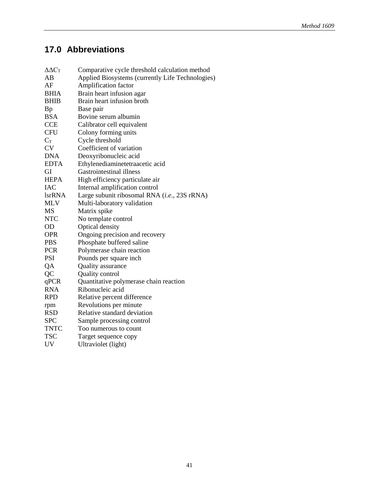# **17.0 Abbreviations**

| $\Delta \Delta C_T$ | Comparative cycle threshold calculation method   |
|---------------------|--------------------------------------------------|
| AB                  | Applied Biosystems (currently Life Technologies) |
| AF                  | Amplification factor                             |
| <b>BHIA</b>         | Brain heart infusion agar                        |
| BHIB                | Brain heart infusion broth                       |
| Bp                  | Base pair                                        |
| BSA                 | Bovine serum albumin                             |
| <b>CCE</b>          | Calibrator cell equivalent                       |
| <b>CFU</b>          | Colony forming units                             |
| $C_T$               | Cycle threshold                                  |
| <b>CV</b>           | Coefficient of variation                         |
| <b>DNA</b>          | Deoxyribonucleic acid                            |
| <b>EDTA</b>         | Ethylenediaminetetraacetic acid                  |
| GI                  | Gastrointestinal illness                         |
| <b>HEPA</b>         | High efficiency particulate air                  |
| IAC                 | Internal amplification control                   |
| <b>lsrRNA</b>       | Large subunit ribosomal RNA (i.e., 23S rRNA)     |
| <b>MLV</b>          | Multi-laboratory validation                      |
| MS                  | Matrix spike                                     |
| <b>NTC</b>          | No template control                              |
| <b>OD</b>           | Optical density                                  |
| <b>OPR</b>          | Ongoing precision and recovery                   |
| <b>PBS</b>          | Phosphate buffered saline                        |
| <b>PCR</b>          | Polymerase chain reaction                        |
| <b>PSI</b>          | Pounds per square inch                           |
| QA                  | Quality assurance                                |
| QC                  | Quality control                                  |
| qPCR                | Quantitative polymerase chain reaction           |
| <b>RNA</b>          | Ribonucleic acid                                 |
| <b>RPD</b>          | Relative percent difference                      |
| rpm                 | Revolutions per minute                           |
| <b>RSD</b>          | Relative standard deviation                      |
| <b>SPC</b>          | Sample processing control                        |
| <b>TNTC</b>         | Too numerous to count                            |
| <b>TSC</b>          | Target sequence copy                             |
| <b>UV</b>           | Ultraviolet (light)                              |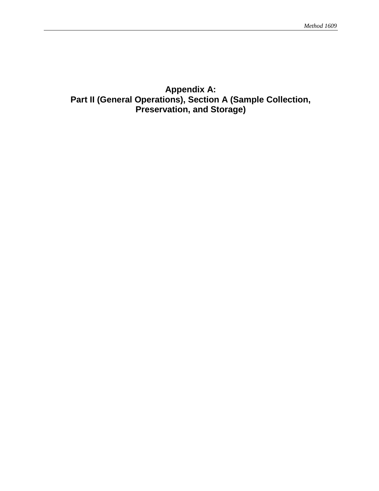# **Appendix A: Part II (General Operations), Section A (Sample Collection, Preservation, and Storage)**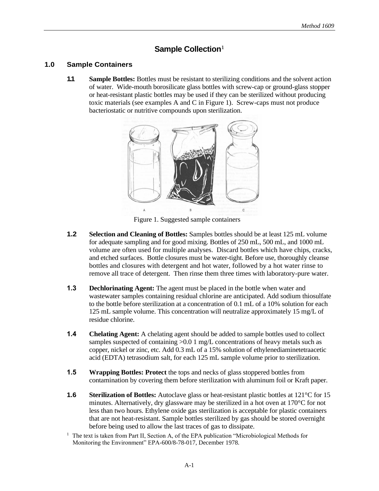### **Sample Collection**<sup>1</sup>

### **1.0 Sample Containers**

**1.1 Sample Bottles:** Bottles must be resistant to sterilizing conditions and the solvent action of water. Wide-mouth borosilicate glass bottles with screw-cap or ground-glass stopper or heat-resistant plastic bottles may be used if they can be sterilized without producing toxic materials (see examples A and C in Figure 1). Screw-caps must not produce bacteriostatic or nutritive compounds upon sterilization.



Figure 1. Suggested sample containers

- **1.2 Selection and Cleaning of Bottles:** Samples bottles should be at least 125 mL volume for adequate sampling and for good mixing. Bottles of 250 mL, 500 mL, and 1000 mL volume are often used for multiple analyses. Discard bottles which have chips, cracks, and etched surfaces. Bottle closures must be water-tight. Before use, thoroughly cleanse bottles and closures with detergent and hot water, followed by a hot water rinse to remove all trace of detergent. Then rinse them three times with laboratory-pure water.
- **1.3 Dechlorinating Agent:** The agent must be placed in the bottle when water and wastewater samples containing residual chlorine are anticipated. Add sodium thiosulfate to the bottle before sterilization at a concentration of 0.1 mL of a 10% solution for each 125 mL sample volume. This concentration will neutralize approximately 15 mg/L of residue chlorine.
- **1.4 Chelating Agent:** A chelating agent should be added to sample bottles used to collect samples suspected of containing  $>0.0$  1 mg/L concentrations of heavy metals such as copper, nickel or zinc, etc. Add 0.3 mL of a 15% solution of ethylenediaminetetraacetic acid (EDTA) tetrasodium salt, for each 125 mL sample volume prior to sterilization.
- **1.5 Wrapping Bottles: Protect** the tops and necks of glass stoppered bottles from contamination by covering them before sterilization with aluminum foil or Kraft paper.
- **1.6** Sterilization of Bottles: Autoclave glass or heat-resistant plastic bottles at 121<sup>°</sup>C for 15 minutes. Alternatively, dry glassware may be sterilized in a hot oven at 170°C for not less than two hours. Ethylene oxide gas sterilization is acceptable for plastic containers that are not heat-resistant. Sample bottles sterilized by gas should be stored overnight before being used to allow the last traces of gas to dissipate.
- $<sup>1</sup>$  The text is taken from Part II, Section A, of the EPA publication "Microbiological Methods for</sup> Monitoring the Environment" EPA-600/8-78-017, December 1978.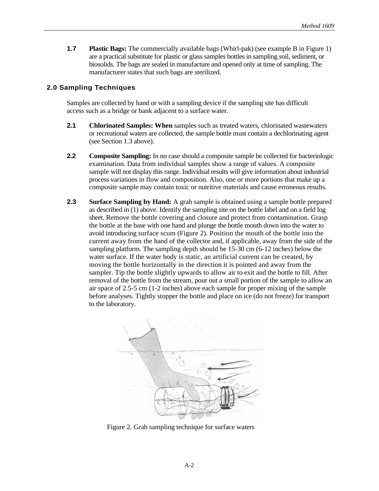**1.7 Plastic Bags:** The commercially available bags (Whirl-pak) (see example B in Figure 1) are a practical substitute for plastic or glass samples bottles in sampling soil, sediment, or biosolids. The bags are sealed in manufacture and opened only at time of sampling. The manufacturer states that such bags are sterilized.

### **2.0 Sampling Techniques**

Samples are collected by hand or with a sampling device if the sampling site has difficult access such as a bridge or bank adjacent to a surface water.

- **2.1 Chlorinated Samples: When** samples such as treated waters, chlorinated wastewaters or recreational waters are collected, the sample bottle must contain a dechlorinating agent (see Section 1.3 above).
- **2.2 Composite Sampling:** In no case should a composite sample be collected for bacteriologic examination. Data from individual samples show a range of values. A composite sample will not display this range. Individual results will give information about industrial process variations in flow and composition. Also, one or more portions that make up a composite sample may contain toxic or nutritive materials and cause erroneous results.
- **2.3 Surface Sampling by Hand:** A grab sample is obtained using a sample bottle prepared as described in (1) above. Identify the sampling site on the bottle label and on a field log sheet. Remove the bottle covering and closure and protect from contamination. Grasp the bottle at the base with one hand and plunge the bottle mouth down into the water to avoid introducing surface scum (Figure 2). Position the mouth of the bottle into the current away from the hand of the collector and, if applicable, away from the side of the sampling platform. The sampling depth should be 15-30 cm (6-12 inches) below the water surface. If the water body is static, an artificial current can be created, by moving the bottle horizontally in the direction it is pointed and away from the sampler. Tip the bottle slightly upwards to allow air to exit and the bottle to fill. After removal of the bottle from the stream, pour out a small portion of the sample to allow an air space of 2.5-5 cm (1-2 inches) above each sample for proper mixing of the sample before analyses. Tightly stopper the bottle and place on ice (do not freeze) for transport to the laboratory.



Figure 2. Grab sampling technique for surface waters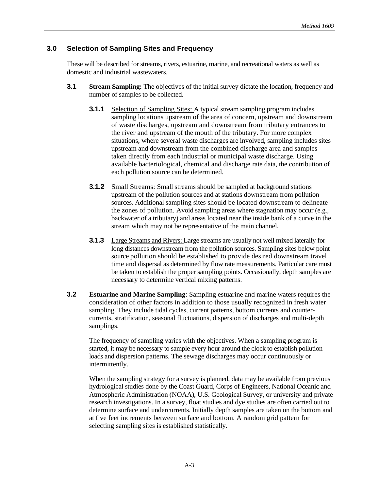### **3.0 Selection of Sampling Sites and Frequency**

These will be described for streams, rivers, estuarine, marine, and recreational waters as well as domestic and industrial wastewaters.

- **3.1 •• Stream Sampling:** The objectives of the initial survey dictate the location, frequency and number of samples to be collected.
	- **3.1.1** Selection of Sampling Sites: A typical stream sampling program includes sampling locations upstream of the area of concern, upstream and downstream of waste discharges, upstream and downstream from tributary entrances to the river and upstream of the mouth of the tributary. For more complex situations, where several waste discharges are involved, sampling includes sites upstream and downstream from the combined discharge area and samples taken directly from each industrial or municipal waste discharge. Using available bacteriological, chemical and discharge rate data, the contribution of each pollution source can be determined.
	- **3.1.2** Small Streams: Small streams should be sampled at background stations upstream of the pollution sources and at stations downstream from pollution sources. Additional sampling sites should be located downstream to delineate the zones of pollution. Avoid sampling areas where stagnation may occur (e.g., backwater of a tributary) and areas located near the inside bank of a curve in the stream which may not be representative of the main channel.
	- **3.1.3** Large Streams and Rivers: Large streams are usually not well mixed laterally for long distances downstream from the pollution sources. Sampling sites below point source pollution should be established to provide desired downstream travel time and dispersal as determined by flow rate measurements. Particular care must be taken to establish the proper sampling points. Occasionally, depth samples are necessary to determine vertical mixing patterns.
- **3.2 Estuarine and Marine Sampling**: Sampling estuarine and marine waters requires the consideration of other factors in addition to those usually recognized in fresh water sampling. They include tidal cycles, current patterns, bottom currents and countercurrents, stratification, seasonal fluctuations, dispersion of discharges and multi-depth samplings.

The frequency of sampling varies with the objectives. When a sampling program is started, it may be necessary to sample every hour around the clock to establish pollution loads and dispersion patterns. The sewage discharges may occur continuously or intermittently.

When the sampling strategy for a survey is planned, data may be available from previous hydrological studies done by the Coast Guard, Corps of Engineers, National Oceanic and Atmospheric Administration (NOAA), U.S. Geological Survey, or university and private research investigations. In a survey, float studies and dye studies are often carried out to determine surface and undercurrents. Initially depth samples are taken on the bottom and at five feet increments between surface and bottom. A random grid pattern for selecting sampling sites is established statistically.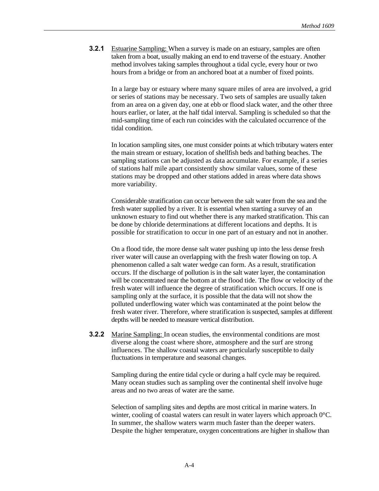**3.2.1** Estuarine Sampling: When a survey is made on an estuary, samples are often taken from a boat, usually making an end to end traverse of the estuary. Another method involves taking samples throughout a tidal cycle, every hour or two hours from a bridge or from an anchored boat at a number of fixed points.

In a large bay or estuary where many square miles of area are involved, a grid or series of stations may be necessary. Two sets of samples are usually taken from an area on a given day, one at ebb or flood slack water, and the other three hours earlier, or later, at the half tidal interval. Sampling is scheduled so that the mid-sampling time of each run coincides with the calculated occurrence of the tidal condition.

In location sampling sites, one must consider points at which tributary waters enter the main stream or estuary, location of shellfish beds and bathing beaches. The sampling stations can be adjusted as data accumulate. For example, if a series of stations half mile apart consistently show similar values, some of these stations may be dropped and other stations added in areas where data shows more variability.

Considerable stratification can occur between the salt water from the sea and the fresh water supplied by a river. It is essential when starting a survey of an unknown estuary to find out whether there is any marked stratification. This can be done by chloride determinations at different locations and depths. It is possible for stratification to occur in one part of an estuary and not in another.

On a flood tide, the more dense salt water pushing up into the less dense fresh river water will cause an overlapping with the fresh water flowing on top. A phenomenon called a salt water wedge can form. As a result, stratification occurs. If the discharge of pollution is in the salt water layer, the contamination will be concentrated near the bottom at the flood tide. The flow or velocity of the fresh water will influence the degree of stratification which occurs. If one is sampling only at the surface, it is possible that the data will not show the polluted underflowing water which was contaminated at the point below the fresh water river. Therefore, where stratification is suspected, samples at different depths will be needed to measure vertical distribution.

**3.2.2** Marine Sampling: In ocean studies, the environmental conditions are most diverse along the coast where shore, atmosphere and the surf are strong influences. The shallow coastal waters are particularly susceptible to daily fluctuations in temperature and seasonal changes.

Sampling during the entire tidal cycle or during a half cycle may be required. Many ocean studies such as sampling over the continental shelf involve huge areas and no two areas of water are the same.

Selection of sampling sites and depths are most critical in marine waters. In winter, cooling of coastal waters can result in water layers which approach  $0^{\circ}$ C. In summer, the shallow waters warm much faster than the deeper waters. Despite the higher temperature, oxygen concentrations are higher in shallow than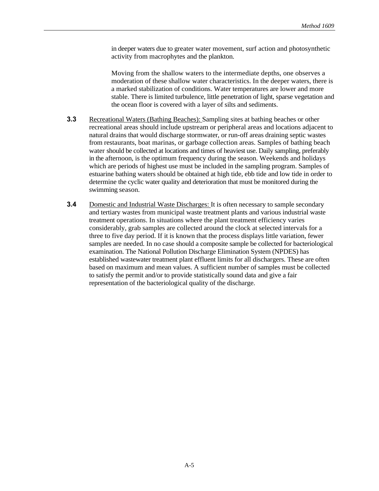in deeper waters due to greater water movement, surf action and photosynthetic activity from macrophytes and the plankton.

Moving from the shallow waters to the intermediate depths, one observes a moderation of these shallow water characteristics. In the deeper waters, there is a marked stabilization of conditions. Water temperatures are lower and more stable. There is limited turbulence, little penetration of light, sparse vegetation and the ocean floor is covered with a layer of silts and sediments.

- **3.3** Recreational Waters (Bathing Beaches): Sampling sites at bathing beaches or other recreational areas should include upstream or peripheral areas and locations adjacent to natural drains that would discharge stormwater, or run-off areas draining septic wastes from restaurants, boat marinas, or garbage collection areas. Samples of bathing beach water should be collected at locations and times of heaviest use. Daily sampling, preferably in the afternoon, is the optimum frequency during the season. Weekends and holidays which are periods of highest use must be included in the sampling program. Samples of estuarine bathing waters should be obtained at high tide, ebb tide and low tide in order to determine the cyclic water quality and deterioration that must be monitored during the swimming season.
- **3.4** Domestic and Industrial Waste Discharges: It is often necessary to sample secondary and tertiary wastes from municipal waste treatment plants and various industrial waste treatment operations. In situations where the plant treatment efficiency varies considerably, grab samples are collected around the clock at selected intervals for a three to five day period. If it is known that the process displays little variation, fewer samples are needed. In no case should a composite sample be collected for bacteriological examination. The National Pollution Discharge Elimination System (NPDES) has established wastewater treatment plant effluent limits for all dischargers. These are often based on maximum and mean values. A sufficient number of samples must be collected to satisfy the permit and/or to provide statistically sound data and give a fair representation of the bacteriological quality of the discharge.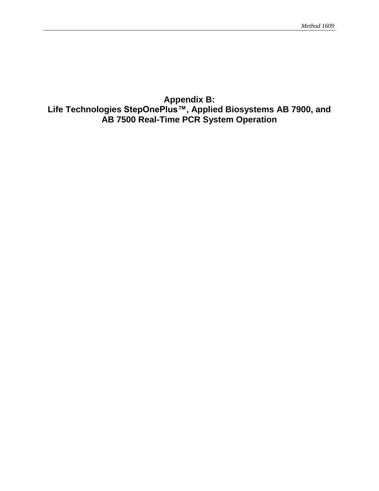## **Appendix B: Life Technologies StepOnePlus™, Applied Biosystems AB 7900, and AB 7500 Real-Time PCR System Operation**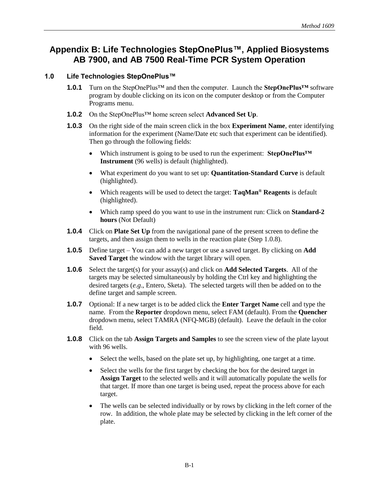# **Appendix B: Life Technologies StepOnePlus™, Applied Biosystems AB 7900, and AB 7500 Real-Time PCR System Operation**

### **1.0 Life Technologies StepOnePlus™**

- **1.0.1** Turn on the StepOnePlus™ and then the computer. Launch the **StepOnePlus™** software program by double clicking on its icon on the computer desktop or from the Computer Programs menu.
- **1.0.2** On the StepOnePlus™ home screen select **Advanced Set Up**.
- **1.0.3** On the right side of the main screen click in the box **Experiment Name**, enter identifying information for the experiment (Name/Date etc such that experiment can be identified). Then go through the following fields:
	- Which instrument is going to be used to run the experiment: **StepOnePlus™ Instrument** (96 wells) is default (highlighted).
	- What experiment do you want to set up: **Quantitation-Standard Curve** is default (highlighted).
	- Which reagents will be used to detect the target: **TaqMan® Reagents** is default (highlighted).
	- Which ramp speed do you want to use in the instrument run: Click on **Standard-2 hours** (Not Default)
- **1.0.4** Click on **Plate Set Up** from the navigational pane of the present screen to define the targets, and then assign them to wells in the reaction plate (Step 1.0.8).
- **1.0.5** Define target You can add a new target or use a saved target. By clicking on **Add Saved Target** the window with the target library will open.
- **1.0.6** Select the target(s) for your assay(s) and click on **Add Selected Targets**. All of the targets may be selected simultaneously by holding the Ctrl key and highlighting the desired targets (*e.g*., Entero, Sketa). The selected targets will then be added on to the define target and sample screen.
- **1.0.7** Optional: If a new target is to be added click the **Enter Target Name** cell and type the name. From the **Reporter** dropdown menu, select FAM (default). From the **Quencher** dropdown menu, select TAMRA (NFQ-MGB) (default). Leave the default in the color field.
- **1.0.8** Click on the tab **Assign Targets and Samples** to see the screen view of the plate layout with 96 wells.
	- Select the wells, based on the plate set up, by highlighting, one target at a time.
	- Select the wells for the first target by checking the box for the desired target in **Assign Target** to the selected wells and it will automatically populate the wells for that target. If more than one target is being used, repeat the process above for each target.
	- The wells can be selected individually or by rows by clicking in the left corner of the row. In addition, the whole plate may be selected by clicking in the left corner of the plate.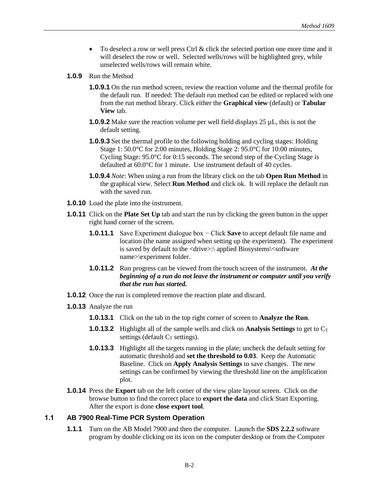- To deselect a row or well press Ctrl & click the selected portion one more time and it will deselect the row or well. Selected wells/rows will be highlighted grey, while unselected wells/rows will remain white.
- **1.0.9** Run the Method
	- **1.0.9.1** On the run method screen, review the reaction volume and the thermal profile for the default run. If needed: The default run method can be edited or replaced with one from the run method library. Click either the **Graphical view** (default) or **Tabular View** tab.
	- **1.0.9.2** Make sure the reaction volume per well field displays 25 µL, this is not the default setting.
	- **1.0.9.3** Set the thermal profile to the following holding and cycling stages: Holding Stage 1: 50.0°C for 2:00 minutes, Holding Stage 2: 95.0°C for 10:00 minutes, Cycling Stage: 95.0°C for 0:15 seconds. The second step of the Cycling Stage is defaulted at 60.0°C for 1 minute. Use instrument default of 40 cycles.
	- **1.0.9.4** *Note*: When using a run from the library click on the tab **Open Run Method** in the graphical view. Select **Run Method** and click ok. It will replace the default run with the saved run.
- **1.0.10** Load the plate into the instrument.
- **1.0.11** Click on the **Plate Set Up** tab and start the run by clicking the green button in the upper right hand corner of the screen.
	- **1.0.11.1** Save Experiment dialogue box − Click **Save** to accept default file name and location (the name assigned when setting up the experiment). The experiment is saved by default to the <drive>:\ applied Biosystems\<software name>\experiment folder.
	- **1.0.11.2** Run progress can be viewed from the touch screen of the instrument. *At the beginning of a run do not leave the instrument or computer until you verify that the run has started.*
- **1.0.12** Once the run is completed remove the reaction plate and discard.
- **1.0.13** Analyze the run
	- **1.0.13.1** Click on the tab in the top right corner of screen to **Analyze the Run**.
	- **1.0.13.2** Highlight all of the sample wells and click on **Analysis Settings** to get to C<sub>T</sub> settings (default  $C_T$  settings).
	- **1.0.13.3** Highlight all the targets running in the plate; uncheck the default setting for automatic threshold and **set the threshold to 0.03**. Keep the Automatic Baseline. Click on **Apply Analysis Settings** to save changes. The new settings can be confirmed by viewing the threshold line on the amplification plot.
- **1.0.14** Press the **Export** tab on the left corner of the view plate layout screen. Click on the browse button to find the correct place to **export the data** and click Start Exporting. After the export is done **close export tool**.

### **1.1 AB 7900 Real-Time PCR System Operation**

**1.1.1** Turn on the AB Model 7900 and then the computer. Launch the **SDS 2.2.2** software program by double clicking on its icon on the computer desktop or from the Computer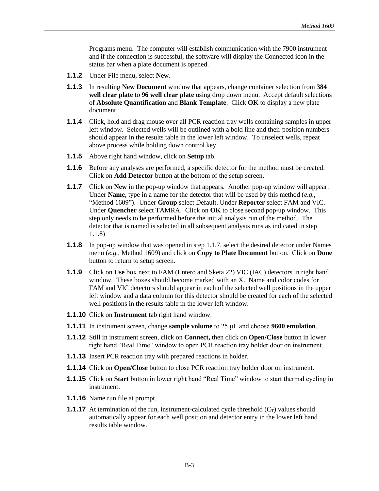Programs menu. The computer will establish communication with the 7900 instrument and if the connection is successful, the software will display the Connected icon in the status bar when a plate document is opened.

- **1.1.2** Under File menu, select **New**.
- **1.1.3** In resulting **New Document** window that appears, change container selection from **384 well clear plate** to **96 well clear plate** using drop down menu. Accept default selections of **Absolute Quantification** and **Blank Template**. Click **OK** to display a new plate document.
- **1.1.4** Click, hold and drag mouse over all PCR reaction tray wells containing samples in upper left window. Selected wells will be outlined with a bold line and their position numbers should appear in the results table in the lower left window. To unselect wells, repeat above process while holding down control key.
- **1.1.5** Above right hand window, click on **Setup** tab.
- **1.1.6** Before any analyses are performed, a specific detector for the method must be created. Click on **Add Detector** button at the bottom of the setup screen.
- **1.1.7** Click on **New** in the pop-up window that appears. Another pop-up window will appear. Under **Name**, type in a name for the detector that will be used by this method (*e.g.*, "Method 1609"). Under **Group** select Default. Under **Reporter** select FAM and VIC. Under **Quencher** select TAMRA. Click on **OK** to close second pop-up window. This step only needs to be performed before the initial analysis run of the method. The detector that is named is selected in all subsequent analysis runs as indicated in step 1.1.8)
- **1.1.8** In pop-up window that was opened in step 1.1.7, select the desired detector under Names menu (*e.g.,* Method 1609) and click on **Copy to Plate Document** button. Click on **Done** button to return to setup screen.
- **1.1.9** Click on **Use** box next to FAM (Entero and Sketa 22) VIC (IAC) detectors in right hand window. These boxes should become marked with an X. Name and color codes for FAM and VIC detectors should appear in each of the selected well positions in the upper left window and a data column for this detector should be created for each of the selected well positions in the results table in the lower left window.
- **1.1.10** Click on **Instrument** tab right hand window.
- **1.1.11** In instrument screen, change **sample volume** to 25 μL and choose **9600 emulation**.
- **1.1.12** Still in instrument screen, click on **Connect,** then click on **Open/Close** button in lower right hand "Real Time" window to open PCR reaction tray holder door on instrument.
- **1.1.13** Insert PCR reaction tray with prepared reactions in holder.
- **1.1.14** Click on **Open/Close** button to close PCR reaction tray holder door on instrument.
- **1.1.15** Click on **Start** button in lower right hand "Real Time" window to start thermal cycling in instrument.
- **1.1.16** Name run file at prompt.
- **1.1.17** At termination of the run, instrument-calculated cycle threshold  $(C_T)$  values should automatically appear for each well position and detector entry in the lower left hand results table window.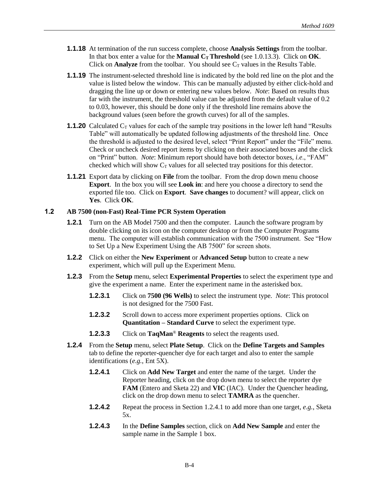- **1.1.18** At termination of the run success complete, choose **Analysis Settings** from the toolbar. In that box enter a value for the **Manual CT Threshold** (see 1.0.13.3). Click on **OK**. Click on **Analyze** from the toolbar. You should see  $C_T$  values in the Results Table.
- **1.1.19** The instrument-selected threshold line is indicated by the bold red line on the plot and the value is listed below the window. This can be manually adjusted by either click-hold and dragging the line up or down or entering new values below. *Note*: Based on results thus far with the instrument, the threshold value can be adjusted from the default value of 0.2 to 0.03, however, this should be done only if the threshold line remains above the background values (seen before the growth curves) for all of the samples.
- **1.1.20** Calculated C<sub>T</sub> values for each of the sample tray positions in the lower left hand "Results" Table" will automatically be updated following adjustments of the threshold line. Once the threshold is adjusted to the desired level, select "Print Report" under the "File" menu. Check or uncheck desired report items by clicking on their associated boxes and the click on "Print" button. *Note*: Minimum report should have both detector boxes, *i.e*., "FAM" checked which will show  $C_T$  values for all selected tray positions for this detector.
- **1.1.21** Export data by clicking on **File** from the toolbar. From the drop down menu choose **Export**. In the box you will see **Look in**: and here you choose a directory to send the exported file too. Click on **Export**. **Save changes** to document? will appear, click on **Yes**. Click **OK**.

### **1.2 AB 7500 (non-Fast) Real-Time PCR System Operation**

- **1.2.1** Turn on the AB Model 7500 and then the computer. Launch the software program by double clicking on its icon on the computer desktop or from the Computer Programs menu. The computer will establish communication with the 7500 instrument. See "How to Set Up a New Experiment Using the AB 7500" for screen shots.
- **1.2.2** Click on either the **New Experiment** or **Advanced Setup** button to create a new experiment, which will pull up the Experiment Menu.
- **1.2.3** From the **Setup** menu, select **Experimental Properties** to select the experiment type and give the experiment a name. Enter the experiment name in the asterisked box.
	- **1.2.3.1** Click on **7500 (96 Wells)** to select the instrument type. *Note*: This protocol is not designed for the 7500 Fast.
	- **1.2.3.2** Scroll down to access more experiment properties options. Click on **Quantitation – Standard Curve** to select the experiment type.
	- **1.2.3.3** Click on **TaqMan**® **Reagents** to select the reagents used.
- **1.2.4** From the **Setup** menu, select **Plate Setup**. Click on the **Define Targets and Samples** tab to define the reporter-quencher dye for each target and also to enter the sample identifications (*e.g.*, Ent 5X).
	- **1.2.4.1** Click on **Add New Target** and enter the name of the target. Under the Reporter heading, click on the drop down menu to select the reporter dye **FAM** (Entero and Sketa 22) and **VIC** (IAC). Under the Quencher heading, click on the drop down menu to select **TAMRA** as the quencher.
	- **1.2.4.2** Repeat the process in Section 1.2.4.1 to add more than one target, *e.g.*, Sketa 5x.
	- **1.2.4.3** In the **Define Samples** section, click on **Add New Sample** and enter the sample name in the Sample 1 box.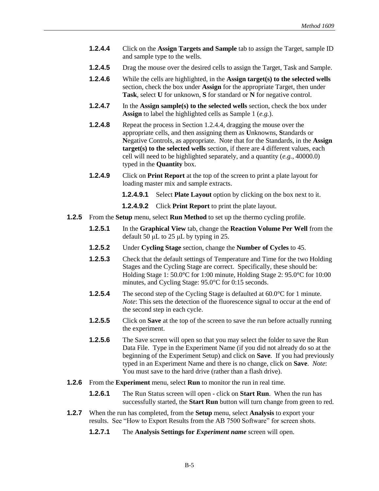- **1.2.4.4** Click on the **Assign Targets and Sample** tab to assign the Target, sample ID and sample type to the wells.
- **1.2.4.5** Drag the mouse over the desired cells to assign the Target, Task and Sample.
- **1.2.4.6** While the cells are highlighted, in the **Assign target(s) to the selected wells** section, check the box under **Assign** for the appropriate Target, then under **Task**, select **U** for unknown, **S** for standard or **N** for negative control.
- **1.2.4.7** In the **Assign sample(s)** to the selected wells section, check the box under **Assign** to label the highlighted cells as Sample 1 (*e.g.*).
- **1.2.4.8** Repeat the process in Section 1.2.4.4, dragging the mouse over the appropriate cells, and then assigning them as **U**nknowns, **S**tandards or **N**egative Controls, as appropriate. Note that for the Standards, in the **Assign target(s) to the selected wells** section, if there are 4 different values, each cell will need to be highlighted separately, and a quantity (*e.g.*, 40000.0) typed in the **Quantity** box.
- **1.2.4.9** Click on **Print Report** at the top of the screen to print a plate layout for loading master mix and sample extracts.
	- **1.2.4.9.1** Select **Plate Layout** option by clicking on the box next to it.

**1.2.4.9.2** Click **Print Report** to print the plate layout.

- **1.2.5** From the **Setup** menu, select **Run Method** to set up the thermo cycling profile.
	- **1.2.5.1** In the **Graphical View** tab, change the **Reaction Volume Per Well** from the default 50 μL to 25 μL by typing in 25.
	- **1.2.5.2** Under **Cycling Stage** section, change the **Number of Cycles** to 45.
	- **1.2.5.3** Check that the default settings of Temperature and Time for the two Holding Stages and the Cycling Stage are correct. Specifically, these should be: Holding Stage 1: 50.0°C for 1:00 minute, Holding Stage 2: 95.0°C for 10:00 minutes, and Cycling Stage: 95.0°C for 0:15 seconds.
	- **1.2.5.4** The second step of the Cycling Stage is defaulted at 60.0°C for 1 minute. *Note*: This sets the detection of the fluorescence signal to occur at the end of the second step in each cycle.
	- **1.2.5.5** Click on **Save** at the top of the screen to save the run before actually running the experiment.
	- **1.2.5.6** The Save screen will open so that you may select the folder to save the Run Data File. Type in the Experiment Name (if you did not already do so at the beginning of the Experiment Setup) and click on **Save**. If you had previously typed in an Experiment Name and there is no change, click on **Save**. *Note*: You must save to the hard drive (rather than a flash drive).
- **1.2.6** From the **Experiment** menu, select **Run** to monitor the run in real time.
	- **1.2.6.1** The Run Status screen will open click on **Start Run**. When the run has successfully started, the **Start Run** button will turn change from green to red.
- **1.2.7** When the run has completed, from the **Setup** menu, select **Analysis** to export your results. See "How to Export Results from the AB 7500 Software" for screen shots.
	- **1.2.7.1** The **Analysis Settings for** *Experiment name* screen will open.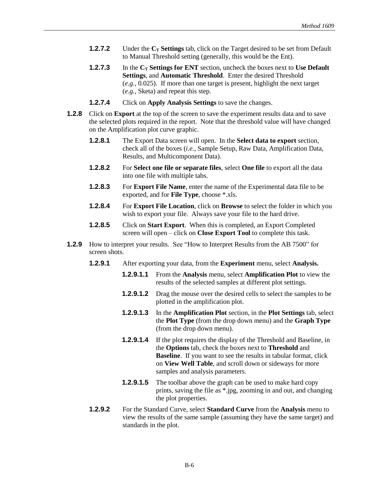- **1.2.7.2** Under the **C<sup>T</sup> Settings** tab, click on the Target desired to be set from Default to Manual Threshold setting (generally, this would be the Ent).
- **1.2.7.3** In the **C<sup>T</sup> Settings for ENT** section, uncheck the boxes next to **Use Default Settings**, and **Automatic Threshold**. Enter the desired Threshold (*e.g.,* 0.025). If more than one target is present, highlight the next target (*e.g.,* Sketa) and repeat this step.
- **1.2.7.4** Click on **Apply Analysis Settings** to save the changes.
- **1.2.8** Click on **Export** at the top of the screen to save the experiment results data and to save the selected plots required in the report. Note that the threshold value will have changed on the Amplification plot curve graphic.
	- **1.2.8.1** The Export Data screen will open. In the **Select data to export** section, check all of the boxes (*i.e.*, Sample Setup, Raw Data, Amplification Data, Results, and Multicomponent Data).
	- **1.2.8.2** For **Select one file or separate files**, select **One file** to export all the data into one file with multiple tabs.
	- **1.2.8.3** For **Export File Name**, enter the name of the Experimental data file to be exported, and for **File Type**, choose \*.xls.
	- **1.2.8.4** For **Export File Location**, click on **Browse** to select the folder in which you wish to export your file. Always save your file to the hard drive.
	- **1.2.8.5** Click on **Start Export**. When this is completed, an Export Completed screen will open – click on **Close Export Tool** to complete this task.
- **1.2.9** How to interpret your results. See "How to Interpret Results from the AB 7500" for screen shots.
	- **1.2.9.1** After exporting your data, from the **Experiment** menu, select **Analysis.**
		- **1.2.9.1.1** From the **Analysis** menu, select **Amplification Plot** to view the results of the selected samples at different plot settings.
		- **1.2.9.1.2** Drag the mouse over the desired cells to select the samples to be plotted in the amplification plot.
		- **1.2.9.1.3** In the **Amplification Plot** section, in the **Plot Settings** tab, select the **Plot Type** (from the drop down menu) and the **Graph Type** (from the drop down menu).
		- **1.2.9.1.4** If the plot requires the display of the Threshold and Baseline, in the **Options** tab, check the boxes next to **Threshold** and **Baseline**. If you want to see the results in tabular format, click on **View Well Table**, and scroll down or sideways for more samples and analysis parameters.
		- **1.2.9.1.5** The toolbar above the graph can be used to make hard copy prints, saving the file as \*.jpg, zooming in and out, and changing the plot properties.
	- **1.2.9.2** For the Standard Curve, select **Standard Curve** from the **Analysis** menu to view the results of the same sample (assuming they have the same target) and standards in the plot.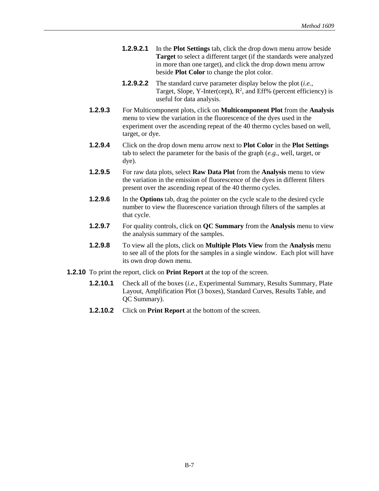- **1.2.9.2.1** In the **Plot Settings** tab, click the drop down menu arrow beside **Target** to select a different target (if the standards were analyzed in more than one target), and click the drop down menu arrow beside **Plot Color** to change the plot color.
- **1.2.9.2.2** The standard curve parameter display below the plot (*i.e.*, Target, Slope, Y-Inter(cept),  $R^2$ , and Eff% (percent efficiency) is useful for data analysis.
- **1.2.9.3** For Multicomponent plots, click on **Multicomponent Plot** from the **Analysis**  menu to view the variation in the fluorescence of the dyes used in the experiment over the ascending repeat of the 40 thermo cycles based on well, target, or dye.
- **1.2.9.4** Click on the drop down menu arrow next to **Plot Color** in the **Plot Settings** tab to select the parameter for the basis of the graph (*e.g.*, well, target, or dye).
- **1.2.9.5** For raw data plots, select **Raw Data Plot** from the **Analysis** menu to view the variation in the emission of fluorescence of the dyes in different filters present over the ascending repeat of the 40 thermo cycles.
- **1.2.9.6** In the **Options** tab, drag the pointer on the cycle scale to the desired cycle number to view the fluorescence variation through filters of the samples at that cycle.
- **1.2.9.7** For quality controls, click on **QC Summary** from the **Analysis** menu to view the analysis summary of the samples.
- **1.2.9.8** To view all the plots, click on **Multiple Plots View** from the **Analysis** menu to see all of the plots for the samples in a single window. Each plot will have its own drop down menu.
- **1.2.10** To print the report, click on **Print Report** at the top of the screen.
	- **1.2.10.1** Check all of the boxes *(i.e., Experimental Summary, Results Summary, Plate* Layout, Amplification Plot (3 boxes), Standard Curves, Results Table, and QC Summary).
	- **1.2.10.2** Click on **Print Report** at the bottom of the screen.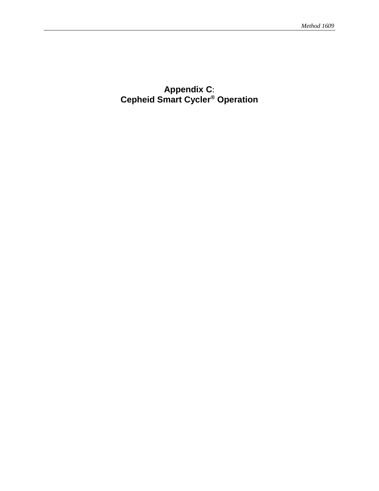# **Appendix C**: **Cepheid Smart Cycler® Operation**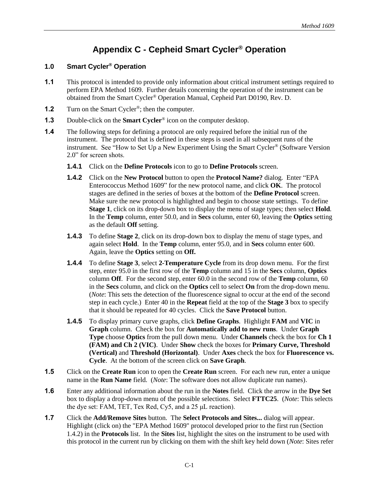# **Appendix C - Cepheid Smart Cycler® Operation**

### **1.0 Smart Cycler® Operation**

- **1.1** This protocol is intended to provide only information about critical instrument settings required to perform EPA Method 1609. Further details concerning the operation of the instrument can be obtained from the Smart Cycler® Operation Manual, Cepheid Part D0190, Rev. D.
- **1.2** Turn on the Smart Cycler<sup>®</sup>; then the computer.
- **1.3** Double-click on the **Smart Cycler**<sup>®</sup> icon on the computer desktop.
- **1.4** The following steps for defining a protocol are only required before the initial run of the instrument. The protocol that is defined in these steps is used in all subsequent runs of the instrument. See "How to Set Up a New Experiment Using the Smart Cycler® (Software Version 2.0" for screen shots.
	- **1.4.1** Click on the **Define Protocols** icon to go to **Define Protocols** screen.
	- **1.4.2** Click on the **New Protocol** button to open the **Protocol Name?** dialog. Enter "EPA Enterococcus Method 1609" for the new protocol name, and click **OK**. The protocol stages are defined in the series of boxes at the bottom of the **Define Protocol** screen. Make sure the new protocol is highlighted and begin to choose state settings. To define **Stage 1**, click on its drop-down box to display the menu of stage types; then select **Hold**. In the **Temp** column, enter 50.0, and in **Secs** column, enter 60, leaving the **Optics** setting as the default **Off** setting.
	- **1.4.3** To define **Stage 2**, click on its drop-down box to display the menu of stage types, and again select **Hold**. In the **Temp** column, enter 95.0, and in **Secs** column enter 600. Again, leave the **Optics** setting on **Off.**
	- **1.4.4** To define **Stage 3**, select **2-Temperature Cycle** from its drop down menu. For the first step, enter 95.0 in the first row of the **Temp** column and 15 in the **Secs** column, **Optics** column **Off**. For the second step, enter 60.0 in the second row of the **Temp** column, 60 in the **Secs** column, and click on the **Optics** cell to select **On** from the drop-down menu. (*Note*: This sets the detection of the fluorescence signal to occur at the end of the second step in each cycle.) Enter 40 in the **Repeat** field at the top of the **Stage 3** box to specify that it should be repeated for 40 cycles. Click the **Save Protocol** button.
	- **1.4.5** To display primary curve graphs, click **Define Graphs**. Highlight **FAM** and **VIC** in **Graph** column. Check the box for **Automatically add to new runs**. Under **Graph Type** choose **Optics** from the pull down menu. Under **Channels** check the box for **Ch 1 (FAM) and Ch 2 (VIC)**. Under **Show** check the boxes for **Primary Curve, Threshold (Vertical)** and **Threshold (Horizontal)**. Under **Axes** check the box for **Fluorescence vs. Cycle**. At the bottom of the screen click on **Save Graph**.
- **1.5** Click on the **Create Run** icon to open the **Create Run** screen. For each new run, enter a unique name in the **Run Name** field. (*Note*: The software does not allow duplicate run names).
- **1.6** Enter any additional information about the run in the **Notes** field. Click the arrow in the **Dye Set** box to display a drop-down menu of the possible selections. Select **FTTC25**. (*Note*: This selects the dye set: FAM, TET, Tex Red, Cy5, and a 25 μL reaction).
- **1.7** Click the **Add/Remove Sites** button. The **Select Protocols and Sites...** dialog will appear. Highlight (click on) the "EPA Method 1609" protocol developed prior to the first run (Section 1.4.2) in the **Protocols** list. In the **Sites** list, highlight the sites on the instrument to be used with this protocol in the current run by clicking on them with the shift key held down (*Note*: Sites refer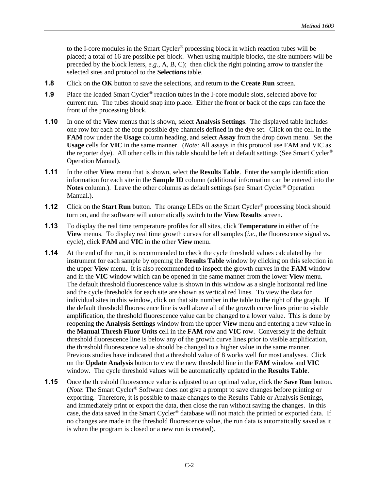to the I-core modules in the Smart Cycler® processing block in which reaction tubes will be placed; a total of 16 are possible per block. When using multiple blocks, the site numbers will be preceded by the block letters, *e.g.,* A, B, C); then click the right pointing arrow to transfer the selected sites and protocol to the **Selections** table.

- **1.8** Click on the **OK** button to save the selections, and return to the **Create Run** screen.
- **1.9** Place the loaded Smart Cycler<sup>®</sup> reaction tubes in the I-core module slots, selected above for current run. The tubes should snap into place. Either the front or back of the caps can face the front of the processing block.
- **1.10** In one of the **View** menus that is shown, select **Analysis Settings**. The displayed table includes one row for each of the four possible dye channels defined in the dye set. Click on the cell in the **FAM** row under the **Usage** column heading, and select **Assay** from the drop down menu. Set the **Usage** cells for **VIC** in the same manner. (*Note*: All assays in this protocol use FAM and VIC as the reporter dye). All other cells in this table should be left at default settings (See Smart Cycler® Operation Manual).
- **1.11** In the other **View** menu that is shown, select the **Results Table**. Enter the sample identification information for each site in the **Sample ID** column (additional information can be entered into the **Notes** column.). Leave the other columns as default settings (see Smart Cycler® Operation Manual.).
- **1.12** Click on the **Start Run** button. The orange LEDs on the Smart Cycler<sup>®</sup> processing block should turn on, and the software will automatically switch to the **View Results** screen.
- **1.13** To display the real time temperature profiles for all sites, click **Temperature** in either of the **View** menus. To display real time growth curves for all samples (*i.e.,* the fluorescence signal vs. cycle), click **FAM** and **VIC** in the other **View** menu.
- **1.14** At the end of the run, it is recommended to check the cycle threshold values calculated by the instrument for each sample by opening the **Results Table** window by clicking on this selection in the upper **View** menu. It is also recommended to inspect the growth curves in the **FAM** window and in the **VIC** window which can be opened in the same manner from the lower **View** menu. The default threshold fluorescence value is shown in this window as a single horizontal red line and the cycle thresholds for each site are shown as vertical red lines. To view the data for individual sites in this window, click on that site number in the table to the right of the graph. If the default threshold fluorescence line is well above all of the growth curve lines prior to visible amplification, the threshold fluorescence value can be changed to a lower value. This is done by reopening the **Analysis Settings** window from the upper **View** menu and entering a new value in the **Manual Thresh Fluor Units** cell in the **FAM** row and **VIC** row. Conversely if the default threshold fluorescence line is below any of the growth curve lines prior to visible amplification, the threshold fluorescence value should be changed to a higher value in the same manner. Previous studies have indicated that a threshold value of 8 works well for most analyses. Click on the **Update Analysis** button to view the new threshold line in the **FAM** window and **VIC** window. The cycle threshold values will be automatically updated in the **Results Table**.
- **1.15** Once the threshold fluorescence value is adjusted to an optimal value, click the **Save Run** button. (*Note*: The Smart Cycler® Software does not give a prompt to save changes before printing or exporting. Therefore, it is possible to make changes to the Results Table or Analysis Settings, and immediately print or export the data, then close the run without saving the changes. In this case, the data saved in the Smart Cycler® database will not match the printed or exported data. If no changes are made in the threshold fluorescence value, the run data is automatically saved as it is when the program is closed or a new run is created).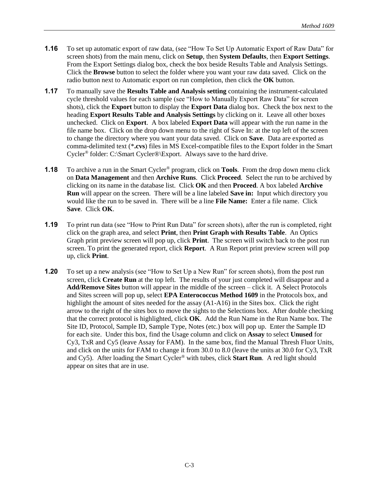- **1.16** To set up automatic export of raw data, (see "How To Set Up Automatic Export of Raw Data" for screen shots) from the main menu, click on **Setup**, then **System Defaults**, then **Export Settings**. From the Export Settings dialog box, check the box beside Results Table and Analysis Settings. Click the **Browse** button to select the folder where you want your raw data saved. Click on the radio button next to Automatic export on run completion, then click the **OK** button.
- **1.17** To manually save the **Results Table and Analysis setting** containing the instrument-calculated cycle threshold values for each sample (see "How to Manually Export Raw Data" for screen shots), click the **Export** button to display the **Export Data** dialog box. Check the box next to the heading **Export Results Table and Analysis Settings** by clicking on it. Leave all other boxes unchecked. Click on **Export**. A box labeled **Export Data** will appear with the run name in the file name box. Click on the drop down menu to the right of Save In: at the top left of the screen to change the directory where you want your data saved. Click on **Save**. Data are exported as comma-delimited text (\***.cvs**) files in MS Excel-compatible files to the Export folder in the Smart Cycler® folder: C:\Smart Cycler®\Export. Always save to the hard drive.
- **1.18** To archive a run in the Smart Cycler® program, click on **Tools**. From the drop down menu click on **Data Management** and then **Archive Runs**. Click **Proceed**. Select the run to be archived by clicking on its name in the database list. Click **OK** and then **Proceed**. A box labeled **Archive Run** will appear on the screen. There will be a line labeled **Save in:** Input which directory you would like the run to be saved in. There will be a line **File Name:** Enter a file name. Click **Save**. Click **OK**.
- **1.19** To print run data (see "How to Print Run Data" for screen shots), after the run is completed, right click on the graph area, and select **Print**, then **Print Graph with Results Table**. An Optics Graph print preview screen will pop up, click **Print**. The screen will switch back to the post run screen. To print the generated report, click **Report**. A Run Report print preview screen will pop up, click **Print**.
- **1.20** To set up a new analysis (see "How to Set Up a New Run" for screen shots), from the post run screen, click **Create Run** at the top left. The results of your just completed will disappear and a **Add/Remove Sites** button will appear in the middle of the screen – click it. A Select Protocols and Sites screen will pop up, select **EPA Enterococcus Method 1609** in the Protocols box, and highlight the amount of sites needed for the assay (A1-A16) in the Sites box. Click the right arrow to the right of the sites box to move the sights to the Selections box. After double checking that the correct protocol is highlighted, click **OK**. Add the Run Name in the Run Name box. The Site ID, Protocol, Sample ID, Sample Type, Notes (etc.) box will pop up. Enter the Sample ID for each site. Under this box, find the Usage column and click on **Assay** to select **Unused** for Cy3, TxR and Cy5 (leave Assay for FAM). In the same box, find the Manual Thresh Fluor Units, and click on the units for FAM to change it from 30.0 to 8.0 (leave the units at 30.0 for Cy3, TxR and Cy5). After loading the Smart Cycler® with tubes, click **Start Run**. A red light should appear on sites that are in use.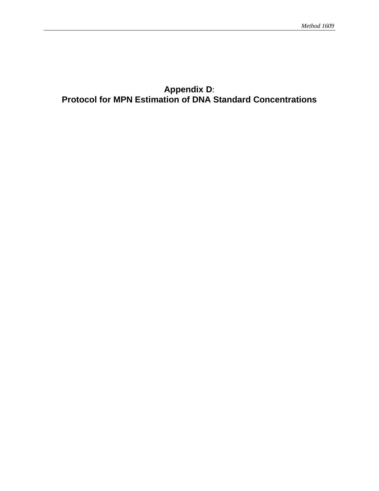# **Appendix D**: **Protocol for MPN Estimation of DNA Standard Concentrations**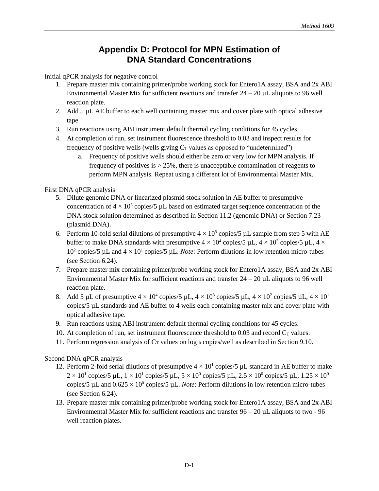# **Appendix D: Protocol for MPN Estimation of DNA Standard Concentrations**

Initial qPCR analysis for negative control

- 1. Prepare master mix containing primer/probe working stock for Entero1A assay, BSA and 2x ABI Environmental Master Mix for sufficient reactions and transfer  $24 - 20 \mu L$  aliquots to 96 well reaction plate.
- 2. Add 5 µL AE buffer to each well containing master mix and cover plate with optical adhesive tape
- 3. Run reactions using ABI instrument default thermal cycling conditions for 45 cycles
- 4. At completion of run, set instrument fluorescence threshold to 0.03 and inspect results for frequency of positive wells (wells giving  $C_T$  values as opposed to "undetermined")
	- a. Frequency of positive wells should either be zero or very low for MPN analysis. If frequency of positives is > 25%, there is unacceptable contamination of reagents to perform MPN analysis. Repeat using a different lot of Environmental Master Mix.

### First DNA qPCR analysis

- 5. Dilute genomic DNA or linearized plasmid stock solution in AE buffer to presumptive concentration of  $4 \times 10^5$  copies/5 µL based on estimated target sequence concentration of the DNA stock solution determined as described in Section 11.2 (genomic DNA) or Section 7.23 (plasmid DNA).
- 6. Perform 10-fold serial dilutions of presumptive  $4 \times 10^5$  copies/5 µL sample from step 5 with AE buffer to make DNA standards with presumptive  $4 \times 10^4$  copies/5 µL,  $4 \times 10^3$  copies/5 µL,  $4 \times$ 10<sup>2</sup> copies/5  $\mu$ L and  $4 \times 10^{1}$  copies/5  $\mu$ L. *Note*: Perform dilutions in low retention micro-tubes (see Section 6.24).
- 7. Prepare master mix containing primer/probe working stock for Entero1A assay, BSA and 2x ABI Environmental Master Mix for sufficient reactions and transfer  $24 - 20 \mu L$  aliquots to 96 well reaction plate.
- 8. Add 5 µL of presumptive  $4 \times 10^4$  copies/5 µL,  $4 \times 10^3$  copies/5 µL,  $4 \times 10^2$  copies/5 µL,  $4 \times 10^1$ copies/5 µL standards and AE buffer to 4 wells each containing master mix and cover plate with optical adhesive tape.
- 9. Run reactions using ABI instrument default thermal cycling conditions for 45 cycles.
- 10. At completion of run, set instrument fluorescence threshold to 0.03 and record  $C_T$  values.
- 11. Perform regression analysis of  $C_T$  values on log<sub>10</sub> copies/well as described in Section 9.10.

### Second DNA qPCR analysis

- 12. Perform 2-fold serial dilutions of presumptive  $4 \times 10^1$  copies/5 µL standard in AE buffer to make  $2 \times 10^1$  copies/5 µL,  $1 \times 10^1$  copies/5 µL,  $5 \times 10^0$  copies/5 µL,  $2.5 \times 10^0$  copies/5 µL,  $1.25 \times 10^0$ copies/5  $\mu$ L and  $0.625 \times 10^0$  copies/5  $\mu$ L. *Note*: Perform dilutions in low retention micro-tubes (see Section 6.24).
- 13. Prepare master mix containing primer/probe working stock for Entero1A assay, BSA and 2x ABI Environmental Master Mix for sufficient reactions and transfer  $96 - 20 \mu L$  aliquots to two - 96 well reaction plates.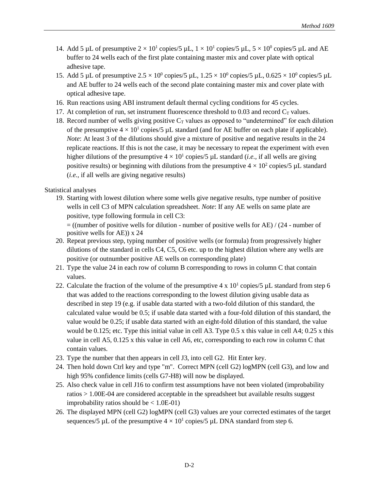- 14. Add 5 µL of presumptive  $2 \times 10^1$  copies/5 µL,  $1 \times 10^1$  copies/5 µL,  $5 \times 10^0$  copies/5 µL and AE buffer to 24 wells each of the first plate containing master mix and cover plate with optical adhesive tape.
- 15. Add 5 µL of presumptive  $2.5 \times 10^0$  copies/5 µL,  $1.25 \times 10^0$  copies/5 µL,  $0.625 \times 10^0$  copies/5 µL and AE buffer to 24 wells each of the second plate containing master mix and cover plate with optical adhesive tape.
- 16. Run reactions using ABI instrument default thermal cycling conditions for 45 cycles.
- 17. At completion of run, set instrument fluorescence threshold to 0.03 and record  $C_T$  values.
- 18. Record number of wells giving positive  $C_T$  values as opposed to "undetermined" for each dilution of the presumptive  $4 \times 10^{1}$  copies/5 µL standard (and for AE buffer on each plate if applicable). *Note*: At least 3 of the dilutions should give a mixture of positive and negative results in the 24 replicate reactions. If this is not the case, it may be necessary to repeat the experiment with even higher dilutions of the presumptive  $4 \times 10^1$  copies/5  $\mu$ L standard (*i.e.*, if all wells are giving positive results) or beginning with dilutions from the presumptive  $4 \times 10^2$  copies/5 µL standard (*i.e.,* if all wells are giving negative results)

Statistical analyses

19. Starting with lowest dilution where some wells give negative results, type number of positive wells in cell C3 of MPN calculation spreadsheet. *Note*: If any AE wells on same plate are positive, type following formula in cell C3:

= ((number of positive wells for dilution - number of positive wells for AE) / (24 - number of positive wells for AE)) x 24

- 20. Repeat previous step, typing number of positive wells (or formula) from progressively higher dilutions of the standard in cells C4, C5, C6 etc. up to the highest dilution where any wells are positive (or outnumber positive AE wells on corresponding plate)
- 21. Type the value 24 in each row of column B corresponding to rows in column C that contain values.
- 22. Calculate the fraction of the volume of the presumptive  $4 \times 10^{1}$  copies/5 µL standard from step 6 that was added to the reactions corresponding to the lowest dilution giving usable data as described in step 19 (e.g. if usable data started with a two-fold dilution of this standard, the calculated value would be 0.5; if usable data started with a four-fold dilution of this standard, the value would be 0.25; if usable data started with an eight-fold dilution of this standard, the value would be 0.125; etc. Type this initial value in cell A3. Type 0.5 x this value in cell A4; 0.25 x this value in cell A5, 0.125 x this value in cell A6, etc, corresponding to each row in column C that contain values.
- 23. Type the number that then appears in cell J3, into cell G2. Hit Enter key.
- 24. Then hold down Ctrl key and type "m". Correct MPN (cell G2) logMPN (cell G3), and low and high 95% confidence limits (cells G7-H8) will now be displayed.
- 25. Also check value in cell J16 to confirm test assumptions have not been violated (improbability ratios > 1.00E-04 are considered acceptable in the spreadsheet but available results suggest improbability ratios should be  $< 1.0E-01$ )
- 26. The displayed MPN (cell G2) logMPN (cell G3) values are your corrected estimates of the target sequences/5 µL of the presumptive  $4 \times 10^1$  copies/5 µL DNA standard from step 6.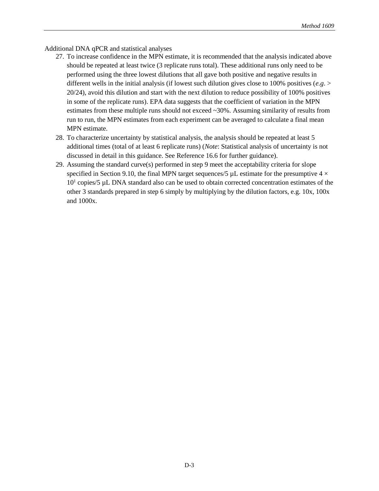Additional DNA qPCR and statistical analyses

- 27. To increase confidence in the MPN estimate, it is recommended that the analysis indicated above should be repeated at least twice (3 replicate runs total). These additional runs only need to be performed using the three lowest dilutions that all gave both positive and negative results in different wells in the initial analysis (if lowest such dilution gives close to 100% positives (*e.g*. > 20/24), avoid this dilution and start with the next dilution to reduce possibility of 100% positives in some of the replicate runs). EPA data suggests that the coefficient of variation in the MPN estimates from these multiple runs should not exceed ~30%. Assuming similarity of results from run to run, the MPN estimates from each experiment can be averaged to calculate a final mean MPN estimate.
- 28. To characterize uncertainty by statistical analysis, the analysis should be repeated at least 5 additional times (total of at least 6 replicate runs) (*Note*: Statistical analysis of uncertainty is not discussed in detail in this guidance. See Reference 16.6 for further guidance).
- 29. Assuming the standard curve(s) performed in step 9 meet the acceptability criteria for slope specified in Section 9.10, the final MPN target sequences/5  $\mu$ L estimate for the presumptive 4  $\times$ 10<sup>1</sup> copies/5 µL DNA standard also can be used to obtain corrected concentration estimates of the other 3 standards prepared in step 6 simply by multiplying by the dilution factors, e.g. 10x, 100x and 1000x.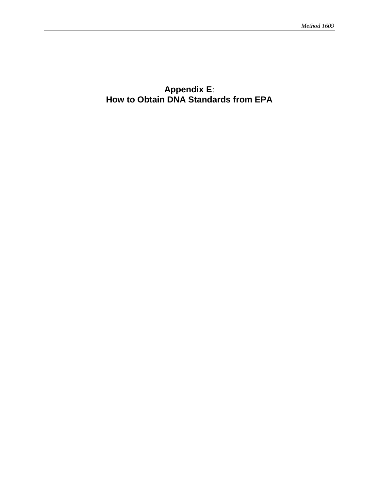# **Appendix E**: **How to Obtain DNA Standards from EPA**